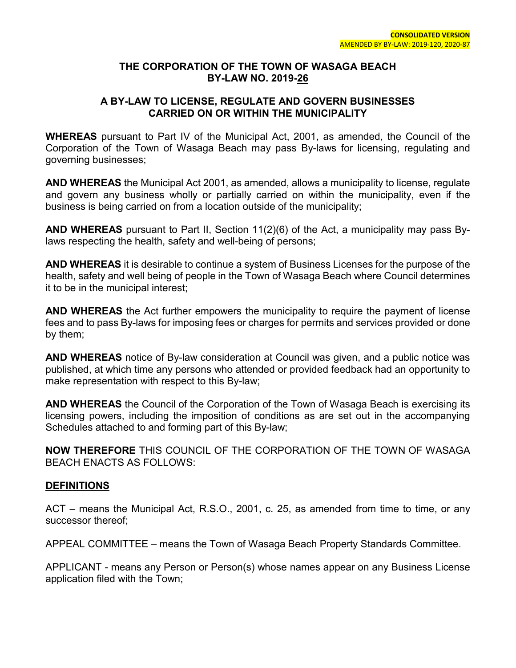## **THE CORPORATION OF THE TOWN OF WASAGA BEACH BY-LAW NO. 2019-26**

## **A BY-LAW TO LICENSE, REGULATE AND GOVERN BUSINESSES CARRIED ON OR WITHIN THE MUNICIPALITY**

**WHEREAS** pursuant to Part IV of the Municipal Act, 2001, as amended, the Council of the Corporation of the Town of Wasaga Beach may pass By-laws for licensing, regulating and governing businesses;

**AND WHEREAS** the Municipal Act 2001, as amended, allows a municipality to license, regulate and govern any business wholly or partially carried on within the municipality, even if the business is being carried on from a location outside of the municipality;

**AND WHEREAS** pursuant to Part II, Section 11(2)(6) of the Act, a municipality may pass Bylaws respecting the health, safety and well-being of persons;

**AND WHEREAS** it is desirable to continue a system of Business Licenses for the purpose of the health, safety and well being of people in the Town of Wasaga Beach where Council determines it to be in the municipal interest;

**AND WHEREAS** the Act further empowers the municipality to require the payment of license fees and to pass By-laws for imposing fees or charges for permits and services provided or done by them;

**AND WHEREAS** notice of By-law consideration at Council was given, and a public notice was published, at which time any persons who attended or provided feedback had an opportunity to make representation with respect to this By-law;

**AND WHEREAS** the Council of the Corporation of the Town of Wasaga Beach is exercising its licensing powers, including the imposition of conditions as are set out in the accompanying Schedules attached to and forming part of this By-law;

**NOW THEREFORE** THIS COUNCIL OF THE CORPORATION OF THE TOWN OF WASAGA BEACH ENACTS AS FOLLOWS:

## **DEFINITIONS**

ACT – means the Municipal Act, R.S.O., 2001, c. 25, as amended from time to time, or any successor thereof;

APPEAL COMMITTEE – means the Town of Wasaga Beach Property Standards Committee.

APPLICANT - means any Person or Person(s) whose names appear on any Business License application filed with the Town;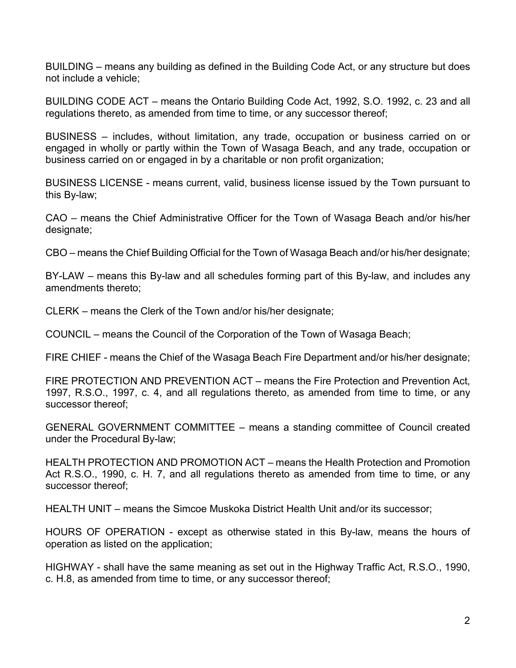BUILDING – means any building as defined in the Building Code Act, or any structure but does not include a vehicle;

BUILDING CODE ACT – means the Ontario Building Code Act, 1992, S.O. 1992, c. 23 and all regulations thereto, as amended from time to time, or any successor thereof;

BUSINESS – includes, without limitation, any trade, occupation or business carried on or engaged in wholly or partly within the Town of Wasaga Beach, and any trade, occupation or business carried on or engaged in by a charitable or non profit organization;

BUSINESS LICENSE - means current, valid, business license issued by the Town pursuant to this By-law;

CAO – means the Chief Administrative Officer for the Town of Wasaga Beach and/or his/her designate;

CBO – means the Chief Building Official for the Town of Wasaga Beach and/or his/her designate;

BY-LAW – means this By-law and all schedules forming part of this By-law, and includes any amendments thereto;

CLERK – means the Clerk of the Town and/or his/her designate;

COUNCIL – means the Council of the Corporation of the Town of Wasaga Beach;

FIRE CHIEF - means the Chief of the Wasaga Beach Fire Department and/or his/her designate;

FIRE PROTECTION AND PREVENTION ACT – means the Fire Protection and Prevention Act, 1997, R.S.O., 1997, c. 4, and all regulations thereto, as amended from time to time, or any successor thereof;

GENERAL GOVERNMENT COMMITTEE – means a standing committee of Council created under the Procedural By-law;

HEALTH PROTECTION AND PROMOTION ACT – means the Health Protection and Promotion Act R.S.O., 1990, c. H. 7, and all regulations thereto as amended from time to time, or any successor thereof;

HEALTH UNIT – means the Simcoe Muskoka District Health Unit and/or its successor;

HOURS OF OPERATION - except as otherwise stated in this By-law, means the hours of operation as listed on the application;

HIGHWAY - shall have the same meaning as set out in the Highway Traffic Act, R.S.O., 1990, c. H.8, as amended from time to time, or any successor thereof;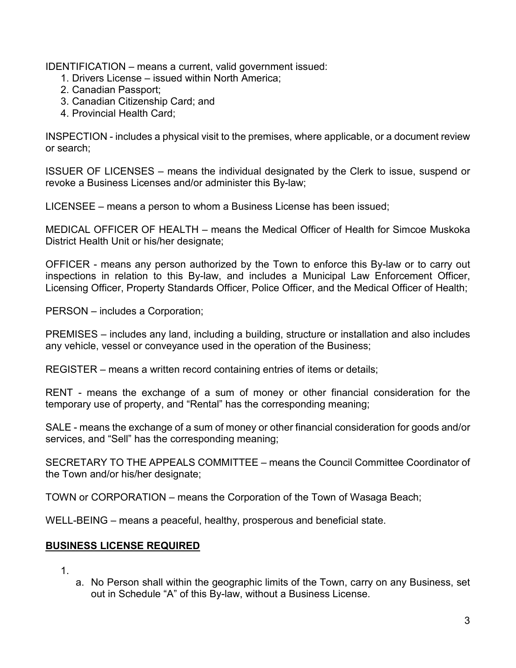IDENTIFICATION – means a current, valid government issued:

- 1. Drivers License issued within North America;
- 2. Canadian Passport;
- 3. Canadian Citizenship Card; and
- 4. Provincial Health Card;

INSPECTION - includes a physical visit to the premises, where applicable, or a document review or search;

ISSUER OF LICENSES – means the individual designated by the Clerk to issue, suspend or revoke a Business Licenses and/or administer this By-law;

LICENSEE – means a person to whom a Business License has been issued;

MEDICAL OFFICER OF HEALTH – means the Medical Officer of Health for Simcoe Muskoka District Health Unit or his/her designate;

OFFICER - means any person authorized by the Town to enforce this By-law or to carry out inspections in relation to this By-law, and includes a Municipal Law Enforcement Officer, Licensing Officer, Property Standards Officer, Police Officer, and the Medical Officer of Health;

PERSON – includes a Corporation;

PREMISES – includes any land, including a building, structure or installation and also includes any vehicle, vessel or conveyance used in the operation of the Business;

REGISTER – means a written record containing entries of items or details;

RENT - means the exchange of a sum of money or other financial consideration for the temporary use of property, and "Rental" has the corresponding meaning;

SALE - means the exchange of a sum of money or other financial consideration for goods and/or services, and "Sell" has the corresponding meaning;

SECRETARY TO THE APPEALS COMMITTEE – means the Council Committee Coordinator of the Town and/or his/her designate;

TOWN or CORPORATION – means the Corporation of the Town of Wasaga Beach;

WELL-BEING – means a peaceful, healthy, prosperous and beneficial state.

# **BUSINESS LICENSE REQUIRED**

- 1.
- a. No Person shall within the geographic limits of the Town, carry on any Business, set out in Schedule "A" of this By-law, without a Business License.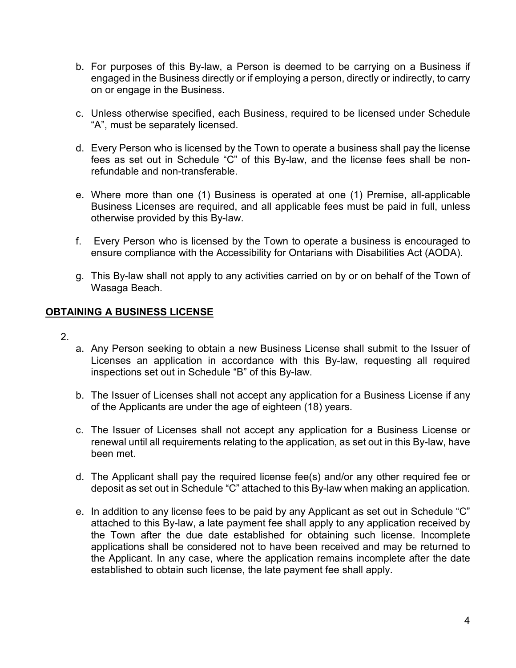- b. For purposes of this By-law, a Person is deemed to be carrying on a Business if engaged in the Business directly or if employing a person, directly or indirectly, to carry on or engage in the Business.
- c. Unless otherwise specified, each Business, required to be licensed under Schedule "A", must be separately licensed.
- d. Every Person who is licensed by the Town to operate a business shall pay the license fees as set out in Schedule "C" of this By-law, and the license fees shall be nonrefundable and non-transferable.
- e. Where more than one (1) Business is operated at one (1) Premise, all-applicable Business Licenses are required, and all applicable fees must be paid in full, unless otherwise provided by this By-law.
- f. Every Person who is licensed by the Town to operate a business is encouraged to ensure compliance with the Accessibility for Ontarians with Disabilities Act (AODA).
- g. This By-law shall not apply to any activities carried on by or on behalf of the Town of Wasaga Beach.

# **OBTAINING A BUSINESS LICENSE**

- 2.
- a. Any Person seeking to obtain a new Business License shall submit to the Issuer of Licenses an application in accordance with this By-law, requesting all required inspections set out in Schedule "B" of this By-law.
- b. The Issuer of Licenses shall not accept any application for a Business License if any of the Applicants are under the age of eighteen (18) years.
- c. The Issuer of Licenses shall not accept any application for a Business License or renewal until all requirements relating to the application, as set out in this By-law, have been met.
- d. The Applicant shall pay the required license fee(s) and/or any other required fee or deposit as set out in Schedule "C" attached to this By-law when making an application.
- e. In addition to any license fees to be paid by any Applicant as set out in Schedule "C" attached to this By-law, a late payment fee shall apply to any application received by the Town after the due date established for obtaining such license. Incomplete applications shall be considered not to have been received and may be returned to the Applicant. In any case, where the application remains incomplete after the date established to obtain such license, the late payment fee shall apply.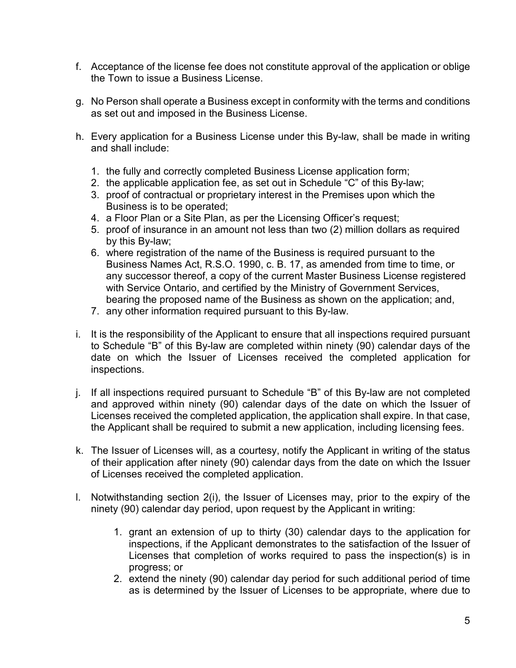- f. Acceptance of the license fee does not constitute approval of the application or oblige the Town to issue a Business License.
- g. No Person shall operate a Business except in conformity with the terms and conditions as set out and imposed in the Business License.
- h. Every application for a Business License under this By-law, shall be made in writing and shall include:
	- 1. the fully and correctly completed Business License application form;
	- 2. the applicable application fee, as set out in Schedule "C" of this By-law;
	- 3. proof of contractual or proprietary interest in the Premises upon which the Business is to be operated;
	- 4. a Floor Plan or a Site Plan, as per the Licensing Officer's request;
	- 5. proof of insurance in an amount not less than two (2) million dollars as required by this By-law;
	- 6. where registration of the name of the Business is required pursuant to the Business Names Act, R.S.O. 1990, c. B. 17, as amended from time to time, or any successor thereof, a copy of the current Master Business License registered with Service Ontario, and certified by the Ministry of Government Services, bearing the proposed name of the Business as shown on the application; and,
	- 7. any other information required pursuant to this By-law.
- i. It is the responsibility of the Applicant to ensure that all inspections required pursuant to Schedule "B" of this By-law are completed within ninety (90) calendar days of the date on which the Issuer of Licenses received the completed application for inspections.
- j. If all inspections required pursuant to Schedule "B" of this By-law are not completed and approved within ninety (90) calendar days of the date on which the Issuer of Licenses received the completed application, the application shall expire. In that case, the Applicant shall be required to submit a new application, including licensing fees.
- k. The Issuer of Licenses will, as a courtesy, notify the Applicant in writing of the status of their application after ninety (90) calendar days from the date on which the Issuer of Licenses received the completed application.
- l. Notwithstanding section 2(i), the Issuer of Licenses may, prior to the expiry of the ninety (90) calendar day period, upon request by the Applicant in writing:
	- 1. grant an extension of up to thirty (30) calendar days to the application for inspections, if the Applicant demonstrates to the satisfaction of the Issuer of Licenses that completion of works required to pass the inspection(s) is in progress; or
	- 2. extend the ninety (90) calendar day period for such additional period of time as is determined by the Issuer of Licenses to be appropriate, where due to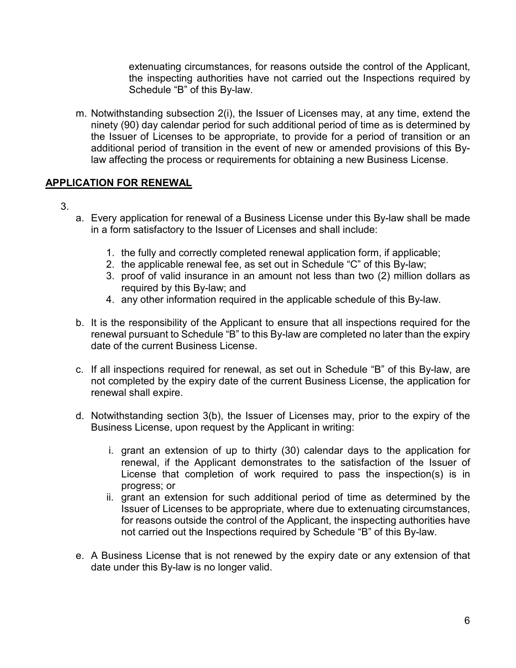extenuating circumstances, for reasons outside the control of the Applicant, the inspecting authorities have not carried out the Inspections required by Schedule "B" of this By-law.

m. Notwithstanding subsection 2(i), the Issuer of Licenses may, at any time, extend the ninety (90) day calendar period for such additional period of time as is determined by the Issuer of Licenses to be appropriate, to provide for a period of transition or an additional period of transition in the event of new or amended provisions of this Bylaw affecting the process or requirements for obtaining a new Business License.

## **APPLICATION FOR RENEWAL**

- 3.
- a. Every application for renewal of a Business License under this By-law shall be made in a form satisfactory to the Issuer of Licenses and shall include:
	- 1. the fully and correctly completed renewal application form, if applicable;
	- 2. the applicable renewal fee, as set out in Schedule "C" of this By-law;
	- 3. proof of valid insurance in an amount not less than two (2) million dollars as required by this By-law; and
	- 4. any other information required in the applicable schedule of this By-law.
- b. It is the responsibility of the Applicant to ensure that all inspections required for the renewal pursuant to Schedule "B" to this By-law are completed no later than the expiry date of the current Business License.
- c. If all inspections required for renewal, as set out in Schedule "B" of this By-law, are not completed by the expiry date of the current Business License, the application for renewal shall expire.
- d. Notwithstanding section 3(b), the Issuer of Licenses may, prior to the expiry of the Business License, upon request by the Applicant in writing:
	- i. grant an extension of up to thirty (30) calendar days to the application for renewal, if the Applicant demonstrates to the satisfaction of the Issuer of License that completion of work required to pass the inspection(s) is in progress; or
	- ii. grant an extension for such additional period of time as determined by the Issuer of Licenses to be appropriate, where due to extenuating circumstances, for reasons outside the control of the Applicant, the inspecting authorities have not carried out the Inspections required by Schedule "B" of this By-law.
- e. A Business License that is not renewed by the expiry date or any extension of that date under this By-law is no longer valid.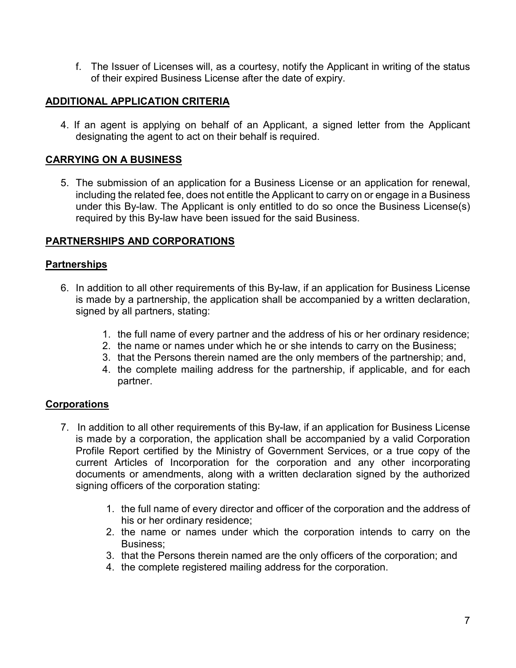f. The Issuer of Licenses will, as a courtesy, notify the Applicant in writing of the status of their expired Business License after the date of expiry.

## **ADDITIONAL APPLICATION CRITERIA**

4. If an agent is applying on behalf of an Applicant, a signed letter from the Applicant designating the agent to act on their behalf is required.

# **CARRYING ON A BUSINESS**

5. The submission of an application for a Business License or an application for renewal, including the related fee, does not entitle the Applicant to carry on or engage in a Business under this By-law. The Applicant is only entitled to do so once the Business License(s) required by this By-law have been issued for the said Business.

## **PARTNERSHIPS AND CORPORATIONS**

### **Partnerships**

- 6. In addition to all other requirements of this By-law, if an application for Business License is made by a partnership, the application shall be accompanied by a written declaration, signed by all partners, stating:
	- 1. the full name of every partner and the address of his or her ordinary residence;
	- 2. the name or names under which he or she intends to carry on the Business;
	- 3. that the Persons therein named are the only members of the partnership; and,
	- 4. the complete mailing address for the partnership, if applicable, and for each partner.

## **Corporations**

- 7. In addition to all other requirements of this By-law, if an application for Business License is made by a corporation, the application shall be accompanied by a valid Corporation Profile Report certified by the Ministry of Government Services, or a true copy of the current Articles of Incorporation for the corporation and any other incorporating documents or amendments, along with a written declaration signed by the authorized signing officers of the corporation stating:
	- 1. the full name of every director and officer of the corporation and the address of his or her ordinary residence;
	- 2. the name or names under which the corporation intends to carry on the Business;
	- 3. that the Persons therein named are the only officers of the corporation; and
	- 4. the complete registered mailing address for the corporation.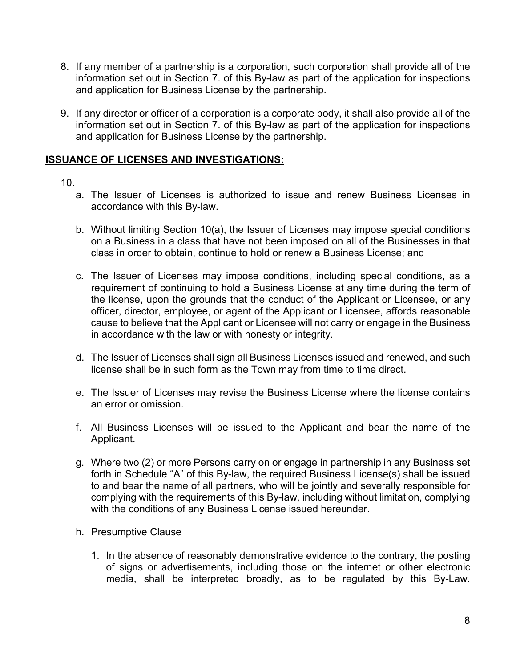- 8. If any member of a partnership is a corporation, such corporation shall provide all of the information set out in Section 7. of this By-law as part of the application for inspections and application for Business License by the partnership.
- 9. If any director or officer of a corporation is a corporate body, it shall also provide all of the information set out in Section 7. of this By-law as part of the application for inspections and application for Business License by the partnership.

## **ISSUANCE OF LICENSES AND INVESTIGATIONS:**

## 10.

- a. The Issuer of Licenses is authorized to issue and renew Business Licenses in accordance with this By-law.
- b. Without limiting Section 10(a), the Issuer of Licenses may impose special conditions on a Business in a class that have not been imposed on all of the Businesses in that class in order to obtain, continue to hold or renew a Business License; and
- c. The Issuer of Licenses may impose conditions, including special conditions, as a requirement of continuing to hold a Business License at any time during the term of the license, upon the grounds that the conduct of the Applicant or Licensee, or any officer, director, employee, or agent of the Applicant or Licensee, affords reasonable cause to believe that the Applicant or Licensee will not carry or engage in the Business in accordance with the law or with honesty or integrity.
- d. The Issuer of Licenses shall sign all Business Licenses issued and renewed, and such license shall be in such form as the Town may from time to time direct.
- e. The Issuer of Licenses may revise the Business License where the license contains an error or omission.
- f. All Business Licenses will be issued to the Applicant and bear the name of the Applicant.
- g. Where two (2) or more Persons carry on or engage in partnership in any Business set forth in Schedule "A" of this By-law, the required Business License(s) shall be issued to and bear the name of all partners, who will be jointly and severally responsible for complying with the requirements of this By-law, including without limitation, complying with the conditions of any Business License issued hereunder.
- h. Presumptive Clause
	- 1. In the absence of reasonably demonstrative evidence to the contrary, the posting of signs or advertisements, including those on the internet or other electronic media, shall be interpreted broadly, as to be regulated by this By-Law.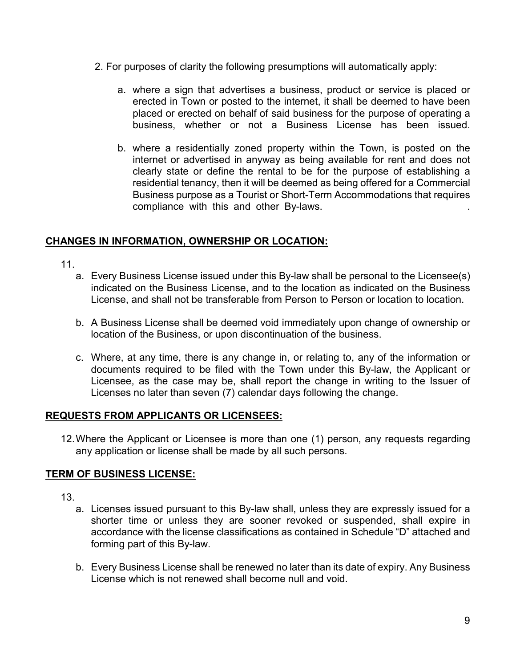- 2. For purposes of clarity the following presumptions will automatically apply:
	- a. where a sign that advertises a business, product or service is placed or erected in Town or posted to the internet, it shall be deemed to have been placed or erected on behalf of said business for the purpose of operating a business, whether or not a Business License has been issued.
	- b. where a residentially zoned property within the Town, is posted on the internet or advertised in anyway as being available for rent and does not clearly state or define the rental to be for the purpose of establishing a residential tenancy, then it will be deemed as being offered for a Commercial Business purpose as a Tourist or Short-Term Accommodations that requires compliance with this and other By-laws. .

# **CHANGES IN INFORMATION, OWNERSHIP OR LOCATION:**

- 11.
	- a. Every Business License issued under this By-law shall be personal to the Licensee(s) indicated on the Business License, and to the location as indicated on the Business License, and shall not be transferable from Person to Person or location to location.
	- b. A Business License shall be deemed void immediately upon change of ownership or location of the Business, or upon discontinuation of the business.
	- c. Where, at any time, there is any change in, or relating to, any of the information or documents required to be filed with the Town under this By-law, the Applicant or Licensee, as the case may be, shall report the change in writing to the Issuer of Licenses no later than seven (7) calendar days following the change.

## **REQUESTS FROM APPLICANTS OR LICENSEES:**

12.Where the Applicant or Licensee is more than one (1) person, any requests regarding any application or license shall be made by all such persons.

## **TERM OF BUSINESS LICENSE:**

- 13.
	- a. Licenses issued pursuant to this By-law shall, unless they are expressly issued for a shorter time or unless they are sooner revoked or suspended, shall expire in accordance with the license classifications as contained in Schedule "D" attached and forming part of this By-law.
	- b. Every Business License shall be renewed no later than its date of expiry. Any Business License which is not renewed shall become null and void.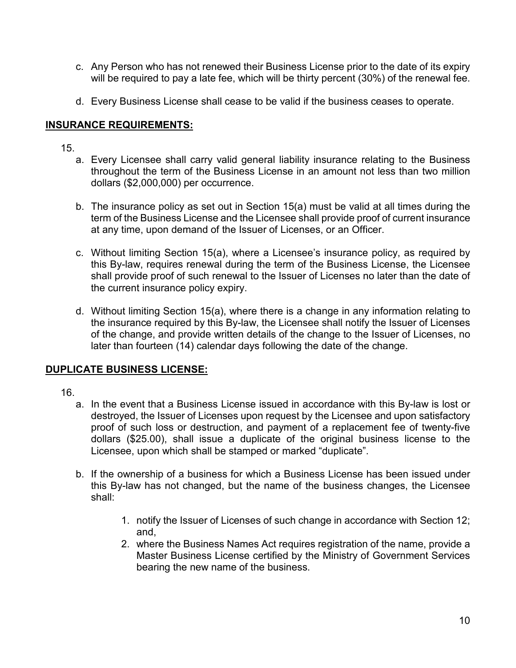- c. Any Person who has not renewed their Business License prior to the date of its expiry will be required to pay a late fee, which will be thirty percent (30%) of the renewal fee.
- d. Every Business License shall cease to be valid if the business ceases to operate.

## **INSURANCE REQUIREMENTS:**

15.

- a. Every Licensee shall carry valid general liability insurance relating to the Business throughout the term of the Business License in an amount not less than two million dollars (\$2,000,000) per occurrence.
- b. The insurance policy as set out in Section 15(a) must be valid at all times during the term of the Business License and the Licensee shall provide proof of current insurance at any time, upon demand of the Issuer of Licenses, or an Officer.
- c. Without limiting Section 15(a), where a Licensee's insurance policy, as required by this By-law, requires renewal during the term of the Business License, the Licensee shall provide proof of such renewal to the Issuer of Licenses no later than the date of the current insurance policy expiry.
- d. Without limiting Section 15(a), where there is a change in any information relating to the insurance required by this By-law, the Licensee shall notify the Issuer of Licenses of the change, and provide written details of the change to the Issuer of Licenses, no later than fourteen (14) calendar days following the date of the change.

# **DUPLICATE BUSINESS LICENSE:**

- 16.
	- a. In the event that a Business License issued in accordance with this By-law is lost or destroyed, the Issuer of Licenses upon request by the Licensee and upon satisfactory proof of such loss or destruction, and payment of a replacement fee of twenty-five dollars (\$25.00), shall issue a duplicate of the original business license to the Licensee, upon which shall be stamped or marked "duplicate".
	- b. If the ownership of a business for which a Business License has been issued under this By-law has not changed, but the name of the business changes, the Licensee shall:
		- 1. notify the Issuer of Licenses of such change in accordance with Section 12; and,
		- 2. where the Business Names Act requires registration of the name, provide a Master Business License certified by the Ministry of Government Services bearing the new name of the business.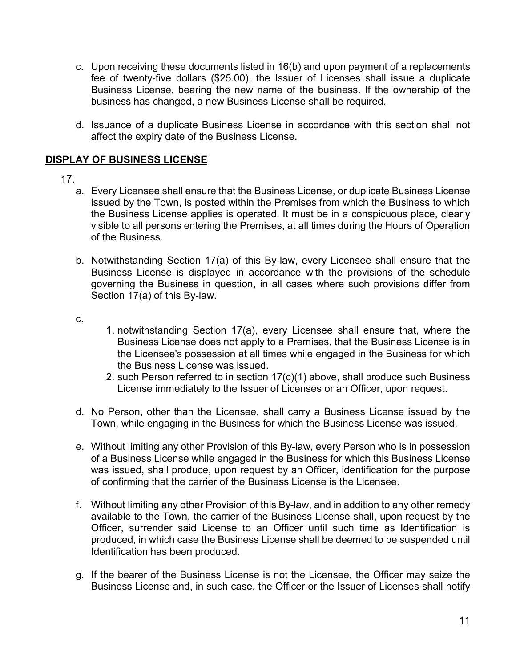- c. Upon receiving these documents listed in 16(b) and upon payment of a replacements fee of twenty-five dollars (\$25.00), the Issuer of Licenses shall issue a duplicate Business License, bearing the new name of the business. If the ownership of the business has changed, a new Business License shall be required.
- d. Issuance of a duplicate Business License in accordance with this section shall not affect the expiry date of the Business License.

# **DISPLAY OF BUSINESS LICENSE**

- 17.
	- a. Every Licensee shall ensure that the Business License, or duplicate Business License issued by the Town, is posted within the Premises from which the Business to which the Business License applies is operated. It must be in a conspicuous place, clearly visible to all persons entering the Premises, at all times during the Hours of Operation of the Business.
	- b. Notwithstanding Section 17(a) of this By-law, every Licensee shall ensure that the Business License is displayed in accordance with the provisions of the schedule governing the Business in question, in all cases where such provisions differ from Section 17(a) of this By-law.
	- c.
- 1. notwithstanding Section 17(a), every Licensee shall ensure that, where the Business License does not apply to a Premises, that the Business License is in the Licensee's possession at all times while engaged in the Business for which the Business License was issued.
- 2. such Person referred to in section 17(c)(1) above, shall produce such Business License immediately to the Issuer of Licenses or an Officer, upon request.
- d. No Person, other than the Licensee, shall carry a Business License issued by the Town, while engaging in the Business for which the Business License was issued.
- e. Without limiting any other Provision of this By-law, every Person who is in possession of a Business License while engaged in the Business for which this Business License was issued, shall produce, upon request by an Officer, identification for the purpose of confirming that the carrier of the Business License is the Licensee.
- f. Without limiting any other Provision of this By-law, and in addition to any other remedy available to the Town, the carrier of the Business License shall, upon request by the Officer, surrender said License to an Officer until such time as Identification is produced, in which case the Business License shall be deemed to be suspended until Identification has been produced.
- g. If the bearer of the Business License is not the Licensee, the Officer may seize the Business License and, in such case, the Officer or the Issuer of Licenses shall notify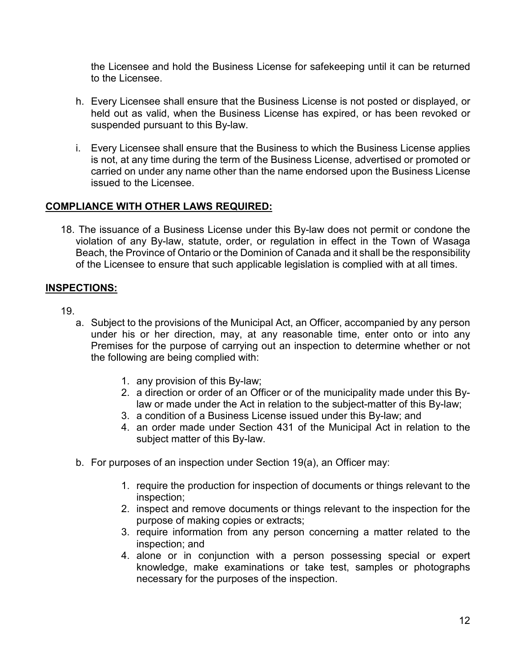the Licensee and hold the Business License for safekeeping until it can be returned to the Licensee.

- h. Every Licensee shall ensure that the Business License is not posted or displayed, or held out as valid, when the Business License has expired, or has been revoked or suspended pursuant to this By-law.
- i. Every Licensee shall ensure that the Business to which the Business License applies is not, at any time during the term of the Business License, advertised or promoted or carried on under any name other than the name endorsed upon the Business License issued to the Licensee.

## **COMPLIANCE WITH OTHER LAWS REQUIRED:**

18. The issuance of a Business License under this By-law does not permit or condone the violation of any By-law, statute, order, or regulation in effect in the Town of Wasaga Beach, the Province of Ontario or the Dominion of Canada and it shall be the responsibility of the Licensee to ensure that such applicable legislation is complied with at all times.

# **INSPECTIONS:**

- 19.
	- a. Subject to the provisions of the Municipal Act, an Officer, accompanied by any person under his or her direction, may, at any reasonable time, enter onto or into any Premises for the purpose of carrying out an inspection to determine whether or not the following are being complied with:
		- 1. any provision of this By-law;
		- 2. a direction or order of an Officer or of the municipality made under this Bylaw or made under the Act in relation to the subject-matter of this By-law;
		- 3. a condition of a Business License issued under this By-law; and
		- 4. an order made under Section 431 of the Municipal Act in relation to the subject matter of this By-law.
	- b. For purposes of an inspection under Section 19(a), an Officer may:
		- 1. require the production for inspection of documents or things relevant to the inspection;
		- 2. inspect and remove documents or things relevant to the inspection for the purpose of making copies or extracts;
		- 3. require information from any person concerning a matter related to the inspection; and
		- 4. alone or in conjunction with a person possessing special or expert knowledge, make examinations or take test, samples or photographs necessary for the purposes of the inspection.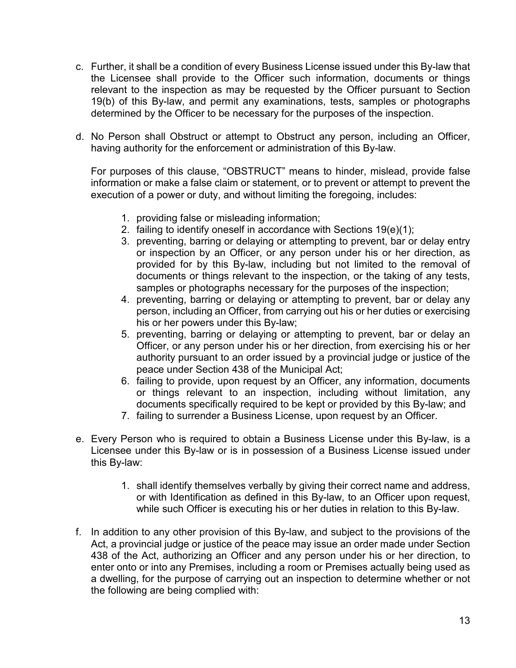- c. Further, it shall be a condition of every Business License issued under this By-law that the Licensee shall provide to the Officer such information, documents or things relevant to the inspection as may be requested by the Officer pursuant to Section 19(b) of this By-law, and permit any examinations, tests, samples or photographs determined by the Officer to be necessary for the purposes of the inspection.
- d. No Person shall Obstruct or attempt to Obstruct any person, including an Officer, having authority for the enforcement or administration of this By-law.

For purposes of this clause, "OBSTRUCT" means to hinder, mislead, provide false information or make a false claim or statement, or to prevent or attempt to prevent the execution of a power or duty, and without limiting the foregoing, includes:

- 1. providing false or misleading information;
- 2. failing to identify oneself in accordance with Sections 19(e)(1);
- 3. preventing, barring or delaying or attempting to prevent, bar or delay entry or inspection by an Officer, or any person under his or her direction, as provided for by this By-law, including but not limited to the removal of documents or things relevant to the inspection, or the taking of any tests, samples or photographs necessary for the purposes of the inspection;
- 4. preventing, barring or delaying or attempting to prevent, bar or delay any person, including an Officer, from carrying out his or her duties or exercising his or her powers under this By-law;
- 5. preventing, barring or delaying or attempting to prevent, bar or delay an Officer, or any person under his or her direction, from exercising his or her authority pursuant to an order issued by a provincial judge or justice of the peace under Section 438 of the Municipal Act;
- 6. failing to provide, upon request by an Officer, any information, documents or things relevant to an inspection, including without limitation, any documents specifically required to be kept or provided by this By-law; and
- 7. failing to surrender a Business License, upon request by an Officer.
- e. Every Person who is required to obtain a Business License under this By-law, is a Licensee under this By-law or is in possession of a Business License issued under this By-law:
	- 1. shall identify themselves verbally by giving their correct name and address, or with Identification as defined in this By-law, to an Officer upon request, while such Officer is executing his or her duties in relation to this By-law.
- f. In addition to any other provision of this By-law, and subject to the provisions of the Act, a provincial judge or justice of the peace may issue an order made under Section 438 of the Act, authorizing an Officer and any person under his or her direction, to enter onto or into any Premises, including a room or Premises actually being used as a dwelling, for the purpose of carrying out an inspection to determine whether or not the following are being complied with: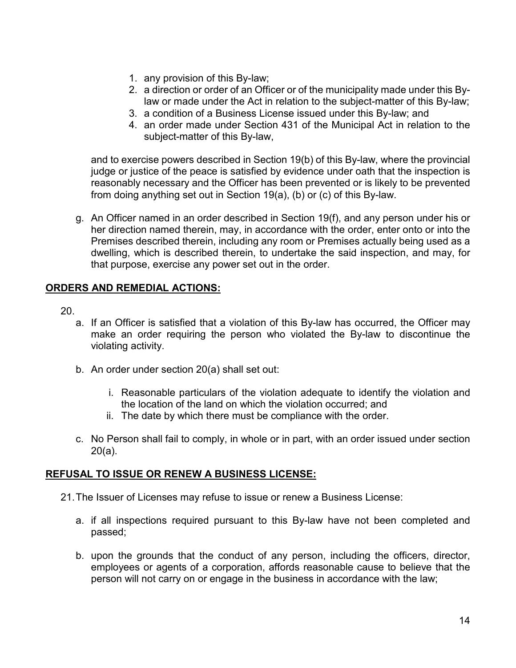- 1. any provision of this By-law;
- 2. a direction or order of an Officer or of the municipality made under this Bylaw or made under the Act in relation to the subject-matter of this By-law;
- 3. a condition of a Business License issued under this By-law; and
- 4. an order made under Section 431 of the Municipal Act in relation to the subject-matter of this By-law,

and to exercise powers described in Section 19(b) of this By-law, where the provincial judge or justice of the peace is satisfied by evidence under oath that the inspection is reasonably necessary and the Officer has been prevented or is likely to be prevented from doing anything set out in Section 19(a), (b) or (c) of this By-law.

g. An Officer named in an order described in Section 19(f), and any person under his or her direction named therein, may, in accordance with the order, enter onto or into the Premises described therein, including any room or Premises actually being used as a dwelling, which is described therein, to undertake the said inspection, and may, for that purpose, exercise any power set out in the order.

# **ORDERS AND REMEDIAL ACTIONS:**

- 20.
	- a. If an Officer is satisfied that a violation of this By-law has occurred, the Officer may make an order requiring the person who violated the By-law to discontinue the violating activity.
	- b. An order under section 20(a) shall set out:
		- i. Reasonable particulars of the violation adequate to identify the violation and the location of the land on which the violation occurred; and
		- ii. The date by which there must be compliance with the order.
	- c. No Person shall fail to comply, in whole or in part, with an order issued under section 20(a).

## **REFUSAL TO ISSUE OR RENEW A BUSINESS LICENSE:**

- 21.The Issuer of Licenses may refuse to issue or renew a Business License:
	- a. if all inspections required pursuant to this By-law have not been completed and passed;
	- b. upon the grounds that the conduct of any person, including the officers, director, employees or agents of a corporation, affords reasonable cause to believe that the person will not carry on or engage in the business in accordance with the law;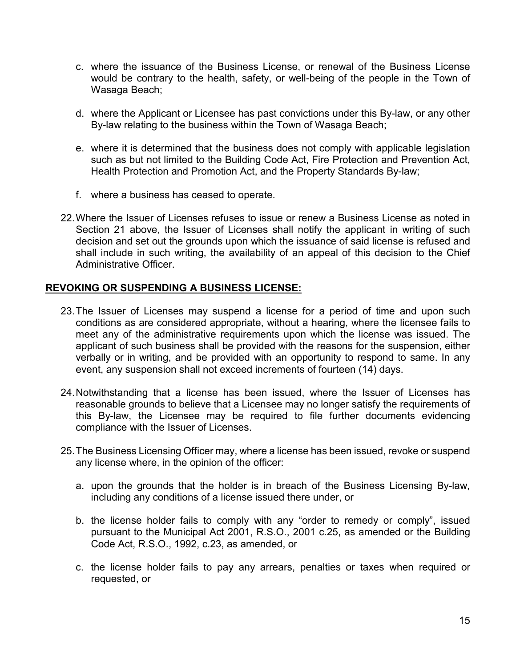- c. where the issuance of the Business License, or renewal of the Business License would be contrary to the health, safety, or well-being of the people in the Town of Wasaga Beach;
- d. where the Applicant or Licensee has past convictions under this By-law, or any other By-law relating to the business within the Town of Wasaga Beach;
- e. where it is determined that the business does not comply with applicable legislation such as but not limited to the Building Code Act, Fire Protection and Prevention Act, Health Protection and Promotion Act, and the Property Standards By-law;
- f. where a business has ceased to operate.
- 22.Where the Issuer of Licenses refuses to issue or renew a Business License as noted in Section 21 above, the Issuer of Licenses shall notify the applicant in writing of such decision and set out the grounds upon which the issuance of said license is refused and shall include in such writing, the availability of an appeal of this decision to the Chief Administrative Officer.

## **REVOKING OR SUSPENDING A BUSINESS LICENSE:**

- 23.The Issuer of Licenses may suspend a license for a period of time and upon such conditions as are considered appropriate, without a hearing, where the licensee fails to meet any of the administrative requirements upon which the license was issued. The applicant of such business shall be provided with the reasons for the suspension, either verbally or in writing, and be provided with an opportunity to respond to same. In any event, any suspension shall not exceed increments of fourteen (14) days.
- 24.Notwithstanding that a license has been issued, where the Issuer of Licenses has reasonable grounds to believe that a Licensee may no longer satisfy the requirements of this By-law, the Licensee may be required to file further documents evidencing compliance with the Issuer of Licenses.
- 25.The Business Licensing Officer may, where a license has been issued, revoke or suspend any license where, in the opinion of the officer:
	- a. upon the grounds that the holder is in breach of the Business Licensing By-law, including any conditions of a license issued there under, or
	- b. the license holder fails to comply with any "order to remedy or comply", issued pursuant to the Municipal Act 2001, R.S.O., 2001 c.25, as amended or the Building Code Act, R.S.O., 1992, c.23, as amended, or
	- c. the license holder fails to pay any arrears, penalties or taxes when required or requested, or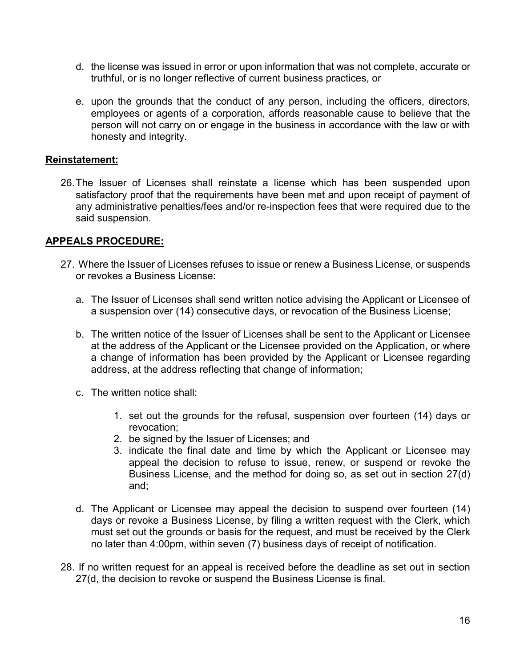- d. the license was issued in error or upon information that was not complete, accurate or truthful, or is no longer reflective of current business practices, or
- e. upon the grounds that the conduct of any person, including the officers, directors, employees or agents of a corporation, affords reasonable cause to believe that the person will not carry on or engage in the business in accordance with the law or with honesty and integrity.

## **Reinstatement:**

26.The Issuer of Licenses shall reinstate a license which has been suspended upon satisfactory proof that the requirements have been met and upon receipt of payment of any administrative penalties/fees and/or re-inspection fees that were required due to the said suspension.

### **APPEALS PROCEDURE:**

- 27. Where the Issuer of Licenses refuses to issue or renew a Business License, or suspends or revokes a Business License:
	- a. The Issuer of Licenses shall send written notice advising the Applicant or Licensee of a suspension over (14) consecutive days, or revocation of the Business License;
	- b. The written notice of the Issuer of Licenses shall be sent to the Applicant or Licensee at the address of the Applicant or the Licensee provided on the Application, or where a change of information has been provided by the Applicant or Licensee regarding address, at the address reflecting that change of information;
	- c. The written notice shall:
		- 1. set out the grounds for the refusal, suspension over fourteen (14) days or revocation;
		- 2. be signed by the Issuer of Licenses; and
		- 3. indicate the final date and time by which the Applicant or Licensee may appeal the decision to refuse to issue, renew, or suspend or revoke the Business License, and the method for doing so, as set out in section 27(d) and;
	- d. The Applicant or Licensee may appeal the decision to suspend over fourteen (14) days or revoke a Business License, by filing a written request with the Clerk, which must set out the grounds or basis for the request, and must be received by the Clerk no later than 4:00pm, within seven (7) business days of receipt of notification.
- 28. If no written request for an appeal is received before the deadline as set out in section 27(d, the decision to revoke or suspend the Business License is final.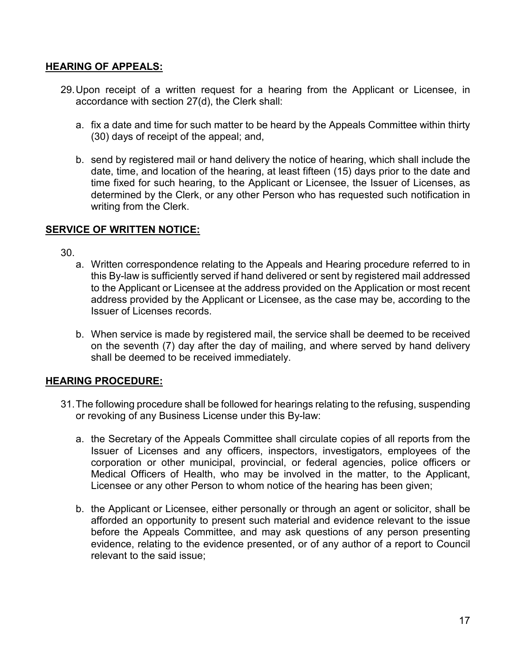## **HEARING OF APPEALS:**

- 29.Upon receipt of a written request for a hearing from the Applicant or Licensee, in accordance with section 27(d), the Clerk shall:
	- a. fix a date and time for such matter to be heard by the Appeals Committee within thirty (30) days of receipt of the appeal; and,
	- b. send by registered mail or hand delivery the notice of hearing, which shall include the date, time, and location of the hearing, at least fifteen (15) days prior to the date and time fixed for such hearing, to the Applicant or Licensee, the Issuer of Licenses, as determined by the Clerk, or any other Person who has requested such notification in writing from the Clerk.

# **SERVICE OF WRITTEN NOTICE:**

- 30.
	- a. Written correspondence relating to the Appeals and Hearing procedure referred to in this By-law is sufficiently served if hand delivered or sent by registered mail addressed to the Applicant or Licensee at the address provided on the Application or most recent address provided by the Applicant or Licensee, as the case may be, according to the Issuer of Licenses records.
	- b. When service is made by registered mail, the service shall be deemed to be received on the seventh (7) day after the day of mailing, and where served by hand delivery shall be deemed to be received immediately.

# **HEARING PROCEDURE:**

- 31.The following procedure shall be followed for hearings relating to the refusing, suspending or revoking of any Business License under this By-law:
	- a. the Secretary of the Appeals Committee shall circulate copies of all reports from the Issuer of Licenses and any officers, inspectors, investigators, employees of the corporation or other municipal, provincial, or federal agencies, police officers or Medical Officers of Health, who may be involved in the matter, to the Applicant, Licensee or any other Person to whom notice of the hearing has been given;
	- b. the Applicant or Licensee, either personally or through an agent or solicitor, shall be afforded an opportunity to present such material and evidence relevant to the issue before the Appeals Committee, and may ask questions of any person presenting evidence, relating to the evidence presented, or of any author of a report to Council relevant to the said issue;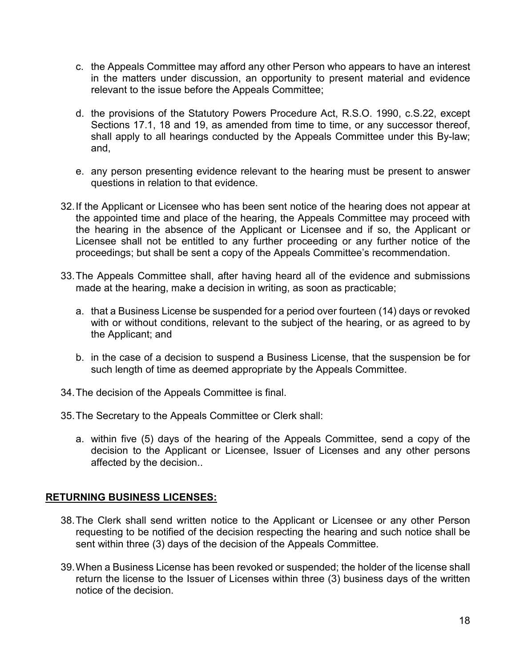- c. the Appeals Committee may afford any other Person who appears to have an interest in the matters under discussion, an opportunity to present material and evidence relevant to the issue before the Appeals Committee;
- d. the provisions of the Statutory Powers Procedure Act, R.S.O. 1990, c.S.22, except Sections 17.1, 18 and 19, as amended from time to time, or any successor thereof, shall apply to all hearings conducted by the Appeals Committee under this By-law; and,
- e. any person presenting evidence relevant to the hearing must be present to answer questions in relation to that evidence.
- 32.If the Applicant or Licensee who has been sent notice of the hearing does not appear at the appointed time and place of the hearing, the Appeals Committee may proceed with the hearing in the absence of the Applicant or Licensee and if so, the Applicant or Licensee shall not be entitled to any further proceeding or any further notice of the proceedings; but shall be sent a copy of the Appeals Committee's recommendation.
- 33.The Appeals Committee shall, after having heard all of the evidence and submissions made at the hearing, make a decision in writing, as soon as practicable;
	- a. that a Business License be suspended for a period over fourteen (14) days or revoked with or without conditions, relevant to the subject of the hearing, or as agreed to by the Applicant; and
	- b. in the case of a decision to suspend a Business License, that the suspension be for such length of time as deemed appropriate by the Appeals Committee.
- 34.The decision of the Appeals Committee is final.
- 35.The Secretary to the Appeals Committee or Clerk shall:
	- a. within five (5) days of the hearing of the Appeals Committee, send a copy of the decision to the Applicant or Licensee, Issuer of Licenses and any other persons affected by the decision..

## **RETURNING BUSINESS LICENSES:**

- 38.The Clerk shall send written notice to the Applicant or Licensee or any other Person requesting to be notified of the decision respecting the hearing and such notice shall be sent within three (3) days of the decision of the Appeals Committee.
- 39.When a Business License has been revoked or suspended; the holder of the license shall return the license to the Issuer of Licenses within three (3) business days of the written notice of the decision.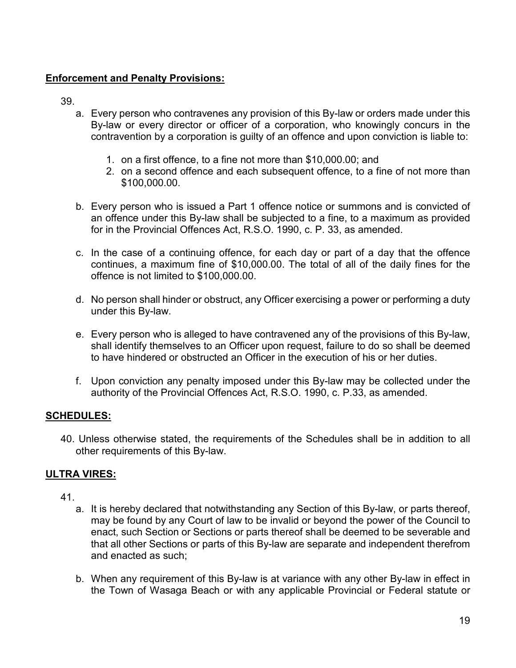# **Enforcement and Penalty Provisions:**

39.

- a. Every person who contravenes any provision of this By-law or orders made under this By-law or every director or officer of a corporation, who knowingly concurs in the contravention by a corporation is guilty of an offence and upon conviction is liable to:
	- 1. on a first offence, to a fine not more than \$10,000.00; and
	- 2. on a second offence and each subsequent offence, to a fine of not more than \$100,000.00.
- b. Every person who is issued a Part 1 offence notice or summons and is convicted of an offence under this By-law shall be subjected to a fine, to a maximum as provided for in the Provincial Offences Act, R.S.O. 1990, c. P. 33, as amended.
- c. In the case of a continuing offence, for each day or part of a day that the offence continues, a maximum fine of \$10,000.00. The total of all of the daily fines for the offence is not limited to \$100,000.00.
- d. No person shall hinder or obstruct, any Officer exercising a power or performing a duty under this By-law.
- e. Every person who is alleged to have contravened any of the provisions of this By-law, shall identify themselves to an Officer upon request, failure to do so shall be deemed to have hindered or obstructed an Officer in the execution of his or her duties.
- f. Upon conviction any penalty imposed under this By-law may be collected under the authority of the Provincial Offences Act, R.S.O. 1990, c. P.33, as amended.

# **SCHEDULES:**

40. Unless otherwise stated, the requirements of the Schedules shall be in addition to all other requirements of this By-law.

# **ULTRA VIRES:**

- 41.
	- a. It is hereby declared that notwithstanding any Section of this By-law, or parts thereof, may be found by any Court of law to be invalid or beyond the power of the Council to enact, such Section or Sections or parts thereof shall be deemed to be severable and that all other Sections or parts of this By-law are separate and independent therefrom and enacted as such;
	- b. When any requirement of this By-law is at variance with any other By-law in effect in the Town of Wasaga Beach or with any applicable Provincial or Federal statute or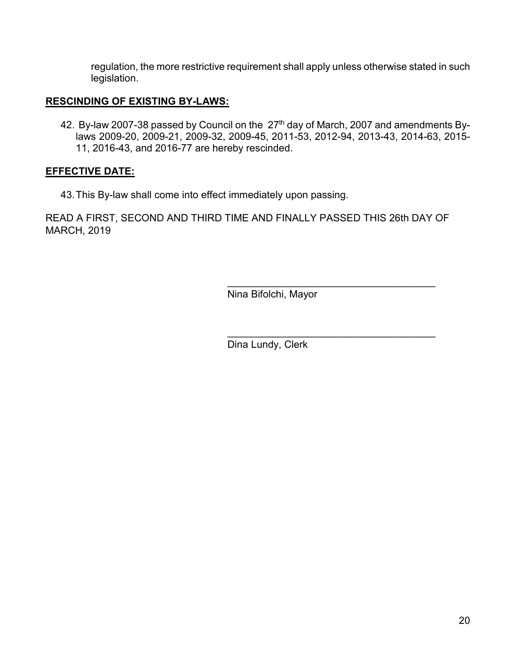regulation, the more restrictive requirement shall apply unless otherwise stated in such legislation.

# **RESCINDING OF EXISTING BY-LAWS:**

42. By-law 2007-38 passed by Council on the 27<sup>th</sup> day of March, 2007 and amendments Bylaws 2009-20, 2009-21, 2009-32, 2009-45, 2011-53, 2012-94, 2013-43, 2014-63, 2015- 11, 2016-43, and 2016-77 are hereby rescinded.

## **EFFECTIVE DATE:**

43.This By-law shall come into effect immediately upon passing.

READ A FIRST, SECOND AND THIRD TIME AND FINALLY PASSED THIS 26th DAY OF MARCH, 2019

Nina Bifolchi, Mayor

\_\_\_\_\_\_\_\_\_\_\_\_\_\_\_\_\_\_\_\_\_\_\_\_\_\_\_\_\_\_\_\_\_\_\_\_\_

\_\_\_\_\_\_\_\_\_\_\_\_\_\_\_\_\_\_\_\_\_\_\_\_\_\_\_\_\_\_\_\_\_\_\_\_\_

Dina Lundy, Clerk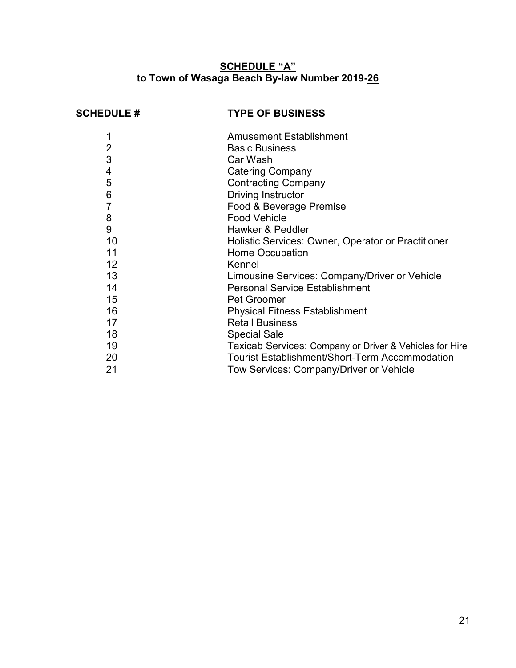## **SCHEDULE "A" to Town of Wasaga Beach By-law Number 2019-26**

# **SCHEDULE # TYPE OF BUSINESS**

|    | <b>Amusement Establishment</b>                          |
|----|---------------------------------------------------------|
| 2  | <b>Basic Business</b>                                   |
| 3  | Car Wash                                                |
| 4  | <b>Catering Company</b>                                 |
| 5  | <b>Contracting Company</b>                              |
| 6  | <b>Driving Instructor</b>                               |
|    | Food & Beverage Premise                                 |
| 8  | <b>Food Vehicle</b>                                     |
| 9  | Hawker & Peddler                                        |
| 10 | Holistic Services: Owner, Operator or Practitioner      |
| 11 | Home Occupation                                         |
| 12 | Kennel                                                  |
| 13 | Limousine Services: Company/Driver or Vehicle           |
| 14 | <b>Personal Service Establishment</b>                   |
| 15 | <b>Pet Groomer</b>                                      |
| 16 | <b>Physical Fitness Establishment</b>                   |
| 17 | <b>Retail Business</b>                                  |
| 18 | <b>Special Sale</b>                                     |
| 19 | Taxicab Services: Company or Driver & Vehicles for Hire |
| 20 | <b>Tourist Establishment/Short-Term Accommodation</b>   |
| 21 | Tow Services: Company/Driver or Vehicle                 |
|    |                                                         |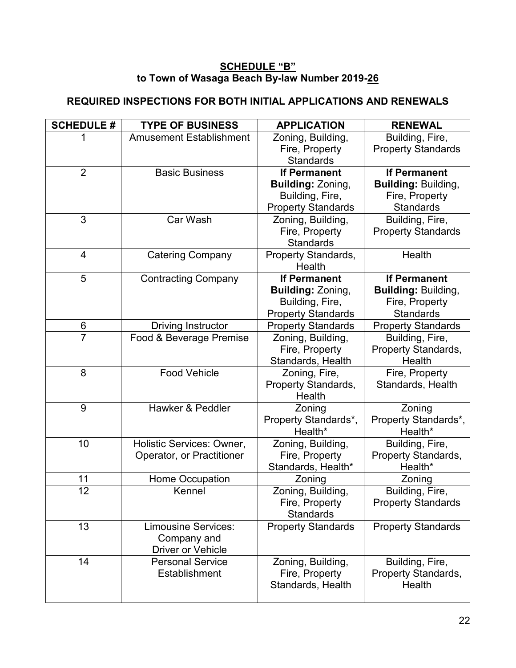# **SCHEDULE "B" to Town of Wasaga Beach By-law Number 2019-26**

# **REQUIRED INSPECTIONS FOR BOTH INITIAL APPLICATIONS AND RENEWALS**

| <b>SCHEDULE #</b> | <b>TYPE OF BUSINESS</b>          | <b>APPLICATION</b>                   | <b>RENEWAL</b>                      |
|-------------------|----------------------------------|--------------------------------------|-------------------------------------|
|                   | <b>Amusement Establishment</b>   | Zoning, Building,                    | Building, Fire,                     |
|                   |                                  | Fire, Property                       | <b>Property Standards</b>           |
|                   |                                  | <b>Standards</b>                     |                                     |
| $\overline{2}$    | <b>Basic Business</b>            | <b>If Permanent</b>                  | <b>If Permanent</b>                 |
|                   |                                  | <b>Building: Zoning,</b>             | <b>Building: Building,</b>          |
|                   |                                  | Building, Fire,                      | Fire, Property                      |
|                   |                                  | <b>Property Standards</b>            | <b>Standards</b>                    |
| 3                 | Car Wash                         | Zoning, Building,                    | Building, Fire,                     |
|                   |                                  | Fire, Property                       | <b>Property Standards</b>           |
|                   |                                  | <b>Standards</b>                     |                                     |
| $\overline{4}$    | <b>Catering Company</b>          | <b>Property Standards,</b>           | Health                              |
|                   |                                  | Health                               |                                     |
| 5                 | <b>Contracting Company</b>       | <b>If Permanent</b>                  | <b>If Permanent</b>                 |
|                   |                                  | <b>Building: Zoning,</b>             | <b>Building: Building,</b>          |
|                   |                                  | Building, Fire,                      | Fire, Property                      |
|                   |                                  | <b>Property Standards</b>            | <b>Standards</b>                    |
| $6\phantom{1}6$   | <b>Driving Instructor</b>        | <b>Property Standards</b>            | <b>Property Standards</b>           |
| $\overline{7}$    | Food & Beverage Premise          | Zoning, Building,                    | Building, Fire,                     |
|                   |                                  | Fire, Property                       | Property Standards,                 |
| 8                 | <b>Food Vehicle</b>              | Standards, Health                    | Health                              |
|                   |                                  | Zoning, Fire,                        | Fire, Property<br>Standards, Health |
|                   |                                  | <b>Property Standards,</b><br>Health |                                     |
| 9                 | Hawker & Peddler                 | Zoning                               | Zoning                              |
|                   |                                  | Property Standards*,                 | Property Standards*,                |
|                   |                                  | Health*                              | Health*                             |
| 10                | <b>Holistic Services: Owner,</b> | Zoning, Building,                    | Building, Fire,                     |
|                   | Operator, or Practitioner        | Fire, Property                       | Property Standards,                 |
|                   |                                  | Standards, Health*                   | Health*                             |
| 11                | Home Occupation                  | Zoning                               | Zoning                              |
| 12                | Kennel                           | Zoning, Building,                    | Building, Fire,                     |
|                   |                                  | Fire, Property                       | <b>Property Standards</b>           |
|                   |                                  | <b>Standards</b>                     |                                     |
| 13                | <b>Limousine Services:</b>       | <b>Property Standards</b>            | <b>Property Standards</b>           |
|                   | Company and                      |                                      |                                     |
|                   | <b>Driver or Vehicle</b>         |                                      |                                     |
| 14                | <b>Personal Service</b>          | Zoning, Building,                    | Building, Fire,                     |
|                   | Establishment                    | Fire, Property                       | <b>Property Standards,</b>          |
|                   |                                  | Standards, Health                    | Health                              |
|                   |                                  |                                      |                                     |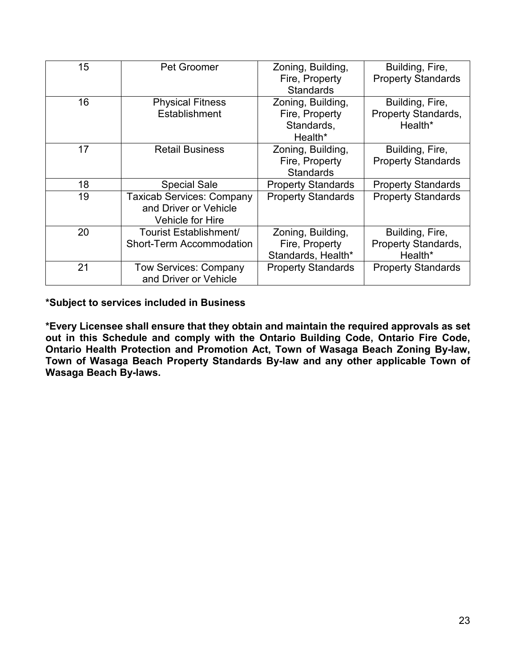| 15 | Pet Groomer                                                                          | Zoning, Building,<br>Fire, Property<br><b>Standards</b>      | Building, Fire,<br><b>Property Standards</b>      |
|----|--------------------------------------------------------------------------------------|--------------------------------------------------------------|---------------------------------------------------|
| 16 | <b>Physical Fitness</b><br>Establishment                                             | Zoning, Building,<br>Fire, Property<br>Standards,<br>Health* | Building, Fire,<br>Property Standards,<br>Health* |
| 17 | <b>Retail Business</b>                                                               | Zoning, Building,<br>Fire, Property<br><b>Standards</b>      | Building, Fire,<br><b>Property Standards</b>      |
| 18 | <b>Special Sale</b>                                                                  | <b>Property Standards</b>                                    | <b>Property Standards</b>                         |
| 19 | <b>Taxicab Services: Company</b><br>and Driver or Vehicle<br><b>Vehicle for Hire</b> | <b>Property Standards</b>                                    | <b>Property Standards</b>                         |
| 20 | Tourist Establishment/<br><b>Short-Term Accommodation</b>                            | Zoning, Building,<br>Fire, Property<br>Standards, Health*    | Building, Fire,<br>Property Standards,<br>Health* |
| 21 | <b>Tow Services: Company</b><br>and Driver or Vehicle                                | <b>Property Standards</b>                                    | <b>Property Standards</b>                         |

# **\*Subject to services included in Business**

**\*Every Licensee shall ensure that they obtain and maintain the required approvals as set out in this Schedule and comply with the Ontario Building Code, Ontario Fire Code, Ontario Health Protection and Promotion Act, Town of Wasaga Beach Zoning By-law, Town of Wasaga Beach Property Standards By-law and any other applicable Town of Wasaga Beach By-laws.**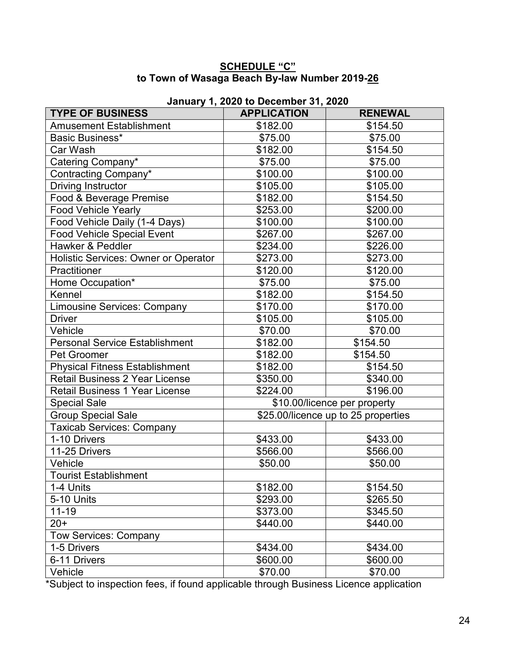## **SCHEDULE "C" to Town of Wasaga Beach By-law Number 2019-26**

| January 1, 2020 to December 31, 2020  |                              |                                     |  |  |
|---------------------------------------|------------------------------|-------------------------------------|--|--|
| <b>TYPE OF BUSINESS</b>               | <b>APPLICATION</b>           | <b>RENEWAL</b>                      |  |  |
| <b>Amusement Establishment</b>        | \$182.00                     | \$154.50                            |  |  |
| Basic Business*                       | \$75.00                      | \$75.00                             |  |  |
| Car Wash                              | \$182.00                     | \$154.50                            |  |  |
| Catering Company*                     | \$75.00                      | \$75.00                             |  |  |
| Contracting Company*                  | \$100.00                     | \$100.00                            |  |  |
| <b>Driving Instructor</b>             | \$105.00                     | \$105.00                            |  |  |
| Food & Beverage Premise               | \$182.00                     | $\overline{$}154.50$                |  |  |
| <b>Food Vehicle Yearly</b>            | \$253.00                     | \$200.00                            |  |  |
| Food Vehicle Daily (1-4 Days)         | \$100.00                     | \$100.00                            |  |  |
| <b>Food Vehicle Special Event</b>     | \$267.00                     | \$267.00                            |  |  |
| Hawker & Peddler                      | \$234.00                     | \$226.00                            |  |  |
| Holistic Services: Owner or Operator  | \$273.00                     | \$273.00                            |  |  |
| Practitioner                          | \$120.00                     | \$120.00                            |  |  |
| Home Occupation*                      | \$75.00                      | \$75.00                             |  |  |
| Kennel                                | \$182.00                     | \$154.50                            |  |  |
| <b>Limousine Services: Company</b>    | \$170.00                     | \$170.00                            |  |  |
| <b>Driver</b>                         | \$105.00                     | \$105.00                            |  |  |
| Vehicle                               | \$70.00                      | \$70.00                             |  |  |
| <b>Personal Service Establishment</b> | \$182.00                     | \$154.50                            |  |  |
| Pet Groomer                           | \$182.00                     | \$154.50                            |  |  |
| <b>Physical Fitness Establishment</b> | \$182.00                     | \$154.50                            |  |  |
| <b>Retail Business 2 Year License</b> | \$350.00                     | \$340.00                            |  |  |
| <b>Retail Business 1 Year License</b> | \$224.00                     | $\overline{$}196.00$                |  |  |
| <b>Special Sale</b>                   | \$10.00/licence per property |                                     |  |  |
| Group Special Sale                    |                              | \$25.00/licence up to 25 properties |  |  |
| <b>Taxicab Services: Company</b>      |                              |                                     |  |  |
| 1-10 Drivers                          | \$433.00                     | \$433.00                            |  |  |
| 11-25 Drivers                         | \$566.00                     | \$566.00                            |  |  |
| Vehicle                               | \$50.00                      | \$50.00                             |  |  |
| <b>Tourist Establishment</b>          |                              |                                     |  |  |
| 1-4 Units                             | \$182.00                     | \$154.50                            |  |  |
| 5-10 Units                            | \$293.00                     | \$265.50                            |  |  |
| $11 - 19$                             | \$373.00                     | \$345.50                            |  |  |
| $20+$                                 | \$440.00                     | \$440.00                            |  |  |
| <b>Tow Services: Company</b>          |                              |                                     |  |  |
| 1-5 Drivers                           | \$434.00                     | \$434.00                            |  |  |
| 6-11 Drivers                          | \$600.00                     | \$600.00                            |  |  |
| Vehicle                               | \$70.00                      | \$70.00                             |  |  |

\*Subject to inspection fees, if found applicable through Business Licence application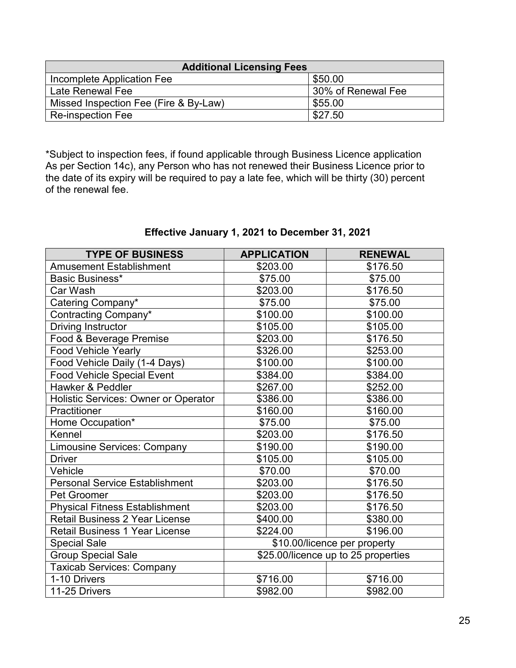| <b>Additional Licensing Fees</b>      |                    |  |  |
|---------------------------------------|--------------------|--|--|
| Incomplete Application Fee            | \$50.00            |  |  |
| Late Renewal Fee                      | 30% of Renewal Fee |  |  |
| Missed Inspection Fee (Fire & By-Law) | \$55.00            |  |  |
| <b>Re-inspection Fee</b>              | \$27.50            |  |  |

\*Subject to inspection fees, if found applicable through Business Licence application As per Section 14c), any Person who has not renewed their Business Licence prior to the date of its expiry will be required to pay a late fee, which will be thirty (30) percent of the renewal fee.

| <b>TYPE OF BUSINESS</b>                     | <b>APPLICATION</b>                  | <b>RENEWAL</b> |
|---------------------------------------------|-------------------------------------|----------------|
| <b>Amusement Establishment</b>              | \$203.00                            | \$176.50       |
| Basic Business*                             | \$75.00                             | \$75.00        |
| Car Wash                                    | \$203.00                            | \$176.50       |
| Catering Company*                           | \$75.00                             | \$75.00        |
| Contracting Company*                        | \$100.00                            | \$100.00       |
| <b>Driving Instructor</b>                   | \$105.00                            | \$105.00       |
| Food & Beverage Premise                     | \$203.00                            | \$176.50       |
| <b>Food Vehicle Yearly</b>                  | \$326.00                            | \$253.00       |
| Food Vehicle Daily (1-4 Days)               | \$100.00                            | \$100.00       |
| <b>Food Vehicle Special Event</b>           | \$384.00                            | \$384.00       |
| <b>Hawker &amp; Peddler</b>                 | \$267.00                            | \$252.00       |
| <b>Holistic Services: Owner or Operator</b> | \$386.00                            | \$386.00       |
| Practitioner                                | \$160.00                            | \$160.00       |
| Home Occupation*                            | \$75.00                             | \$75.00        |
| Kennel                                      | \$203.00                            | \$176.50       |
| <b>Limousine Services: Company</b>          | \$190.00                            | \$190.00       |
| <b>Driver</b>                               | \$105.00                            | \$105.00       |
| Vehicle                                     | \$70.00                             | \$70.00        |
| Personal Service Establishment              | \$203.00                            | \$176.50       |
| <b>Pet Groomer</b>                          | \$203.00                            | \$176.50       |
| <b>Physical Fitness Establishment</b>       | \$203.00                            | \$176.50       |
| Retail Business 2 Year License              | \$400.00                            | \$380.00       |
| <b>Retail Business 1 Year License</b>       | \$224.00                            | \$196.00       |
| <b>Special Sale</b>                         | \$10.00/licence per property        |                |
| <b>Group Special Sale</b>                   | \$25.00/licence up to 25 properties |                |
| <b>Taxicab Services: Company</b>            |                                     |                |
| 1-10 Drivers                                | \$716.00                            | \$716.00       |
| 11-25 Drivers                               | \$982.00                            | \$982.00       |

# **Effective January 1, 2021 to December 31, 2021**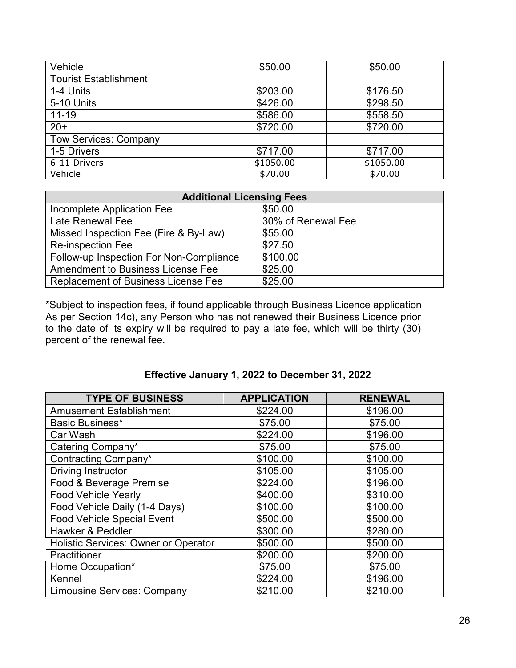| Vehicle                      | \$50.00   | \$50.00   |
|------------------------------|-----------|-----------|
| <b>Tourist Establishment</b> |           |           |
| 1-4 Units                    | \$203.00  | \$176.50  |
| 5-10 Units                   | \$426.00  | \$298.50  |
| $11 - 19$                    | \$586.00  | \$558.50  |
| $20+$                        | \$720.00  | \$720.00  |
| <b>Tow Services: Company</b> |           |           |
| 1-5 Drivers                  | \$717.00  | \$717.00  |
| 6-11 Drivers                 | \$1050.00 | \$1050.00 |
| Vehicle                      | \$70.00   | \$70.00   |

| <b>Additional Licensing Fees</b>           |                    |  |  |
|--------------------------------------------|--------------------|--|--|
| Incomplete Application Fee                 | \$50.00            |  |  |
| Late Renewal Fee                           | 30% of Renewal Fee |  |  |
| Missed Inspection Fee (Fire & By-Law)      | \$55.00            |  |  |
| <b>Re-inspection Fee</b>                   | \$27.50            |  |  |
| Follow-up Inspection For Non-Compliance    | \$100.00           |  |  |
| Amendment to Business License Fee          | \$25.00            |  |  |
| <b>Replacement of Business License Fee</b> | \$25.00            |  |  |

\*Subject to inspection fees, if found applicable through Business Licence application As per Section 14c), any Person who has not renewed their Business Licence prior to the date of its expiry will be required to pay a late fee, which will be thirty (30) percent of the renewal fee.

| <b>TYPE OF BUSINESS</b>              | <b>APPLICATION</b> | <b>RENEWAL</b> |
|--------------------------------------|--------------------|----------------|
| <b>Amusement Establishment</b>       | \$224.00           | \$196.00       |
| Basic Business*                      | \$75.00            | \$75.00        |
| Car Wash                             | \$224.00           | \$196.00       |
| Catering Company*                    | \$75.00            | \$75.00        |
| Contracting Company*                 | \$100.00           | \$100.00       |
| <b>Driving Instructor</b>            | \$105.00           | \$105.00       |
| Food & Beverage Premise              | \$224.00           | \$196.00       |
| <b>Food Vehicle Yearly</b>           | \$400.00           | \$310.00       |
| Food Vehicle Daily (1-4 Days)        | \$100.00           | \$100.00       |
| <b>Food Vehicle Special Event</b>    | \$500.00           | \$500.00       |
| Hawker & Peddler                     | \$300.00           | \$280.00       |
| Holistic Services: Owner or Operator | \$500.00           | \$500.00       |
| Practitioner                         | \$200.00           | \$200.00       |
| Home Occupation*                     | \$75.00            | \$75.00        |
| Kennel                               | \$224.00           | \$196.00       |
| <b>Limousine Services: Company</b>   | \$210.00           | \$210.00       |

# **Effective January 1, 2022 to December 31, 2022**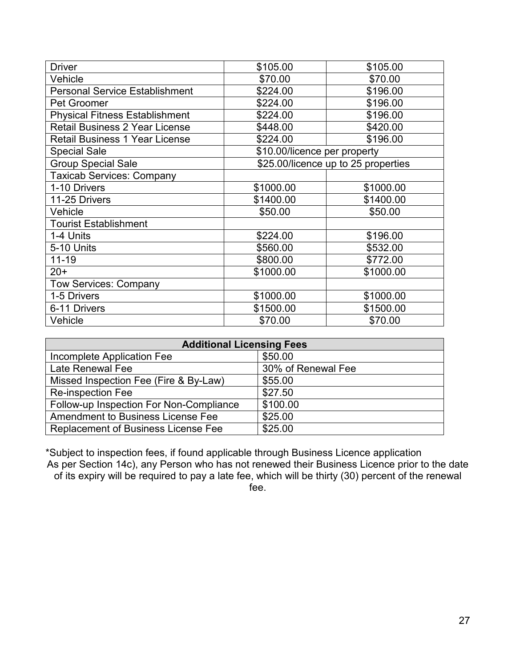| <b>Driver</b>                         | \$105.00                     | \$105.00                            |
|---------------------------------------|------------------------------|-------------------------------------|
| Vehicle                               | \$70.00                      | \$70.00                             |
| <b>Personal Service Establishment</b> | \$224.00                     | \$196.00                            |
| Pet Groomer                           | \$224.00                     | \$196.00                            |
| <b>Physical Fitness Establishment</b> | \$224.00                     | \$196.00                            |
| <b>Retail Business 2 Year License</b> | \$448.00                     | \$420.00                            |
| <b>Retail Business 1 Year License</b> | \$224.00                     | \$196.00                            |
| <b>Special Sale</b>                   | \$10.00/licence per property |                                     |
| <b>Group Special Sale</b>             |                              | \$25.00/licence up to 25 properties |
| <b>Taxicab Services: Company</b>      |                              |                                     |
| 1-10 Drivers                          | \$1000.00                    | \$1000.00                           |
| 11-25 Drivers                         | \$1400.00                    | \$1400.00                           |
| Vehicle                               | \$50.00                      | \$50.00                             |
| <b>Tourist Establishment</b>          |                              |                                     |
| 1-4 Units                             | \$224.00                     | \$196.00                            |
| 5-10 Units                            | \$560.00                     | \$532.00                            |
| $11 - 19$                             | \$800.00                     | \$772.00                            |
| $20+$                                 | \$1000.00                    | \$1000.00                           |
| <b>Tow Services: Company</b>          |                              |                                     |
| 1-5 Drivers                           | \$1000.00                    | \$1000.00                           |
| 6-11 Drivers                          | \$1500.00                    | \$1500.00                           |
| Vehicle                               | \$70.00                      | \$70.00                             |

| <b>Additional Licensing Fees</b>           |                    |  |  |
|--------------------------------------------|--------------------|--|--|
| Incomplete Application Fee                 | \$50.00            |  |  |
| Late Renewal Fee                           | 30% of Renewal Fee |  |  |
| Missed Inspection Fee (Fire & By-Law)      | \$55.00            |  |  |
| <b>Re-inspection Fee</b>                   | \$27.50            |  |  |
| Follow-up Inspection For Non-Compliance    | \$100.00           |  |  |
| Amendment to Business License Fee          | \$25.00            |  |  |
| <b>Replacement of Business License Fee</b> | \$25.00            |  |  |

\*Subject to inspection fees, if found applicable through Business Licence application As per Section 14c), any Person who has not renewed their Business Licence prior to the date of its expiry will be required to pay a late fee, which will be thirty (30) percent of the renewal fee.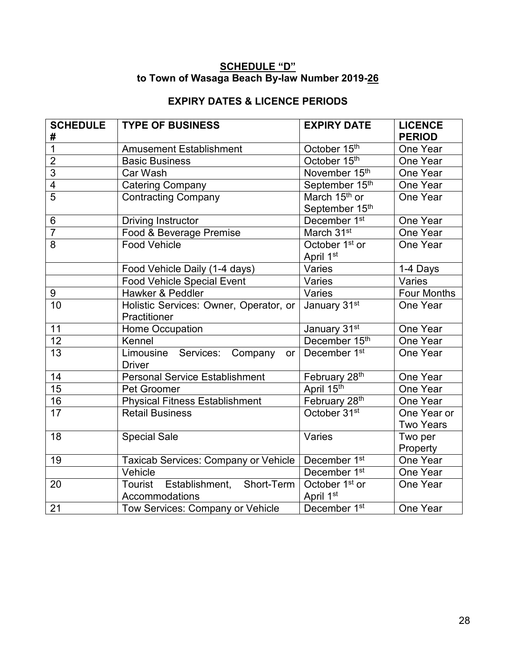## **SCHEDULE "D" to Town of Wasaga Beach By-law Number 2019-26**

# **EXPIRY DATES & LICENCE PERIODS**

| <b>SCHEDULE</b><br># | <b>TYPE OF BUSINESS</b>                                | <b>EXPIRY DATE</b>                          | <b>LICENCE</b><br><b>PERIOD</b> |
|----------------------|--------------------------------------------------------|---------------------------------------------|---------------------------------|
| $\overline{1}$       | <b>Amusement Establishment</b>                         | October 15th                                | One Year                        |
| $\overline{2}$       | <b>Basic Business</b>                                  | October 15th                                | One Year                        |
| $\overline{3}$       | Car Wash                                               | November 15th                               | One Year                        |
| $\overline{4}$       | <b>Catering Company</b>                                | September 15th                              | One Year                        |
| $\overline{5}$       | <b>Contracting Company</b>                             | March 15 <sup>th</sup> or<br>September 15th | One Year                        |
| 6                    | Driving Instructor                                     | December 1st                                | One Year                        |
| $\overline{7}$       | Food & Beverage Premise                                | March 31st                                  | One Year                        |
| 8                    | <b>Food Vehicle</b>                                    | October 1 <sup>st</sup> or<br>April 1st     | One Year                        |
|                      | Food Vehicle Daily (1-4 days)                          | Varies                                      | 1-4 Days                        |
|                      | <b>Food Vehicle Special Event</b>                      | Varies                                      | Varies                          |
| 9                    | Hawker & Peddler                                       | Varies                                      | <b>Four Months</b>              |
| 10                   | Holistic Services: Owner, Operator, or<br>Practitioner | January 31st                                | One Year                        |
| 11                   | <b>Home Occupation</b>                                 | January 31st                                | One Year                        |
| $\overline{12}$      | Kennel                                                 | December 15th                               | One Year                        |
| $\overline{13}$      | Limousine Services:<br>Company<br>or<br><b>Driver</b>  | December 1 <sup>st</sup>                    | One Year                        |
| 14                   | <b>Personal Service Establishment</b>                  | February 28 <sup>th</sup>                   | One Year                        |
| $\overline{15}$      | Pet Groomer                                            | April 15th                                  | One Year                        |
| 16                   | <b>Physical Fitness Establishment</b>                  | February 28th                               | One Year                        |
| $\overline{17}$      | <b>Retail Business</b>                                 | October 31 <sup>st</sup>                    | One Year or                     |
|                      |                                                        |                                             | <b>Two Years</b>                |
| 18                   | <b>Special Sale</b>                                    | Varies                                      | Two per                         |
|                      |                                                        |                                             | Property                        |
| 19                   | Taxicab Services: Company or Vehicle                   | December 1 <sup>st</sup>                    | One Year                        |
|                      | Vehicle                                                | December 1 <sup>st</sup>                    | One Year                        |
| 20                   | Tourist<br>Establishment, Short-Term<br>Accommodations | October 1 <sup>st</sup> or<br>April 1st     | One Year                        |
| $\overline{21}$      | Tow Services: Company or Vehicle                       | December 1st                                | One Year                        |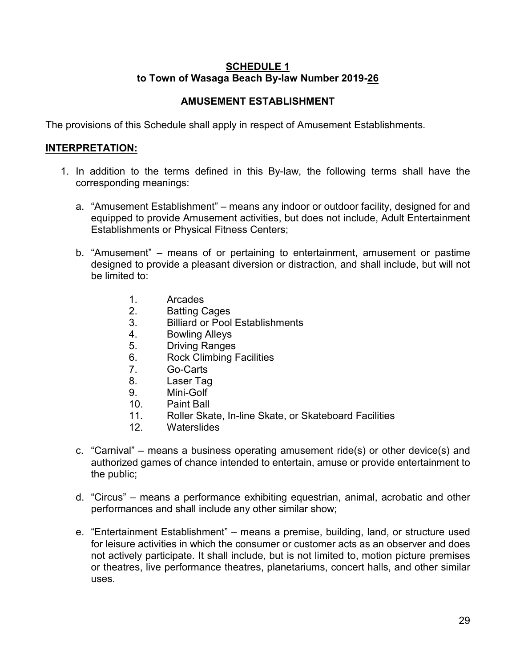## **SCHEDULE 1 to Town of Wasaga Beach By-law Number 2019-26**

# **AMUSEMENT ESTABLISHMENT**

The provisions of this Schedule shall apply in respect of Amusement Establishments.

## **INTERPRETATION:**

- 1. In addition to the terms defined in this By-law, the following terms shall have the corresponding meanings:
	- a. "Amusement Establishment" means any indoor or outdoor facility, designed for and equipped to provide Amusement activities, but does not include, Adult Entertainment Establishments or Physical Fitness Centers;
	- b. "Amusement" means of or pertaining to entertainment, amusement or pastime designed to provide a pleasant diversion or distraction, and shall include, but will not be limited to:
		- 1. Arcades
		- 2. Batting Cages
		- 3. Billiard or Pool Establishments
		- 4. Bowling Alleys
		- 5. Driving Ranges
		- 6. Rock Climbing Facilities
		- 7. Go-Carts
		- 8. Laser Tag
		- 9. Mini-Golf
		- 10. Paint Ball
		- 11. Roller Skate, In-line Skate, or Skateboard Facilities<br>12. Waterslides
		- Waterslides
	- c. "Carnival" means a business operating amusement ride(s) or other device(s) and authorized games of chance intended to entertain, amuse or provide entertainment to the public;
	- d. "Circus" means a performance exhibiting equestrian, animal, acrobatic and other performances and shall include any other similar show;
	- e. "Entertainment Establishment" means a premise, building, land, or structure used for leisure activities in which the consumer or customer acts as an observer and does not actively participate. It shall include, but is not limited to, motion picture premises or theatres, live performance theatres, planetariums, concert halls, and other similar uses.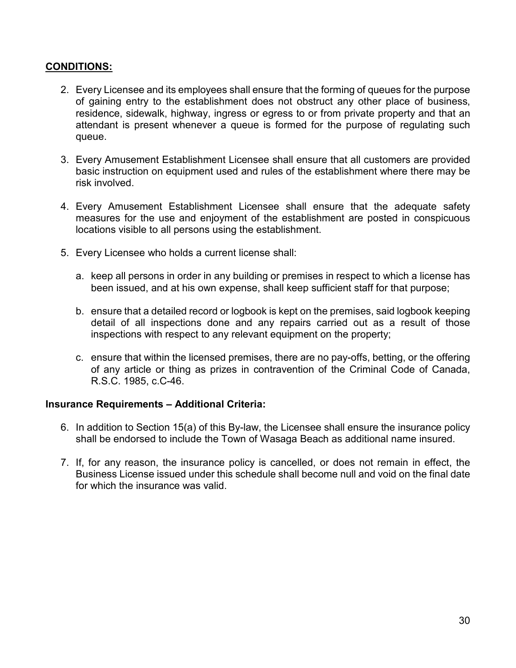# **CONDITIONS:**

- 2. Every Licensee and its employees shall ensure that the forming of queues for the purpose of gaining entry to the establishment does not obstruct any other place of business, residence, sidewalk, highway, ingress or egress to or from private property and that an attendant is present whenever a queue is formed for the purpose of regulating such queue.
- 3. Every Amusement Establishment Licensee shall ensure that all customers are provided basic instruction on equipment used and rules of the establishment where there may be risk involved.
- 4. Every Amusement Establishment Licensee shall ensure that the adequate safety measures for the use and enjoyment of the establishment are posted in conspicuous locations visible to all persons using the establishment.
- 5. Every Licensee who holds a current license shall:
	- a. keep all persons in order in any building or premises in respect to which a license has been issued, and at his own expense, shall keep sufficient staff for that purpose;
	- b. ensure that a detailed record or logbook is kept on the premises, said logbook keeping detail of all inspections done and any repairs carried out as a result of those inspections with respect to any relevant equipment on the property;
	- c. ensure that within the licensed premises, there are no pay-offs, betting, or the offering of any article or thing as prizes in contravention of the Criminal Code of Canada, R.S.C. 1985, c.C-46.

## **Insurance Requirements – Additional Criteria:**

- 6. In addition to Section 15(a) of this By-law, the Licensee shall ensure the insurance policy shall be endorsed to include the Town of Wasaga Beach as additional name insured.
- 7. If, for any reason, the insurance policy is cancelled, or does not remain in effect, the Business License issued under this schedule shall become null and void on the final date for which the insurance was valid.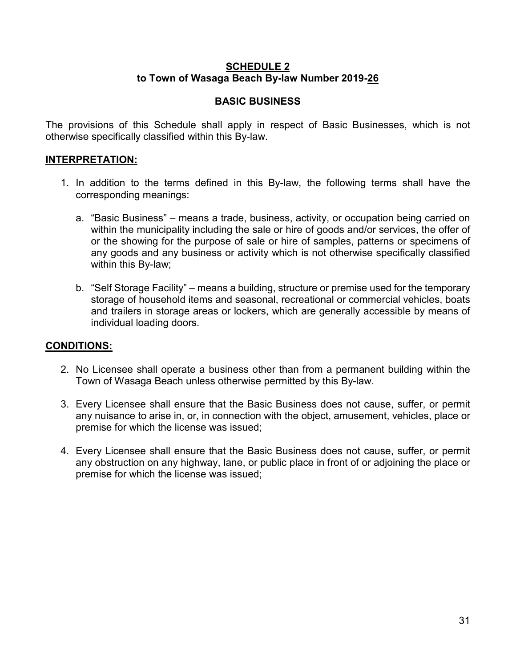## **SCHEDULE 2 to Town of Wasaga Beach By-law Number 2019-26**

## **BASIC BUSINESS**

The provisions of this Schedule shall apply in respect of Basic Businesses, which is not otherwise specifically classified within this By-law.

## **INTERPRETATION:**

- 1. In addition to the terms defined in this By-law, the following terms shall have the corresponding meanings:
	- a. "Basic Business" means a trade, business, activity, or occupation being carried on within the municipality including the sale or hire of goods and/or services, the offer of or the showing for the purpose of sale or hire of samples, patterns or specimens of any goods and any business or activity which is not otherwise specifically classified within this By-law;
	- b. "Self Storage Facility" means a building, structure or premise used for the temporary storage of household items and seasonal, recreational or commercial vehicles, boats and trailers in storage areas or lockers, which are generally accessible by means of individual loading doors.

## **CONDITIONS:**

- 2. No Licensee shall operate a business other than from a permanent building within the Town of Wasaga Beach unless otherwise permitted by this By-law.
- 3. Every Licensee shall ensure that the Basic Business does not cause, suffer, or permit any nuisance to arise in, or, in connection with the object, amusement, vehicles, place or premise for which the license was issued;
- 4. Every Licensee shall ensure that the Basic Business does not cause, suffer, or permit any obstruction on any highway, lane, or public place in front of or adjoining the place or premise for which the license was issued;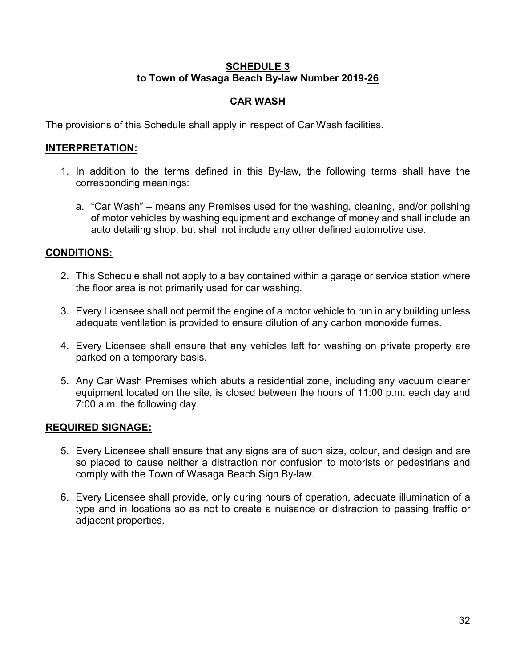## **SCHEDULE 3 to Town of Wasaga Beach By-law Number 2019-26**

# **CAR WASH**

The provisions of this Schedule shall apply in respect of Car Wash facilities.

# **INTERPRETATION:**

- 1. In addition to the terms defined in this By-law, the following terms shall have the corresponding meanings:
	- a. "Car Wash" means any Premises used for the washing, cleaning, and/or polishing of motor vehicles by washing equipment and exchange of money and shall include an auto detailing shop, but shall not include any other defined automotive use.

## **CONDITIONS:**

- 2. This Schedule shall not apply to a bay contained within a garage or service station where the floor area is not primarily used for car washing.
- 3. Every Licensee shall not permit the engine of a motor vehicle to run in any building unless adequate ventilation is provided to ensure dilution of any carbon monoxide fumes.
- 4. Every Licensee shall ensure that any vehicles left for washing on private property are parked on a temporary basis.
- 5. Any Car Wash Premises which abuts a residential zone, including any vacuum cleaner equipment located on the site, is closed between the hours of 11:00 p.m. each day and 7:00 a.m. the following day.

## **REQUIRED SIGNAGE:**

- 5. Every Licensee shall ensure that any signs are of such size, colour, and design and are so placed to cause neither a distraction nor confusion to motorists or pedestrians and comply with the Town of Wasaga Beach Sign By-law.
- 6. Every Licensee shall provide, only during hours of operation, adequate illumination of a type and in locations so as not to create a nuisance or distraction to passing traffic or adjacent properties.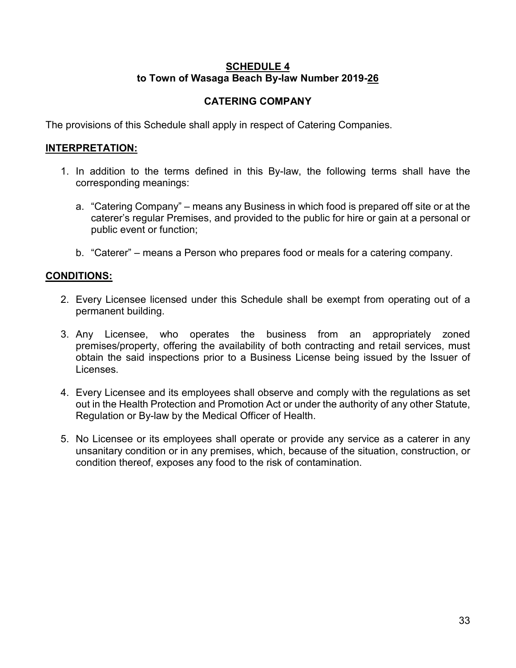## **SCHEDULE 4 to Town of Wasaga Beach By-law Number 2019-26**

# **CATERING COMPANY**

The provisions of this Schedule shall apply in respect of Catering Companies.

## **INTERPRETATION:**

- 1. In addition to the terms defined in this By-law, the following terms shall have the corresponding meanings:
	- a. "Catering Company" means any Business in which food is prepared off site or at the caterer's regular Premises, and provided to the public for hire or gain at a personal or public event or function;
	- b. "Caterer" means a Person who prepares food or meals for a catering company.

### **CONDITIONS:**

- 2. Every Licensee licensed under this Schedule shall be exempt from operating out of a permanent building.
- 3. Any Licensee, who operates the business from an appropriately zoned premises/property, offering the availability of both contracting and retail services, must obtain the said inspections prior to a Business License being issued by the Issuer of Licenses.
- 4. Every Licensee and its employees shall observe and comply with the regulations as set out in the Health Protection and Promotion Act or under the authority of any other Statute, Regulation or By-law by the Medical Officer of Health.
- 5. No Licensee or its employees shall operate or provide any service as a caterer in any unsanitary condition or in any premises, which, because of the situation, construction, or condition thereof, exposes any food to the risk of contamination.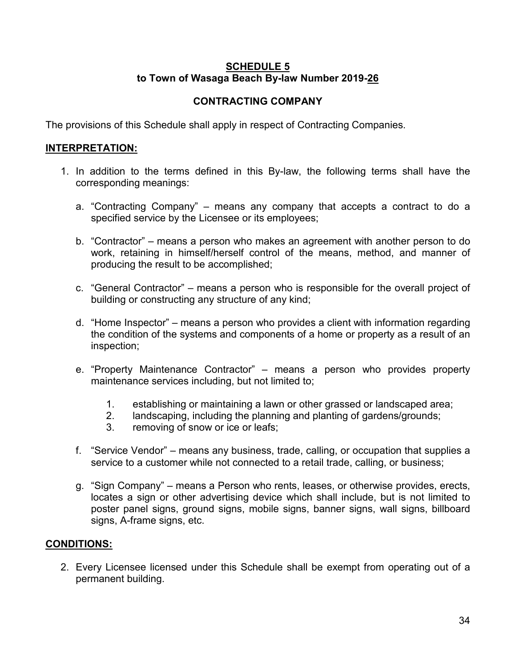## **SCHEDULE 5 to Town of Wasaga Beach By-law Number 2019-26**

# **CONTRACTING COMPANY**

The provisions of this Schedule shall apply in respect of Contracting Companies.

## **INTERPRETATION:**

- 1. In addition to the terms defined in this By-law, the following terms shall have the corresponding meanings:
	- a. "Contracting Company" means any company that accepts a contract to do a specified service by the Licensee or its employees;
	- b. "Contractor" means a person who makes an agreement with another person to do work, retaining in himself/herself control of the means, method, and manner of producing the result to be accomplished;
	- c. "General Contractor" means a person who is responsible for the overall project of building or constructing any structure of any kind;
	- d. "Home Inspector" means a person who provides a client with information regarding the condition of the systems and components of a home or property as a result of an inspection;
	- e. "Property Maintenance Contractor" means a person who provides property maintenance services including, but not limited to;
		- 1. establishing or maintaining a lawn or other grassed or landscaped area;
		- 2. landscaping, including the planning and planting of gardens/grounds;
		- 3. removing of snow or ice or leafs;
	- f. "Service Vendor" means any business, trade, calling, or occupation that supplies a service to a customer while not connected to a retail trade, calling, or business;
	- g. "Sign Company" means a Person who rents, leases, or otherwise provides, erects, locates a sign or other advertising device which shall include, but is not limited to poster panel signs, ground signs, mobile signs, banner signs, wall signs, billboard signs, A-frame signs, etc.

## **CONDITIONS:**

2. Every Licensee licensed under this Schedule shall be exempt from operating out of a permanent building.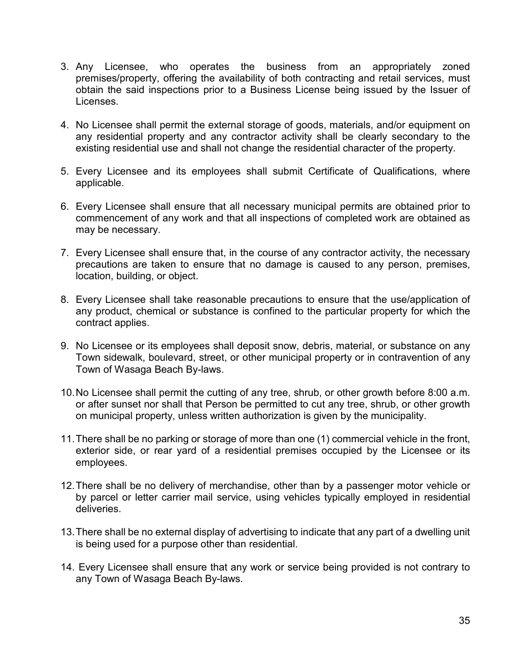- 3. Any Licensee, who operates the business from an appropriately zoned premises/property, offering the availability of both contracting and retail services, must obtain the said inspections prior to a Business License being issued by the Issuer of Licenses.
- 4. No Licensee shall permit the external storage of goods, materials, and/or equipment on any residential property and any contractor activity shall be clearly secondary to the existing residential use and shall not change the residential character of the property.
- 5. Every Licensee and its employees shall submit Certificate of Qualifications, where applicable.
- 6. Every Licensee shall ensure that all necessary municipal permits are obtained prior to commencement of any work and that all inspections of completed work are obtained as may be necessary.
- 7. Every Licensee shall ensure that, in the course of any contractor activity, the necessary precautions are taken to ensure that no damage is caused to any person, premises, location, building, or object.
- 8. Every Licensee shall take reasonable precautions to ensure that the use/application of any product, chemical or substance is confined to the particular property for which the contract applies.
- 9. No Licensee or its employees shall deposit snow, debris, material, or substance on any Town sidewalk, boulevard, street, or other municipal property or in contravention of any Town of Wasaga Beach By-laws.
- 10.No Licensee shall permit the cutting of any tree, shrub, or other growth before 8:00 a.m. or after sunset nor shall that Person be permitted to cut any tree, shrub, or other growth on municipal property, unless written authorization is given by the municipality.
- 11.There shall be no parking or storage of more than one (1) commercial vehicle in the front, exterior side, or rear yard of a residential premises occupied by the Licensee or its employees.
- 12.There shall be no delivery of merchandise, other than by a passenger motor vehicle or by parcel or letter carrier mail service, using vehicles typically employed in residential deliveries.
- 13.There shall be no external display of advertising to indicate that any part of a dwelling unit is being used for a purpose other than residential.
- 14. Every Licensee shall ensure that any work or service being provided is not contrary to any Town of Wasaga Beach By-laws.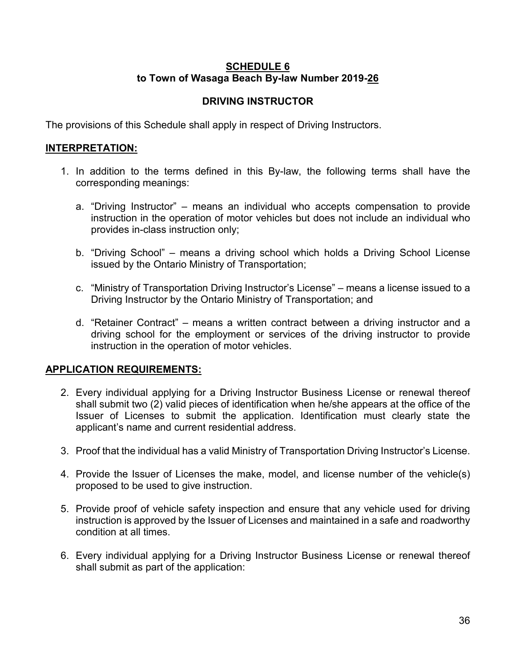## **SCHEDULE 6 to Town of Wasaga Beach By-law Number 2019-26**

# **DRIVING INSTRUCTOR**

The provisions of this Schedule shall apply in respect of Driving Instructors.

## **INTERPRETATION:**

- 1. In addition to the terms defined in this By-law, the following terms shall have the corresponding meanings:
	- a. "Driving Instructor" means an individual who accepts compensation to provide instruction in the operation of motor vehicles but does not include an individual who provides in-class instruction only;
	- b. "Driving School" means a driving school which holds a Driving School License issued by the Ontario Ministry of Transportation;
	- c. "Ministry of Transportation Driving Instructor's License" means a license issued to a Driving Instructor by the Ontario Ministry of Transportation; and
	- d. "Retainer Contract" means a written contract between a driving instructor and a driving school for the employment or services of the driving instructor to provide instruction in the operation of motor vehicles.

# **APPLICATION REQUIREMENTS:**

- 2. Every individual applying for a Driving Instructor Business License or renewal thereof shall submit two (2) valid pieces of identification when he/she appears at the office of the Issuer of Licenses to submit the application. Identification must clearly state the applicant's name and current residential address.
- 3. Proof that the individual has a valid Ministry of Transportation Driving Instructor's License.
- 4. Provide the Issuer of Licenses the make, model, and license number of the vehicle(s) proposed to be used to give instruction.
- 5. Provide proof of vehicle safety inspection and ensure that any vehicle used for driving instruction is approved by the Issuer of Licenses and maintained in a safe and roadworthy condition at all times.
- 6. Every individual applying for a Driving Instructor Business License or renewal thereof shall submit as part of the application: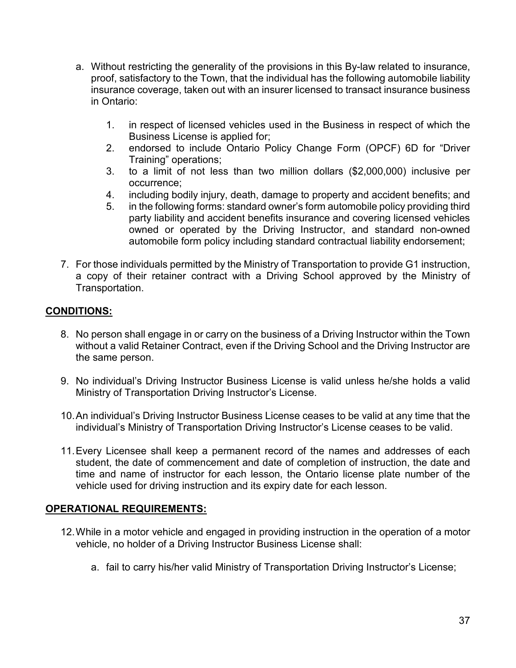- a. Without restricting the generality of the provisions in this By-law related to insurance, proof, satisfactory to the Town, that the individual has the following automobile liability insurance coverage, taken out with an insurer licensed to transact insurance business in Ontario:
	- 1. in respect of licensed vehicles used in the Business in respect of which the Business License is applied for;
	- 2. endorsed to include Ontario Policy Change Form (OPCF) 6D for "Driver Training" operations;
	- 3. to a limit of not less than two million dollars (\$2,000,000) inclusive per occurrence;
	- 4. including bodily injury, death, damage to property and accident benefits; and
	- 5. in the following forms: standard owner's form automobile policy providing third party liability and accident benefits insurance and covering licensed vehicles owned or operated by the Driving Instructor, and standard non-owned automobile form policy including standard contractual liability endorsement;
- 7. For those individuals permitted by the Ministry of Transportation to provide G1 instruction, a copy of their retainer contract with a Driving School approved by the Ministry of Transportation.

# **CONDITIONS:**

- 8. No person shall engage in or carry on the business of a Driving Instructor within the Town without a valid Retainer Contract, even if the Driving School and the Driving Instructor are the same person.
- 9. No individual's Driving Instructor Business License is valid unless he/she holds a valid Ministry of Transportation Driving Instructor's License.
- 10.An individual's Driving Instructor Business License ceases to be valid at any time that the individual's Ministry of Transportation Driving Instructor's License ceases to be valid.
- 11.Every Licensee shall keep a permanent record of the names and addresses of each student, the date of commencement and date of completion of instruction, the date and time and name of instructor for each lesson, the Ontario license plate number of the vehicle used for driving instruction and its expiry date for each lesson.

# **OPERATIONAL REQUIREMENTS:**

- 12.While in a motor vehicle and engaged in providing instruction in the operation of a motor vehicle, no holder of a Driving Instructor Business License shall:
	- a. fail to carry his/her valid Ministry of Transportation Driving Instructor's License;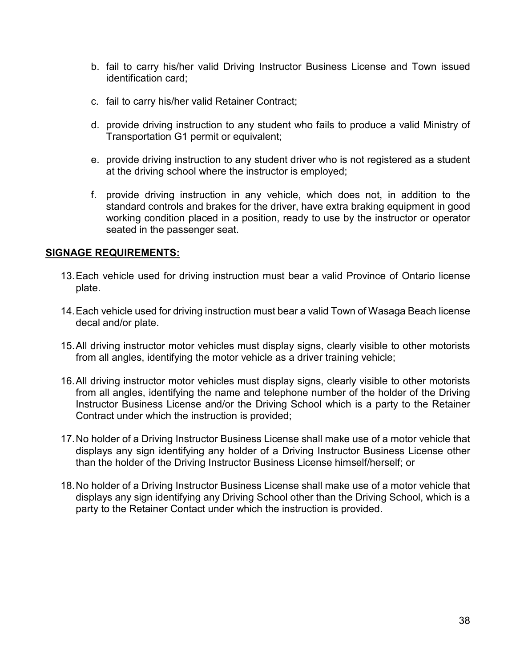- b. fail to carry his/her valid Driving Instructor Business License and Town issued identification card;
- c. fail to carry his/her valid Retainer Contract;
- d. provide driving instruction to any student who fails to produce a valid Ministry of Transportation G1 permit or equivalent;
- e. provide driving instruction to any student driver who is not registered as a student at the driving school where the instructor is employed;
- f. provide driving instruction in any vehicle, which does not, in addition to the standard controls and brakes for the driver, have extra braking equipment in good working condition placed in a position, ready to use by the instructor or operator seated in the passenger seat.

### **SIGNAGE REQUIREMENTS:**

- 13.Each vehicle used for driving instruction must bear a valid Province of Ontario license plate.
- 14.Each vehicle used for driving instruction must bear a valid Town of Wasaga Beach license decal and/or plate.
- 15.All driving instructor motor vehicles must display signs, clearly visible to other motorists from all angles, identifying the motor vehicle as a driver training vehicle;
- 16.All driving instructor motor vehicles must display signs, clearly visible to other motorists from all angles, identifying the name and telephone number of the holder of the Driving Instructor Business License and/or the Driving School which is a party to the Retainer Contract under which the instruction is provided;
- 17.No holder of a Driving Instructor Business License shall make use of a motor vehicle that displays any sign identifying any holder of a Driving Instructor Business License other than the holder of the Driving Instructor Business License himself/herself; or
- 18.No holder of a Driving Instructor Business License shall make use of a motor vehicle that displays any sign identifying any Driving School other than the Driving School, which is a party to the Retainer Contact under which the instruction is provided.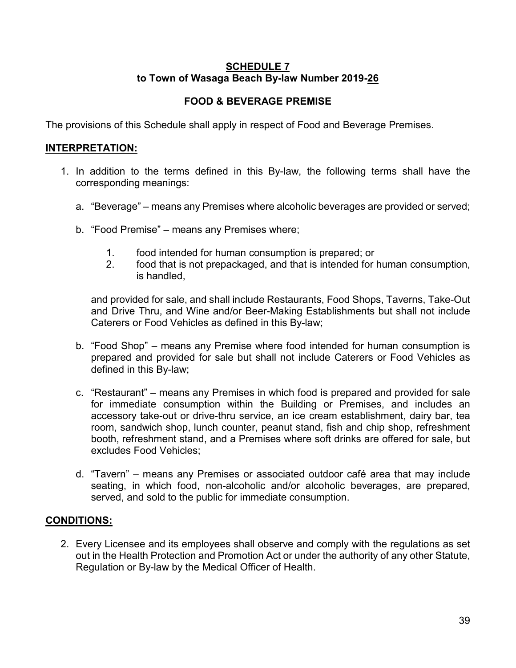### **SCHEDULE 7 to Town of Wasaga Beach By-law Number 2019-26**

# **FOOD & BEVERAGE PREMISE**

The provisions of this Schedule shall apply in respect of Food and Beverage Premises.

### **INTERPRETATION:**

- 1. In addition to the terms defined in this By-law, the following terms shall have the corresponding meanings:
	- a. "Beverage" means any Premises where alcoholic beverages are provided or served;
	- b. "Food Premise" means any Premises where;
		- 1. food intended for human consumption is prepared; or
		- 2. food that is not prepackaged, and that is intended for human consumption, is handled,

and provided for sale, and shall include Restaurants, Food Shops, Taverns, Take-Out and Drive Thru, and Wine and/or Beer-Making Establishments but shall not include Caterers or Food Vehicles as defined in this By-law;

- b. "Food Shop" means any Premise where food intended for human consumption is prepared and provided for sale but shall not include Caterers or Food Vehicles as defined in this By-law;
- c. "Restaurant" means any Premises in which food is prepared and provided for sale for immediate consumption within the Building or Premises, and includes an accessory take-out or drive-thru service, an ice cream establishment, dairy bar, tea room, sandwich shop, lunch counter, peanut stand, fish and chip shop, refreshment booth, refreshment stand, and a Premises where soft drinks are offered for sale, but excludes Food Vehicles;
- d. "Tavern" means any Premises or associated outdoor café area that may include seating, in which food, non-alcoholic and/or alcoholic beverages, are prepared, served, and sold to the public for immediate consumption.

# **CONDITIONS:**

2. Every Licensee and its employees shall observe and comply with the regulations as set out in the Health Protection and Promotion Act or under the authority of any other Statute, Regulation or By-law by the Medical Officer of Health.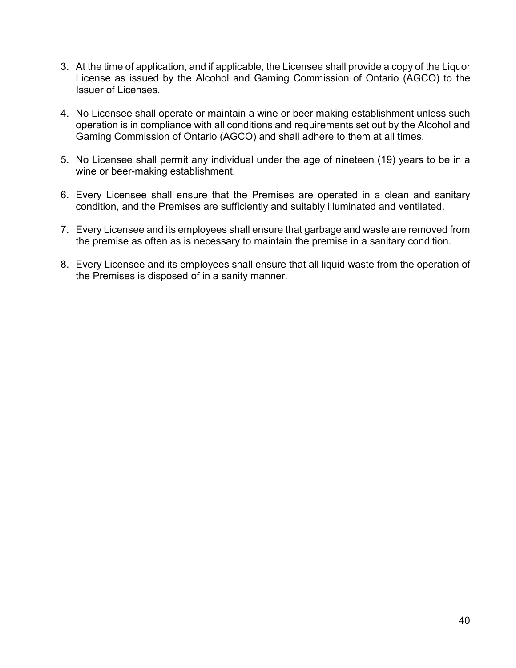- 3. At the time of application, and if applicable, the Licensee shall provide a copy of the Liquor License as issued by the Alcohol and Gaming Commission of Ontario (AGCO) to the Issuer of Licenses.
- 4. No Licensee shall operate or maintain a wine or beer making establishment unless such operation is in compliance with all conditions and requirements set out by the Alcohol and Gaming Commission of Ontario (AGCO) and shall adhere to them at all times.
- 5. No Licensee shall permit any individual under the age of nineteen (19) years to be in a wine or beer-making establishment.
- 6. Every Licensee shall ensure that the Premises are operated in a clean and sanitary condition, and the Premises are sufficiently and suitably illuminated and ventilated.
- 7. Every Licensee and its employees shall ensure that garbage and waste are removed from the premise as often as is necessary to maintain the premise in a sanitary condition.
- 8. Every Licensee and its employees shall ensure that all liquid waste from the operation of the Premises is disposed of in a sanity manner.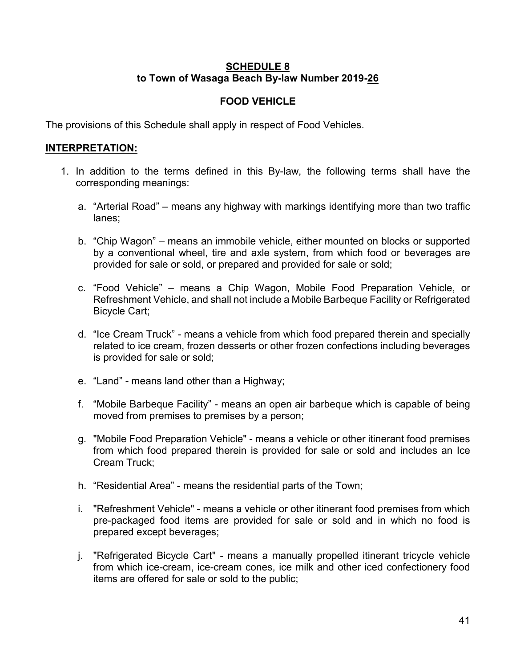### **SCHEDULE 8 to Town of Wasaga Beach By-law Number 2019-26**

# **FOOD VEHICLE**

The provisions of this Schedule shall apply in respect of Food Vehicles.

### **INTERPRETATION:**

- 1. In addition to the terms defined in this By-law, the following terms shall have the corresponding meanings:
	- a. "Arterial Road" means any highway with markings identifying more than two traffic lanes;
	- b. "Chip Wagon" means an immobile vehicle, either mounted on blocks or supported by a conventional wheel, tire and axle system, from which food or beverages are provided for sale or sold, or prepared and provided for sale or sold;
	- c. "Food Vehicle" means a Chip Wagon, Mobile Food Preparation Vehicle, or Refreshment Vehicle, and shall not include a Mobile Barbeque Facility or Refrigerated Bicycle Cart;
	- d. "Ice Cream Truck" means a vehicle from which food prepared therein and specially related to ice cream, frozen desserts or other frozen confections including beverages is provided for sale or sold;
	- e. "Land" means land other than a Highway;
	- f. "Mobile Barbeque Facility" means an open air barbeque which is capable of being moved from premises to premises by a person;
	- g. "Mobile Food Preparation Vehicle" means a vehicle or other itinerant food premises from which food prepared therein is provided for sale or sold and includes an Ice Cream Truck;
	- h. "Residential Area" means the residential parts of the Town;
	- i. "Refreshment Vehicle" means a vehicle or other itinerant food premises from which pre-packaged food items are provided for sale or sold and in which no food is prepared except beverages;
	- j. "Refrigerated Bicycle Cart" means a manually propelled itinerant tricycle vehicle from which ice-cream, ice-cream cones, ice milk and other iced confectionery food items are offered for sale or sold to the public;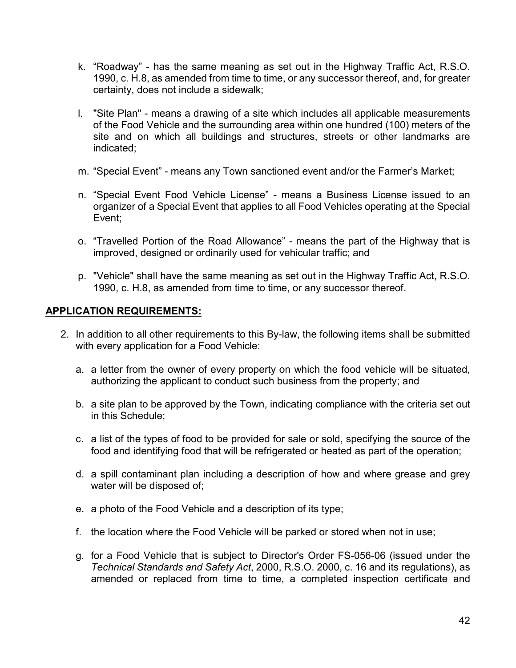- k. "Roadway" has the same meaning as set out in the Highway Traffic Act, R.S.O. 1990, c. H.8, as amended from time to time, or any successor thereof, and, for greater certainty, does not include a sidewalk;
- l. "Site Plan" means a drawing of a site which includes all applicable measurements of the Food Vehicle and the surrounding area within one hundred (100) meters of the site and on which all buildings and structures, streets or other landmarks are indicated;
- m. "Special Event" means any Town sanctioned event and/or the Farmer's Market;
- n. "Special Event Food Vehicle License" means a Business License issued to an organizer of a Special Event that applies to all Food Vehicles operating at the Special Event;
- o. "Travelled Portion of the Road Allowance" means the part of the Highway that is improved, designed or ordinarily used for vehicular traffic; and
- p. "Vehicle" shall have the same meaning as set out in the Highway Traffic Act, R.S.O. 1990, c. H.8, as amended from time to time, or any successor thereof.

#### **APPLICATION REQUIREMENTS:**

- 2. In addition to all other requirements to this By-law, the following items shall be submitted with every application for a Food Vehicle:
	- a. a letter from the owner of every property on which the food vehicle will be situated, authorizing the applicant to conduct such business from the property; and
	- b. a site plan to be approved by the Town, indicating compliance with the criteria set out in this Schedule;
	- c. a list of the types of food to be provided for sale or sold, specifying the source of the food and identifying food that will be refrigerated or heated as part of the operation;
	- d. a spill contaminant plan including a description of how and where grease and grey water will be disposed of;
	- e. a photo of the Food Vehicle and a description of its type;
	- f. the location where the Food Vehicle will be parked or stored when not in use;
	- g. for a Food Vehicle that is subject to Director's Order FS-056-06 (issued under the *Technical Standards and Safety Act*, 2000, R.S.O. 2000, c. 16 and its regulations), as amended or replaced from time to time, a completed inspection certificate and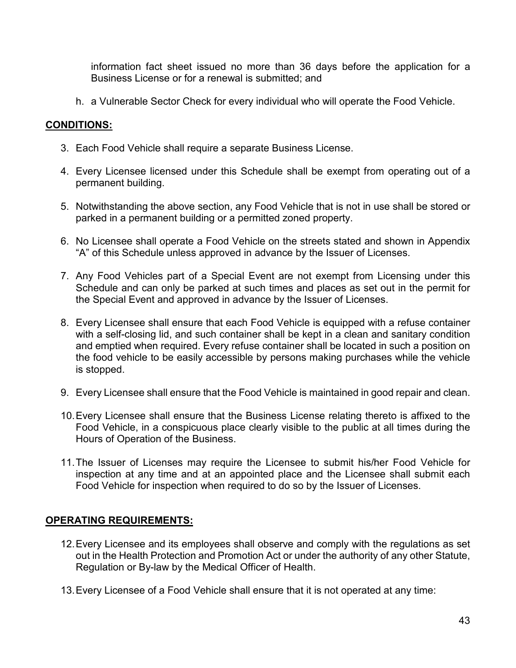information fact sheet issued no more than 36 days before the application for a Business License or for a renewal is submitted; and

h. a Vulnerable Sector Check for every individual who will operate the Food Vehicle.

# **CONDITIONS:**

- 3. Each Food Vehicle shall require a separate Business License.
- 4. Every Licensee licensed under this Schedule shall be exempt from operating out of a permanent building.
- 5. Notwithstanding the above section, any Food Vehicle that is not in use shall be stored or parked in a permanent building or a permitted zoned property.
- 6. No Licensee shall operate a Food Vehicle on the streets stated and shown in Appendix "A" of this Schedule unless approved in advance by the Issuer of Licenses.
- 7. Any Food Vehicles part of a Special Event are not exempt from Licensing under this Schedule and can only be parked at such times and places as set out in the permit for the Special Event and approved in advance by the Issuer of Licenses.
- 8. Every Licensee shall ensure that each Food Vehicle is equipped with a refuse container with a self-closing lid, and such container shall be kept in a clean and sanitary condition and emptied when required. Every refuse container shall be located in such a position on the food vehicle to be easily accessible by persons making purchases while the vehicle is stopped.
- 9. Every Licensee shall ensure that the Food Vehicle is maintained in good repair and clean.
- 10.Every Licensee shall ensure that the Business License relating thereto is affixed to the Food Vehicle, in a conspicuous place clearly visible to the public at all times during the Hours of Operation of the Business.
- 11.The Issuer of Licenses may require the Licensee to submit his/her Food Vehicle for inspection at any time and at an appointed place and the Licensee shall submit each Food Vehicle for inspection when required to do so by the Issuer of Licenses.

#### **OPERATING REQUIREMENTS:**

- 12.Every Licensee and its employees shall observe and comply with the regulations as set out in the Health Protection and Promotion Act or under the authority of any other Statute, Regulation or By-law by the Medical Officer of Health.
- 13.Every Licensee of a Food Vehicle shall ensure that it is not operated at any time: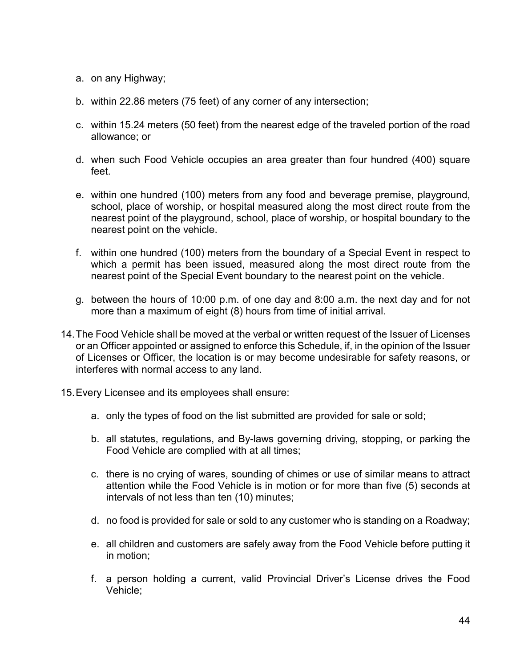- a. on any Highway;
- b. within 22.86 meters (75 feet) of any corner of any intersection;
- c. within 15.24 meters (50 feet) from the nearest edge of the traveled portion of the road allowance; or
- d. when such Food Vehicle occupies an area greater than four hundred (400) square feet.
- e. within one hundred (100) meters from any food and beverage premise, playground, school, place of worship, or hospital measured along the most direct route from the nearest point of the playground, school, place of worship, or hospital boundary to the nearest point on the vehicle.
- f. within one hundred (100) meters from the boundary of a Special Event in respect to which a permit has been issued, measured along the most direct route from the nearest point of the Special Event boundary to the nearest point on the vehicle.
- g. between the hours of 10:00 p.m. of one day and 8:00 a.m. the next day and for not more than a maximum of eight (8) hours from time of initial arrival.
- 14.The Food Vehicle shall be moved at the verbal or written request of the Issuer of Licenses or an Officer appointed or assigned to enforce this Schedule, if, in the opinion of the Issuer of Licenses or Officer, the location is or may become undesirable for safety reasons, or interferes with normal access to any land.
- 15.Every Licensee and its employees shall ensure:
	- a. only the types of food on the list submitted are provided for sale or sold;
	- b. all statutes, regulations, and By-laws governing driving, stopping, or parking the Food Vehicle are complied with at all times;
	- c. there is no crying of wares, sounding of chimes or use of similar means to attract attention while the Food Vehicle is in motion or for more than five (5) seconds at intervals of not less than ten (10) minutes;
	- d. no food is provided for sale or sold to any customer who is standing on a Roadway;
	- e. all children and customers are safely away from the Food Vehicle before putting it in motion;
	- f. a person holding a current, valid Provincial Driver's License drives the Food Vehicle;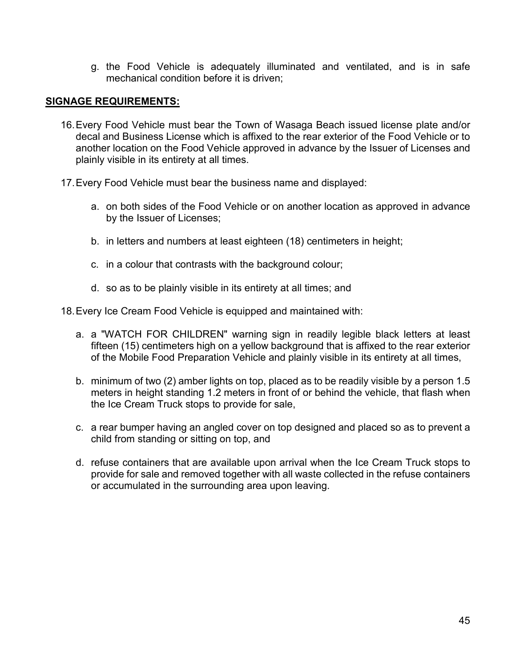g. the Food Vehicle is adequately illuminated and ventilated, and is in safe mechanical condition before it is driven;

#### **SIGNAGE REQUIREMENTS:**

- 16.Every Food Vehicle must bear the Town of Wasaga Beach issued license plate and/or decal and Business License which is affixed to the rear exterior of the Food Vehicle or to another location on the Food Vehicle approved in advance by the Issuer of Licenses and plainly visible in its entirety at all times.
- 17.Every Food Vehicle must bear the business name and displayed:
	- a. on both sides of the Food Vehicle or on another location as approved in advance by the Issuer of Licenses;
	- b. in letters and numbers at least eighteen (18) centimeters in height;
	- c. in a colour that contrasts with the background colour;
	- d. so as to be plainly visible in its entirety at all times; and
- 18.Every Ice Cream Food Vehicle is equipped and maintained with:
	- a. a "WATCH FOR CHILDREN" warning sign in readily legible black letters at least fifteen (15) centimeters high on a yellow background that is affixed to the rear exterior of the Mobile Food Preparation Vehicle and plainly visible in its entirety at all times,
	- b. minimum of two (2) amber lights on top, placed as to be readily visible by a person 1.5 meters in height standing 1.2 meters in front of or behind the vehicle, that flash when the Ice Cream Truck stops to provide for sale,
	- c. a rear bumper having an angled cover on top designed and placed so as to prevent a child from standing or sitting on top, and
	- d. refuse containers that are available upon arrival when the Ice Cream Truck stops to provide for sale and removed together with all waste collected in the refuse containers or accumulated in the surrounding area upon leaving.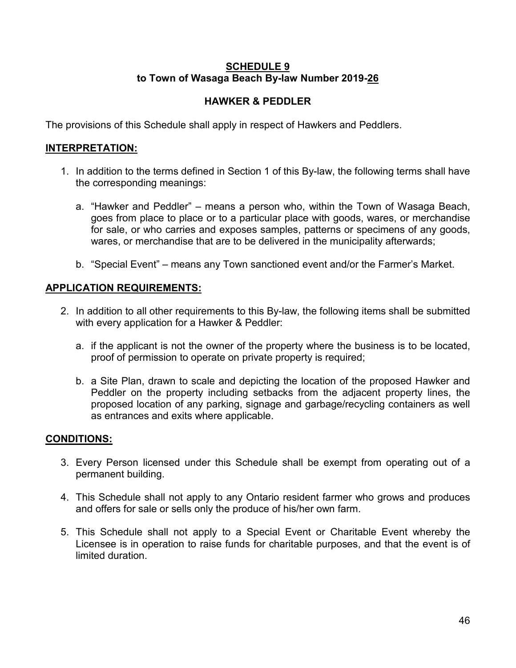### **SCHEDULE 9 to Town of Wasaga Beach By-law Number 2019-26**

# **HAWKER & PEDDLER**

The provisions of this Schedule shall apply in respect of Hawkers and Peddlers.

# **INTERPRETATION:**

- 1. In addition to the terms defined in Section 1 of this By-law, the following terms shall have the corresponding meanings:
	- a. "Hawker and Peddler" means a person who, within the Town of Wasaga Beach, goes from place to place or to a particular place with goods, wares, or merchandise for sale, or who carries and exposes samples, patterns or specimens of any goods, wares, or merchandise that are to be delivered in the municipality afterwards;
	- b. "Special Event" means any Town sanctioned event and/or the Farmer's Market.

### **APPLICATION REQUIREMENTS:**

- 2. In addition to all other requirements to this By-law, the following items shall be submitted with every application for a Hawker & Peddler:
	- a. if the applicant is not the owner of the property where the business is to be located, proof of permission to operate on private property is required;
	- b. a Site Plan, drawn to scale and depicting the location of the proposed Hawker and Peddler on the property including setbacks from the adjacent property lines, the proposed location of any parking, signage and garbage/recycling containers as well as entrances and exits where applicable.

- 3. Every Person licensed under this Schedule shall be exempt from operating out of a permanent building.
- 4. This Schedule shall not apply to any Ontario resident farmer who grows and produces and offers for sale or sells only the produce of his/her own farm.
- 5. This Schedule shall not apply to a Special Event or Charitable Event whereby the Licensee is in operation to raise funds for charitable purposes, and that the event is of limited duration.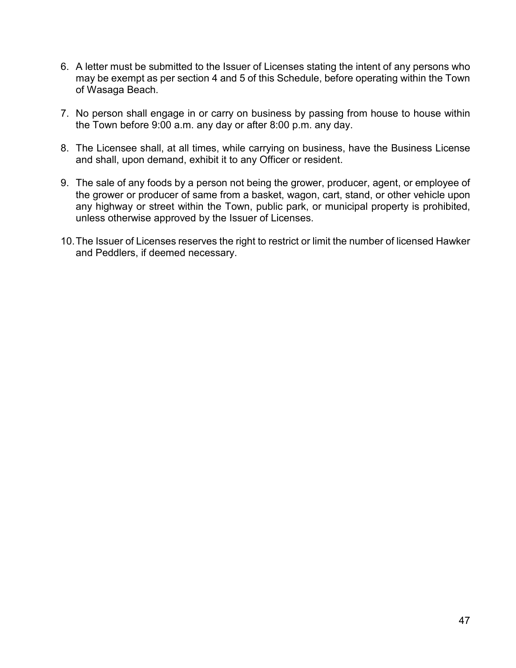- 6. A letter must be submitted to the Issuer of Licenses stating the intent of any persons who may be exempt as per section 4 and 5 of this Schedule, before operating within the Town of Wasaga Beach.
- 7. No person shall engage in or carry on business by passing from house to house within the Town before 9:00 a.m. any day or after 8:00 p.m. any day.
- 8. The Licensee shall, at all times, while carrying on business, have the Business License and shall, upon demand, exhibit it to any Officer or resident.
- 9. The sale of any foods by a person not being the grower, producer, agent, or employee of the grower or producer of same from a basket, wagon, cart, stand, or other vehicle upon any highway or street within the Town, public park, or municipal property is prohibited, unless otherwise approved by the Issuer of Licenses.
- 10.The Issuer of Licenses reserves the right to restrict or limit the number of licensed Hawker and Peddlers, if deemed necessary.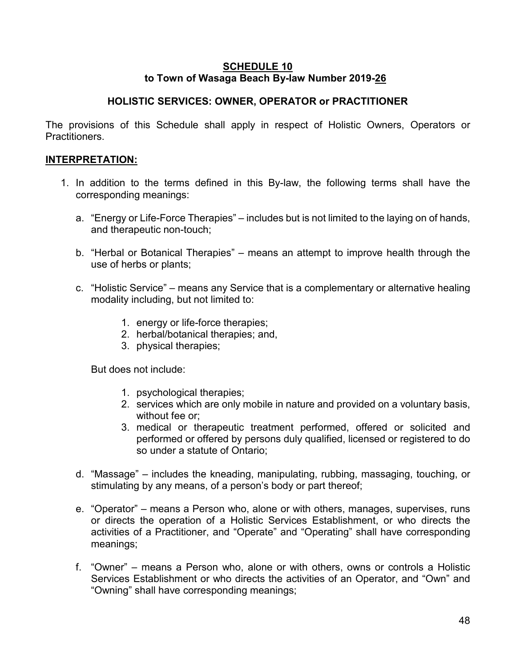#### **SCHEDULE 10 to Town of Wasaga Beach By-law Number 2019-26**

### **HOLISTIC SERVICES: OWNER, OPERATOR or PRACTITIONER**

The provisions of this Schedule shall apply in respect of Holistic Owners, Operators or **Practitioners** 

### **INTERPRETATION:**

- 1. In addition to the terms defined in this By-law, the following terms shall have the corresponding meanings:
	- a. "Energy or Life-Force Therapies" includes but is not limited to the laying on of hands, and therapeutic non-touch;
	- b. "Herbal or Botanical Therapies" means an attempt to improve health through the use of herbs or plants;
	- c. "Holistic Service" means any Service that is a complementary or alternative healing modality including, but not limited to:
		- 1. energy or life-force therapies;
		- 2. herbal/botanical therapies; and,
		- 3. physical therapies;

But does not include:

- 1. psychological therapies;
- 2. services which are only mobile in nature and provided on a voluntary basis, without fee or;
- 3. medical or therapeutic treatment performed, offered or solicited and performed or offered by persons duly qualified, licensed or registered to do so under a statute of Ontario;
- d. "Massage" includes the kneading, manipulating, rubbing, massaging, touching, or stimulating by any means, of a person's body or part thereof;
- e. "Operator" means a Person who, alone or with others, manages, supervises, runs or directs the operation of a Holistic Services Establishment, or who directs the activities of a Practitioner, and "Operate" and "Operating" shall have corresponding meanings;
- f. "Owner" means a Person who, alone or with others, owns or controls a Holistic Services Establishment or who directs the activities of an Operator, and "Own" and "Owning" shall have corresponding meanings;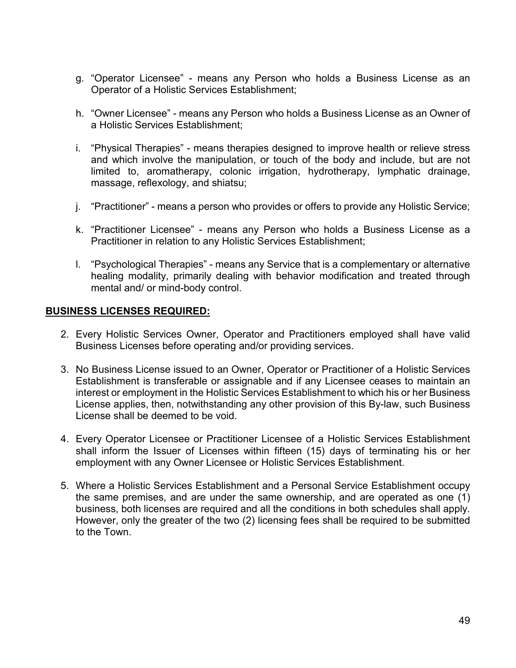- g. "Operator Licensee" means any Person who holds a Business License as an Operator of a Holistic Services Establishment;
- h. "Owner Licensee" means any Person who holds a Business License as an Owner of a Holistic Services Establishment;
- i. "Physical Therapies" means therapies designed to improve health or relieve stress and which involve the manipulation, or touch of the body and include, but are not limited to, aromatherapy, colonic irrigation, hydrotherapy, lymphatic drainage, massage, reflexology, and shiatsu;
- j. "Practitioner" means a person who provides or offers to provide any Holistic Service;
- k. "Practitioner Licensee" means any Person who holds a Business License as a Practitioner in relation to any Holistic Services Establishment;
- l. "Psychological Therapies" means any Service that is a complementary or alternative healing modality, primarily dealing with behavior modification and treated through mental and/ or mind-body control.

#### **BUSINESS LICENSES REQUIRED:**

- 2. Every Holistic Services Owner, Operator and Practitioners employed shall have valid Business Licenses before operating and/or providing services.
- 3. No Business License issued to an Owner, Operator or Practitioner of a Holistic Services Establishment is transferable or assignable and if any Licensee ceases to maintain an interest or employment in the Holistic Services Establishment to which his or her Business License applies, then, notwithstanding any other provision of this By-law, such Business License shall be deemed to be void.
- 4. Every Operator Licensee or Practitioner Licensee of a Holistic Services Establishment shall inform the Issuer of Licenses within fifteen (15) days of terminating his or her employment with any Owner Licensee or Holistic Services Establishment.
- 5. Where a Holistic Services Establishment and a Personal Service Establishment occupy the same premises, and are under the same ownership, and are operated as one (1) business, both licenses are required and all the conditions in both schedules shall apply. However, only the greater of the two (2) licensing fees shall be required to be submitted to the Town.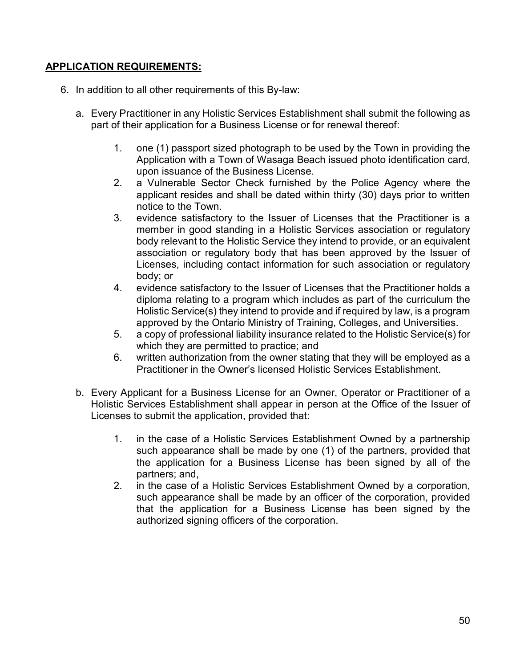### **APPLICATION REQUIREMENTS:**

- 6. In addition to all other requirements of this By-law:
	- a. Every Practitioner in any Holistic Services Establishment shall submit the following as part of their application for a Business License or for renewal thereof:
		- 1. one (1) passport sized photograph to be used by the Town in providing the Application with a Town of Wasaga Beach issued photo identification card, upon issuance of the Business License.
		- 2. a Vulnerable Sector Check furnished by the Police Agency where the applicant resides and shall be dated within thirty (30) days prior to written notice to the Town.
		- 3. evidence satisfactory to the Issuer of Licenses that the Practitioner is a member in good standing in a Holistic Services association or regulatory body relevant to the Holistic Service they intend to provide, or an equivalent association or regulatory body that has been approved by the Issuer of Licenses, including contact information for such association or regulatory body; or
		- 4. evidence satisfactory to the Issuer of Licenses that the Practitioner holds a diploma relating to a program which includes as part of the curriculum the Holistic Service(s) they intend to provide and if required by law, is a program approved by the Ontario Ministry of Training, Colleges, and Universities.
		- 5. a copy of professional liability insurance related to the Holistic Service(s) for which they are permitted to practice; and
		- 6. written authorization from the owner stating that they will be employed as a Practitioner in the Owner's licensed Holistic Services Establishment.
	- b. Every Applicant for a Business License for an Owner, Operator or Practitioner of a Holistic Services Establishment shall appear in person at the Office of the Issuer of Licenses to submit the application, provided that:
		- 1. in the case of a Holistic Services Establishment Owned by a partnership such appearance shall be made by one (1) of the partners, provided that the application for a Business License has been signed by all of the partners; and,
		- 2. in the case of a Holistic Services Establishment Owned by a corporation, such appearance shall be made by an officer of the corporation, provided that the application for a Business License has been signed by the authorized signing officers of the corporation.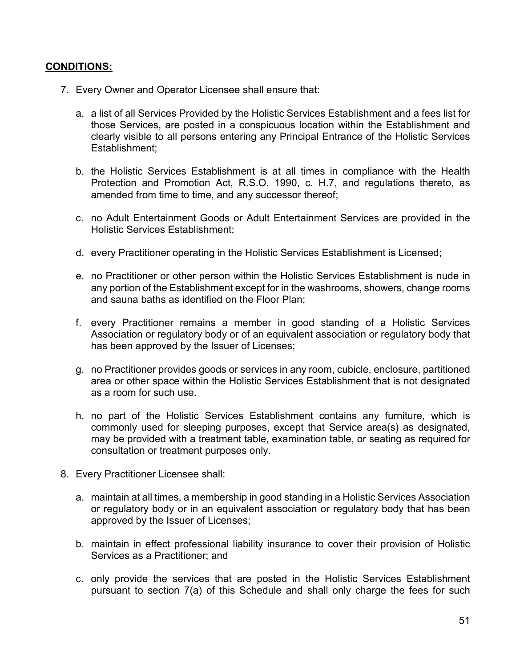- 7. Every Owner and Operator Licensee shall ensure that:
	- a. a list of all Services Provided by the Holistic Services Establishment and a fees list for those Services, are posted in a conspicuous location within the Establishment and clearly visible to all persons entering any Principal Entrance of the Holistic Services Establishment;
	- b. the Holistic Services Establishment is at all times in compliance with the Health Protection and Promotion Act, R.S.O. 1990, c. H.7, and regulations thereto, as amended from time to time, and any successor thereof;
	- c. no Adult Entertainment Goods or Adult Entertainment Services are provided in the Holistic Services Establishment;
	- d. every Practitioner operating in the Holistic Services Establishment is Licensed;
	- e. no Practitioner or other person within the Holistic Services Establishment is nude in any portion of the Establishment except for in the washrooms, showers, change rooms and sauna baths as identified on the Floor Plan;
	- f. every Practitioner remains a member in good standing of a Holistic Services Association or regulatory body or of an equivalent association or regulatory body that has been approved by the Issuer of Licenses;
	- g. no Practitioner provides goods or services in any room, cubicle, enclosure, partitioned area or other space within the Holistic Services Establishment that is not designated as a room for such use.
	- h. no part of the Holistic Services Establishment contains any furniture, which is commonly used for sleeping purposes, except that Service area(s) as designated, may be provided with a treatment table, examination table, or seating as required for consultation or treatment purposes only.
- 8. Every Practitioner Licensee shall:
	- a. maintain at all times, a membership in good standing in a Holistic Services Association or regulatory body or in an equivalent association or regulatory body that has been approved by the Issuer of Licenses;
	- b. maintain in effect professional liability insurance to cover their provision of Holistic Services as a Practitioner; and
	- c. only provide the services that are posted in the Holistic Services Establishment pursuant to section 7(a) of this Schedule and shall only charge the fees for such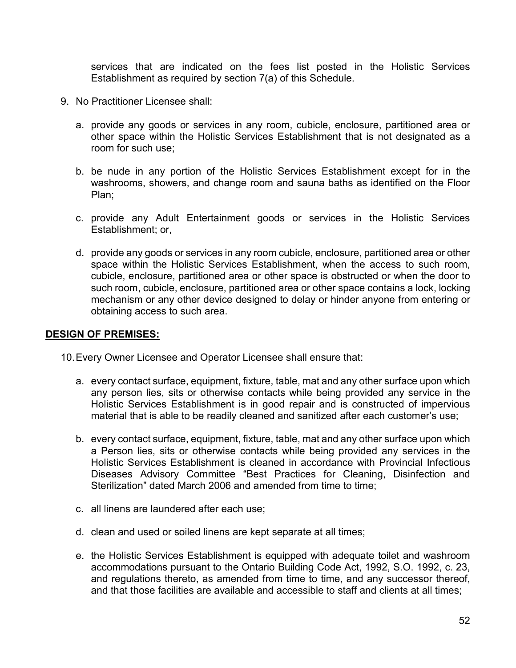services that are indicated on the fees list posted in the Holistic Services Establishment as required by section 7(a) of this Schedule.

- 9. No Practitioner Licensee shall:
	- a. provide any goods or services in any room, cubicle, enclosure, partitioned area or other space within the Holistic Services Establishment that is not designated as a room for such use;
	- b. be nude in any portion of the Holistic Services Establishment except for in the washrooms, showers, and change room and sauna baths as identified on the Floor Plan;
	- c. provide any Adult Entertainment goods or services in the Holistic Services Establishment; or,
	- d. provide any goods or services in any room cubicle, enclosure, partitioned area or other space within the Holistic Services Establishment, when the access to such room, cubicle, enclosure, partitioned area or other space is obstructed or when the door to such room, cubicle, enclosure, partitioned area or other space contains a lock, locking mechanism or any other device designed to delay or hinder anyone from entering or obtaining access to such area.

#### **DESIGN OF PREMISES:**

10.Every Owner Licensee and Operator Licensee shall ensure that:

- a. every contact surface, equipment, fixture, table, mat and any other surface upon which any person lies, sits or otherwise contacts while being provided any service in the Holistic Services Establishment is in good repair and is constructed of impervious material that is able to be readily cleaned and sanitized after each customer's use;
- b. every contact surface, equipment, fixture, table, mat and any other surface upon which a Person lies, sits or otherwise contacts while being provided any services in the Holistic Services Establishment is cleaned in accordance with Provincial Infectious Diseases Advisory Committee "Best Practices for Cleaning, Disinfection and Sterilization" dated March 2006 and amended from time to time;
- c. all linens are laundered after each use;
- d. clean and used or soiled linens are kept separate at all times;
- e. the Holistic Services Establishment is equipped with adequate toilet and washroom accommodations pursuant to the Ontario Building Code Act, 1992, S.O. 1992, c. 23, and regulations thereto, as amended from time to time, and any successor thereof, and that those facilities are available and accessible to staff and clients at all times;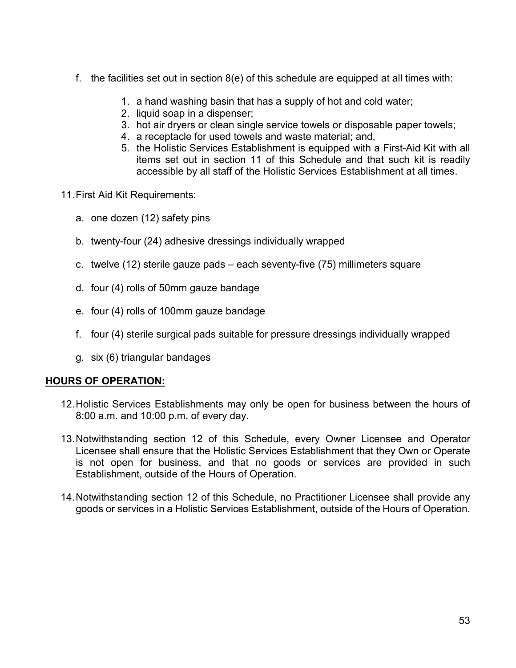- f. the facilities set out in section 8(e) of this schedule are equipped at all times with:
	- 1. a hand washing basin that has a supply of hot and cold water;
	- 2. liquid soap in a dispenser;
	- 3. hot air dryers or clean single service towels or disposable paper towels;
	- 4. a receptacle for used towels and waste material; and,
	- 5. the Holistic Services Establishment is equipped with a First-Aid Kit with all items set out in section 11 of this Schedule and that such kit is readily accessible by all staff of the Holistic Services Establishment at all times.
- 11.First Aid Kit Requirements:
	- a. one dozen (12) safety pins
	- b. twenty-four (24) adhesive dressings individually wrapped
	- c. twelve (12) sterile gauze pads each seventy-five (75) millimeters square
	- d. four (4) rolls of 50mm gauze bandage
	- e. four (4) rolls of 100mm gauze bandage
	- f. four (4) sterile surgical pads suitable for pressure dressings individually wrapped
	- g. six (6) triangular bandages

#### **HOURS OF OPERATION:**

- 12.Holistic Services Establishments may only be open for business between the hours of 8:00 a.m. and 10:00 p.m. of every day.
- 13.Notwithstanding section 12 of this Schedule, every Owner Licensee and Operator Licensee shall ensure that the Holistic Services Establishment that they Own or Operate is not open for business, and that no goods or services are provided in such Establishment, outside of the Hours of Operation.
- 14.Notwithstanding section 12 of this Schedule, no Practitioner Licensee shall provide any goods or services in a Holistic Services Establishment, outside of the Hours of Operation.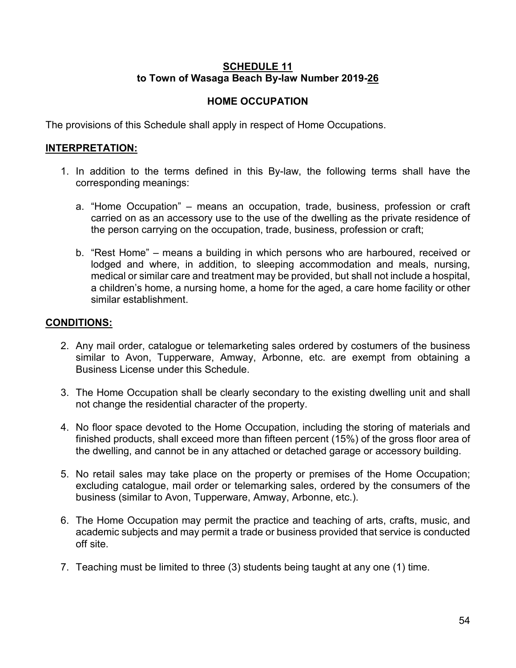### **SCHEDULE 11 to Town of Wasaga Beach By-law Number 2019-26**

# **HOME OCCUPATION**

The provisions of this Schedule shall apply in respect of Home Occupations.

### **INTERPRETATION:**

- 1. In addition to the terms defined in this By-law, the following terms shall have the corresponding meanings:
	- a. "Home Occupation" means an occupation, trade, business, profession or craft carried on as an accessory use to the use of the dwelling as the private residence of the person carrying on the occupation, trade, business, profession or craft;
	- b. "Rest Home" means a building in which persons who are harboured, received or lodged and where, in addition, to sleeping accommodation and meals, nursing, medical or similar care and treatment may be provided, but shall not include a hospital, a children's home, a nursing home, a home for the aged, a care home facility or other similar establishment.

- 2. Any mail order, catalogue or telemarketing sales ordered by costumers of the business similar to Avon, Tupperware, Amway, Arbonne, etc. are exempt from obtaining a Business License under this Schedule.
- 3. The Home Occupation shall be clearly secondary to the existing dwelling unit and shall not change the residential character of the property.
- 4. No floor space devoted to the Home Occupation, including the storing of materials and finished products, shall exceed more than fifteen percent (15%) of the gross floor area of the dwelling, and cannot be in any attached or detached garage or accessory building.
- 5. No retail sales may take place on the property or premises of the Home Occupation; excluding catalogue, mail order or telemarking sales, ordered by the consumers of the business (similar to Avon, Tupperware, Amway, Arbonne, etc.).
- 6. The Home Occupation may permit the practice and teaching of arts, crafts, music, and academic subjects and may permit a trade or business provided that service is conducted off site.
- 7. Teaching must be limited to three (3) students being taught at any one (1) time.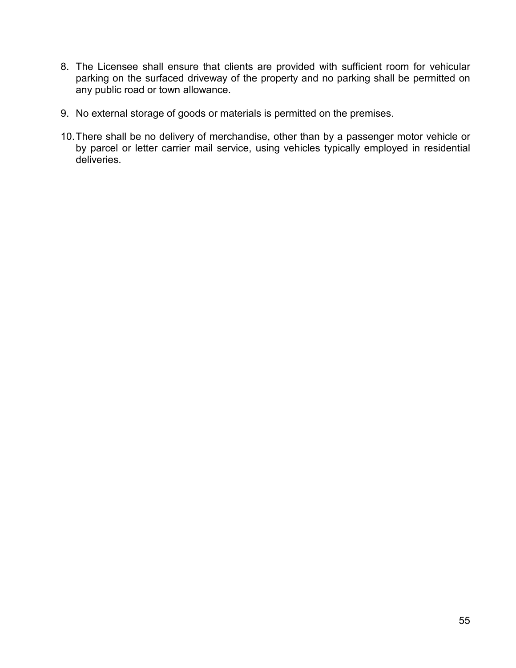- 8. The Licensee shall ensure that clients are provided with sufficient room for vehicular parking on the surfaced driveway of the property and no parking shall be permitted on any public road or town allowance.
- 9. No external storage of goods or materials is permitted on the premises.
- 10.There shall be no delivery of merchandise, other than by a passenger motor vehicle or by parcel or letter carrier mail service, using vehicles typically employed in residential deliveries.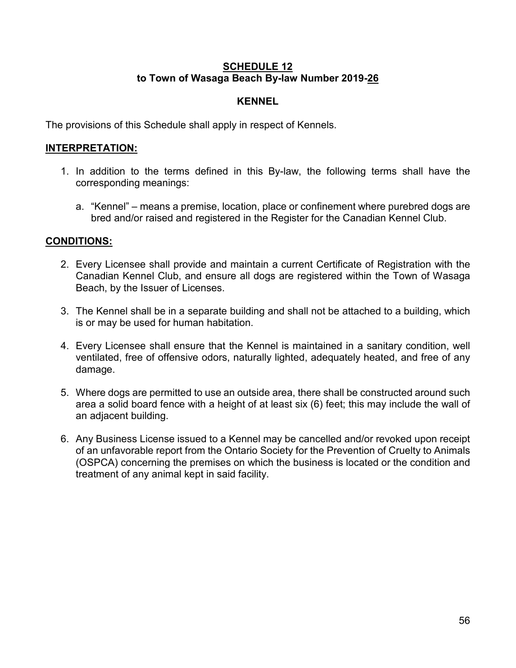#### **SCHEDULE 12 to Town of Wasaga Beach By-law Number 2019-26**

### **KENNEL**

The provisions of this Schedule shall apply in respect of Kennels.

### **INTERPRETATION:**

- 1. In addition to the terms defined in this By-law, the following terms shall have the corresponding meanings:
	- a. "Kennel" means a premise, location, place or confinement where purebred dogs are bred and/or raised and registered in the Register for the Canadian Kennel Club.

- 2. Every Licensee shall provide and maintain a current Certificate of Registration with the Canadian Kennel Club, and ensure all dogs are registered within the Town of Wasaga Beach, by the Issuer of Licenses.
- 3. The Kennel shall be in a separate building and shall not be attached to a building, which is or may be used for human habitation.
- 4. Every Licensee shall ensure that the Kennel is maintained in a sanitary condition, well ventilated, free of offensive odors, naturally lighted, adequately heated, and free of any damage.
- 5. Where dogs are permitted to use an outside area, there shall be constructed around such area a solid board fence with a height of at least six (6) feet; this may include the wall of an adjacent building.
- 6. Any Business License issued to a Kennel may be cancelled and/or revoked upon receipt of an unfavorable report from the Ontario Society for the Prevention of Cruelty to Animals (OSPCA) concerning the premises on which the business is located or the condition and treatment of any animal kept in said facility.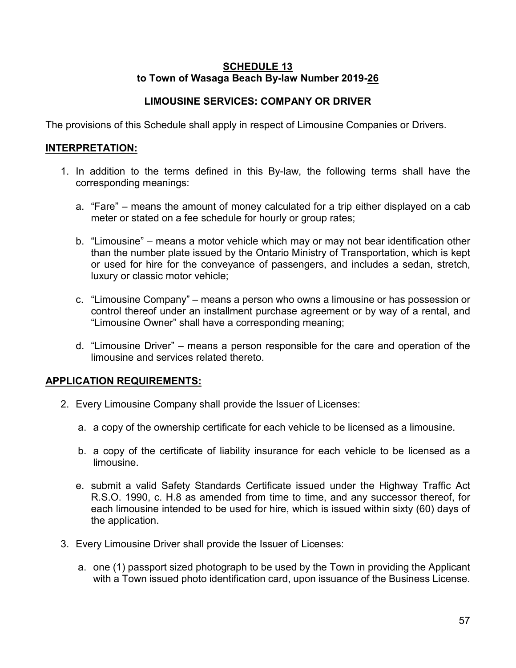#### **SCHEDULE 13 to Town of Wasaga Beach By-law Number 2019-26**

# **LIMOUSINE SERVICES: COMPANY OR DRIVER**

The provisions of this Schedule shall apply in respect of Limousine Companies or Drivers.

### **INTERPRETATION:**

- 1. In addition to the terms defined in this By-law, the following terms shall have the corresponding meanings:
	- a. "Fare" means the amount of money calculated for a trip either displayed on a cab meter or stated on a fee schedule for hourly or group rates;
	- b. "Limousine" means a motor vehicle which may or may not bear identification other than the number plate issued by the Ontario Ministry of Transportation, which is kept or used for hire for the conveyance of passengers, and includes a sedan, stretch, luxury or classic motor vehicle;
	- c. "Limousine Company" means a person who owns a limousine or has possession or control thereof under an installment purchase agreement or by way of a rental, and "Limousine Owner" shall have a corresponding meaning;
	- d. "Limousine Driver" means a person responsible for the care and operation of the limousine and services related thereto.

# **APPLICATION REQUIREMENTS:**

- 2. Every Limousine Company shall provide the Issuer of Licenses:
	- a. a copy of the ownership certificate for each vehicle to be licensed as a limousine.
	- b. a copy of the certificate of liability insurance for each vehicle to be licensed as a limousine.
	- e. submit a valid Safety Standards Certificate issued under the Highway Traffic Act R.S.O. 1990, c. H.8 as amended from time to time, and any successor thereof, for each limousine intended to be used for hire, which is issued within sixty (60) days of the application.
- 3. Every Limousine Driver shall provide the Issuer of Licenses:
	- a. one (1) passport sized photograph to be used by the Town in providing the Applicant with a Town issued photo identification card, upon issuance of the Business License.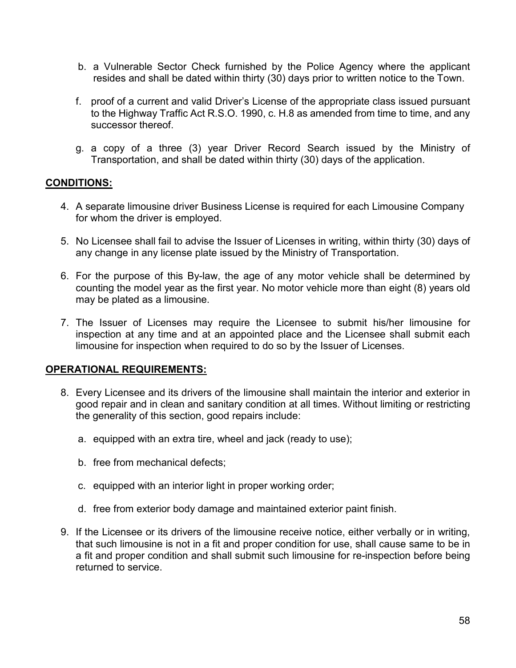- b. a Vulnerable Sector Check furnished by the Police Agency where the applicant resides and shall be dated within thirty (30) days prior to written notice to the Town.
- f. proof of a current and valid Driver's License of the appropriate class issued pursuant to the Highway Traffic Act R.S.O. 1990, c. H.8 as amended from time to time, and any successor thereof.
- g. a copy of a three (3) year Driver Record Search issued by the Ministry of Transportation, and shall be dated within thirty (30) days of the application.

#### **CONDITIONS:**

- 4. A separate limousine driver Business License is required for each Limousine Company for whom the driver is employed.
- 5. No Licensee shall fail to advise the Issuer of Licenses in writing, within thirty (30) days of any change in any license plate issued by the Ministry of Transportation.
- 6. For the purpose of this By-law, the age of any motor vehicle shall be determined by counting the model year as the first year. No motor vehicle more than eight (8) years old may be plated as a limousine.
- 7. The Issuer of Licenses may require the Licensee to submit his/her limousine for inspection at any time and at an appointed place and the Licensee shall submit each limousine for inspection when required to do so by the Issuer of Licenses.

#### **OPERATIONAL REQUIREMENTS:**

- 8. Every Licensee and its drivers of the limousine shall maintain the interior and exterior in good repair and in clean and sanitary condition at all times. Without limiting or restricting the generality of this section, good repairs include:
	- a. equipped with an extra tire, wheel and jack (ready to use);
	- b. free from mechanical defects;
	- c. equipped with an interior light in proper working order;
	- d. free from exterior body damage and maintained exterior paint finish.
- 9. If the Licensee or its drivers of the limousine receive notice, either verbally or in writing, that such limousine is not in a fit and proper condition for use, shall cause same to be in a fit and proper condition and shall submit such limousine for re-inspection before being returned to service.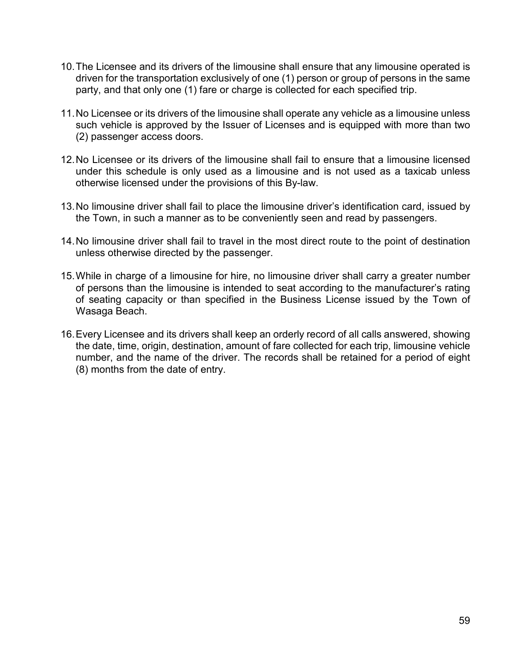- 10.The Licensee and its drivers of the limousine shall ensure that any limousine operated is driven for the transportation exclusively of one (1) person or group of persons in the same party, and that only one (1) fare or charge is collected for each specified trip.
- 11.No Licensee or its drivers of the limousine shall operate any vehicle as a limousine unless such vehicle is approved by the Issuer of Licenses and is equipped with more than two (2) passenger access doors.
- 12.No Licensee or its drivers of the limousine shall fail to ensure that a limousine licensed under this schedule is only used as a limousine and is not used as a taxicab unless otherwise licensed under the provisions of this By-law.
- 13.No limousine driver shall fail to place the limousine driver's identification card, issued by the Town, in such a manner as to be conveniently seen and read by passengers.
- 14.No limousine driver shall fail to travel in the most direct route to the point of destination unless otherwise directed by the passenger.
- 15.While in charge of a limousine for hire, no limousine driver shall carry a greater number of persons than the limousine is intended to seat according to the manufacturer's rating of seating capacity or than specified in the Business License issued by the Town of Wasaga Beach.
- 16.Every Licensee and its drivers shall keep an orderly record of all calls answered, showing the date, time, origin, destination, amount of fare collected for each trip, limousine vehicle number, and the name of the driver. The records shall be retained for a period of eight (8) months from the date of entry.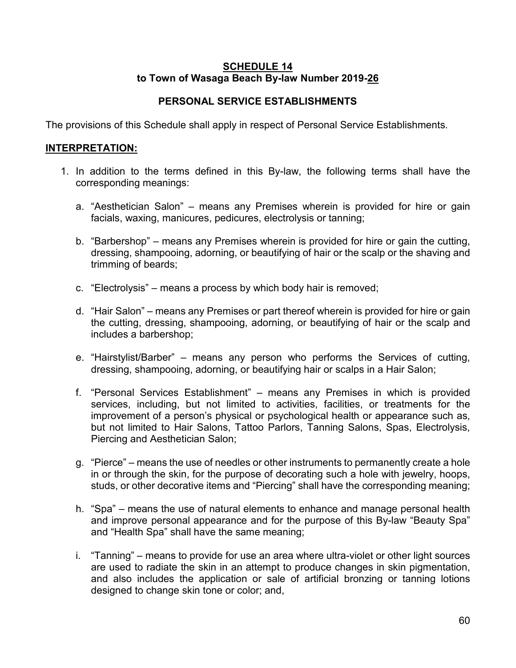#### **SCHEDULE 14 to Town of Wasaga Beach By-law Number 2019-26**

# **PERSONAL SERVICE ESTABLISHMENTS**

The provisions of this Schedule shall apply in respect of Personal Service Establishments.

### **INTERPRETATION:**

- 1. In addition to the terms defined in this By-law, the following terms shall have the corresponding meanings:
	- a. "Aesthetician Salon" means any Premises wherein is provided for hire or gain facials, waxing, manicures, pedicures, electrolysis or tanning;
	- b. "Barbershop" means any Premises wherein is provided for hire or gain the cutting, dressing, shampooing, adorning, or beautifying of hair or the scalp or the shaving and trimming of beards;
	- c. "Electrolysis" means a process by which body hair is removed;
	- d. "Hair Salon" means any Premises or part thereof wherein is provided for hire or gain the cutting, dressing, shampooing, adorning, or beautifying of hair or the scalp and includes a barbershop;
	- e. "Hairstylist/Barber" means any person who performs the Services of cutting, dressing, shampooing, adorning, or beautifying hair or scalps in a Hair Salon;
	- f. "Personal Services Establishment" means any Premises in which is provided services, including, but not limited to activities, facilities, or treatments for the improvement of a person's physical or psychological health or appearance such as, but not limited to Hair Salons, Tattoo Parlors, Tanning Salons, Spas, Electrolysis, Piercing and Aesthetician Salon;
	- g. "Pierce" means the use of needles or other instruments to permanently create a hole in or through the skin, for the purpose of decorating such a hole with jewelry, hoops, studs, or other decorative items and "Piercing" shall have the corresponding meaning;
	- h. "Spa" means the use of natural elements to enhance and manage personal health and improve personal appearance and for the purpose of this By-law "Beauty Spa" and "Health Spa" shall have the same meaning;
	- i. "Tanning" means to provide for use an area where ultra-violet or other light sources are used to radiate the skin in an attempt to produce changes in skin pigmentation, and also includes the application or sale of artificial bronzing or tanning lotions designed to change skin tone or color; and,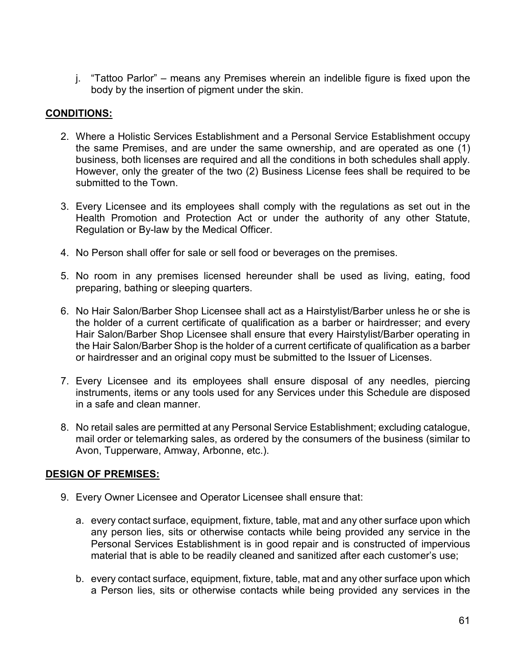j. "Tattoo Parlor" – means any Premises wherein an indelible figure is fixed upon the body by the insertion of pigment under the skin.

# **CONDITIONS:**

- 2. Where a Holistic Services Establishment and a Personal Service Establishment occupy the same Premises, and are under the same ownership, and are operated as one (1) business, both licenses are required and all the conditions in both schedules shall apply. However, only the greater of the two (2) Business License fees shall be required to be submitted to the Town.
- 3. Every Licensee and its employees shall comply with the regulations as set out in the Health Promotion and Protection Act or under the authority of any other Statute, Regulation or By-law by the Medical Officer.
- 4. No Person shall offer for sale or sell food or beverages on the premises.
- 5. No room in any premises licensed hereunder shall be used as living, eating, food preparing, bathing or sleeping quarters.
- 6. No Hair Salon/Barber Shop Licensee shall act as a Hairstylist/Barber unless he or she is the holder of a current certificate of qualification as a barber or hairdresser; and every Hair Salon/Barber Shop Licensee shall ensure that every Hairstylist/Barber operating in the Hair Salon/Barber Shop is the holder of a current certificate of qualification as a barber or hairdresser and an original copy must be submitted to the Issuer of Licenses.
- 7. Every Licensee and its employees shall ensure disposal of any needles, piercing instruments, items or any tools used for any Services under this Schedule are disposed in a safe and clean manner.
- 8. No retail sales are permitted at any Personal Service Establishment; excluding catalogue, mail order or telemarking sales, as ordered by the consumers of the business (similar to Avon, Tupperware, Amway, Arbonne, etc.).

# **DESIGN OF PREMISES:**

- 9. Every Owner Licensee and Operator Licensee shall ensure that:
	- a. every contact surface, equipment, fixture, table, mat and any other surface upon which any person lies, sits or otherwise contacts while being provided any service in the Personal Services Establishment is in good repair and is constructed of impervious material that is able to be readily cleaned and sanitized after each customer's use;
	- b. every contact surface, equipment, fixture, table, mat and any other surface upon which a Person lies, sits or otherwise contacts while being provided any services in the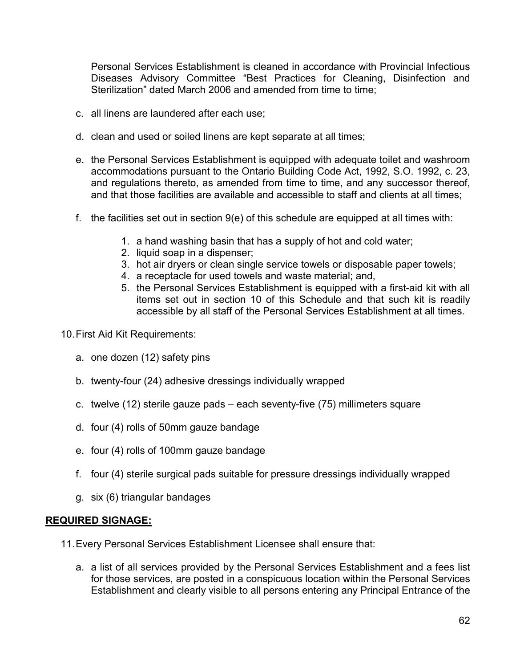Personal Services Establishment is cleaned in accordance with Provincial Infectious Diseases Advisory Committee "Best Practices for Cleaning, Disinfection and Sterilization" dated March 2006 and amended from time to time;

- c. all linens are laundered after each use;
- d. clean and used or soiled linens are kept separate at all times;
- e. the Personal Services Establishment is equipped with adequate toilet and washroom accommodations pursuant to the Ontario Building Code Act, 1992, S.O. 1992, c. 23, and regulations thereto, as amended from time to time, and any successor thereof, and that those facilities are available and accessible to staff and clients at all times;
- f. the facilities set out in section  $9(e)$  of this schedule are equipped at all times with:
	- 1. a hand washing basin that has a supply of hot and cold water;
	- 2. liquid soap in a dispenser;
	- 3. hot air dryers or clean single service towels or disposable paper towels;
	- 4. a receptacle for used towels and waste material; and,
	- 5. the Personal Services Establishment is equipped with a first-aid kit with all items set out in section 10 of this Schedule and that such kit is readily accessible by all staff of the Personal Services Establishment at all times.
- 10.First Aid Kit Requirements:
	- a. one dozen (12) safety pins
	- b. twenty-four (24) adhesive dressings individually wrapped
	- c. twelve (12) sterile gauze pads each seventy-five (75) millimeters square
	- d. four (4) rolls of 50mm gauze bandage
	- e. four (4) rolls of 100mm gauze bandage
	- f. four (4) sterile surgical pads suitable for pressure dressings individually wrapped
	- g. six (6) triangular bandages

#### **REQUIRED SIGNAGE:**

- 11.Every Personal Services Establishment Licensee shall ensure that:
	- a. a list of all services provided by the Personal Services Establishment and a fees list for those services, are posted in a conspicuous location within the Personal Services Establishment and clearly visible to all persons entering any Principal Entrance of the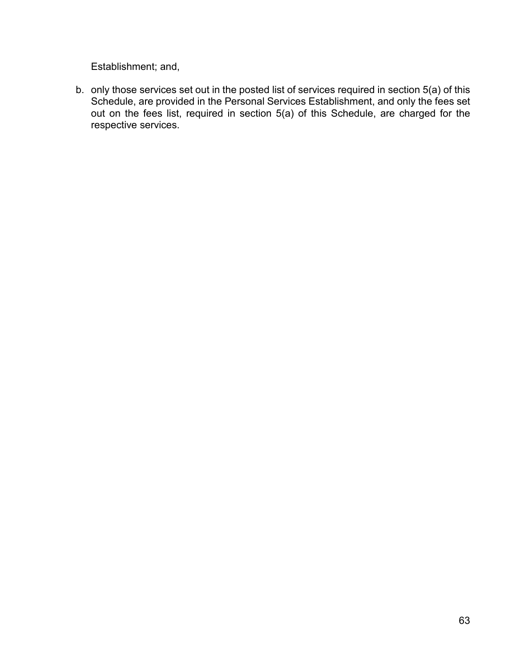Establishment; and,

b. only those services set out in the posted list of services required in section 5(a) of this Schedule, are provided in the Personal Services Establishment, and only the fees set out on the fees list, required in section 5(a) of this Schedule, are charged for the respective services.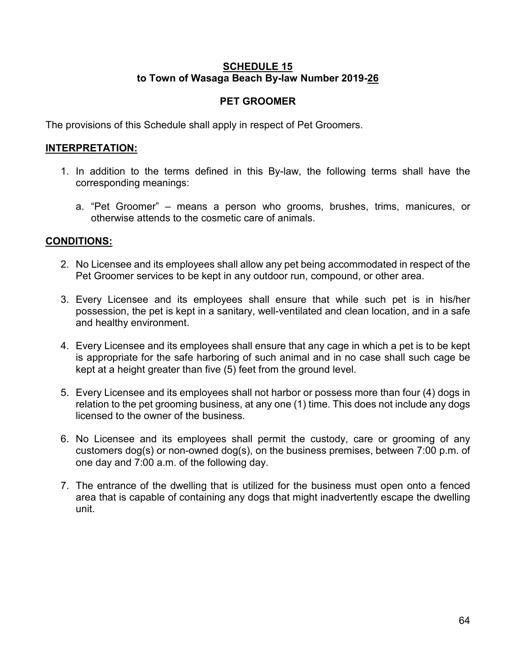#### **SCHEDULE 15 to Town of Wasaga Beach By-law Number 2019-26**

### **PET GROOMER**

The provisions of this Schedule shall apply in respect of Pet Groomers.

### **INTERPRETATION:**

- 1. In addition to the terms defined in this By-law, the following terms shall have the corresponding meanings:
	- a. "Pet Groomer" means a person who grooms, brushes, trims, manicures, or otherwise attends to the cosmetic care of animals.

- 2. No Licensee and its employees shall allow any pet being accommodated in respect of the Pet Groomer services to be kept in any outdoor run, compound, or other area.
- 3. Every Licensee and its employees shall ensure that while such pet is in his/her possession, the pet is kept in a sanitary, well-ventilated and clean location, and in a safe and healthy environment.
- 4. Every Licensee and its employees shall ensure that any cage in which a pet is to be kept is appropriate for the safe harboring of such animal and in no case shall such cage be kept at a height greater than five (5) feet from the ground level.
- 5. Every Licensee and its employees shall not harbor or possess more than four (4) dogs in relation to the pet grooming business, at any one (1) time. This does not include any dogs licensed to the owner of the business.
- 6. No Licensee and its employees shall permit the custody, care or grooming of any customers dog(s) or non-owned dog(s), on the business premises, between 7:00 p.m. of one day and 7:00 a.m. of the following day.
- 7. The entrance of the dwelling that is utilized for the business must open onto a fenced area that is capable of containing any dogs that might inadvertently escape the dwelling unit.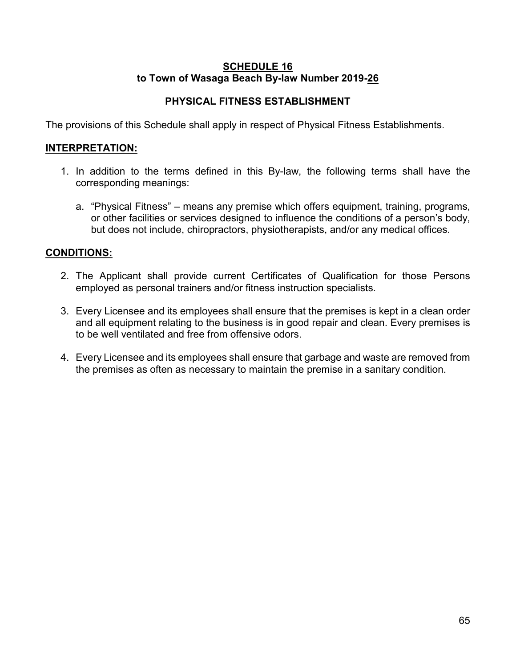#### **SCHEDULE 16 to Town of Wasaga Beach By-law Number 2019-26**

# **PHYSICAL FITNESS ESTABLISHMENT**

The provisions of this Schedule shall apply in respect of Physical Fitness Establishments.

### **INTERPRETATION:**

- 1. In addition to the terms defined in this By-law, the following terms shall have the corresponding meanings:
	- a. "Physical Fitness" means any premise which offers equipment, training, programs, or other facilities or services designed to influence the conditions of a person's body, but does not include, chiropractors, physiotherapists, and/or any medical offices.

- 2. The Applicant shall provide current Certificates of Qualification for those Persons employed as personal trainers and/or fitness instruction specialists.
- 3. Every Licensee and its employees shall ensure that the premises is kept in a clean order and all equipment relating to the business is in good repair and clean. Every premises is to be well ventilated and free from offensive odors.
- 4. Every Licensee and its employees shall ensure that garbage and waste are removed from the premises as often as necessary to maintain the premise in a sanitary condition.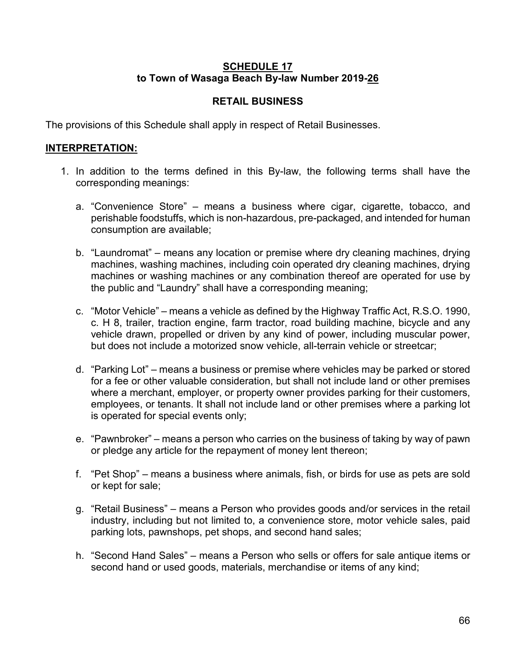### **SCHEDULE 17 to Town of Wasaga Beach By-law Number 2019-26**

# **RETAIL BUSINESS**

The provisions of this Schedule shall apply in respect of Retail Businesses.

### **INTERPRETATION:**

- 1. In addition to the terms defined in this By-law, the following terms shall have the corresponding meanings:
	- a. "Convenience Store" means a business where cigar, cigarette, tobacco, and perishable foodstuffs, which is non-hazardous, pre-packaged, and intended for human consumption are available;
	- b. "Laundromat" means any location or premise where dry cleaning machines, drying machines, washing machines, including coin operated dry cleaning machines, drying machines or washing machines or any combination thereof are operated for use by the public and "Laundry" shall have a corresponding meaning;
	- c. "Motor Vehicle" means a vehicle as defined by the Highway Traffic Act, R.S.O. 1990, c. H 8, trailer, traction engine, farm tractor, road building machine, bicycle and any vehicle drawn, propelled or driven by any kind of power, including muscular power, but does not include a motorized snow vehicle, all-terrain vehicle or streetcar;
	- d. "Parking Lot" means a business or premise where vehicles may be parked or stored for a fee or other valuable consideration, but shall not include land or other premises where a merchant, employer, or property owner provides parking for their customers, employees, or tenants. It shall not include land or other premises where a parking lot is operated for special events only;
	- e. "Pawnbroker" means a person who carries on the business of taking by way of pawn or pledge any article for the repayment of money lent thereon;
	- f. "Pet Shop" means a business where animals, fish, or birds for use as pets are sold or kept for sale;
	- g. "Retail Business" means a Person who provides goods and/or services in the retail industry, including but not limited to, a convenience store, motor vehicle sales, paid parking lots, pawnshops, pet shops, and second hand sales;
	- h. "Second Hand Sales" means a Person who sells or offers for sale antique items or second hand or used goods, materials, merchandise or items of any kind;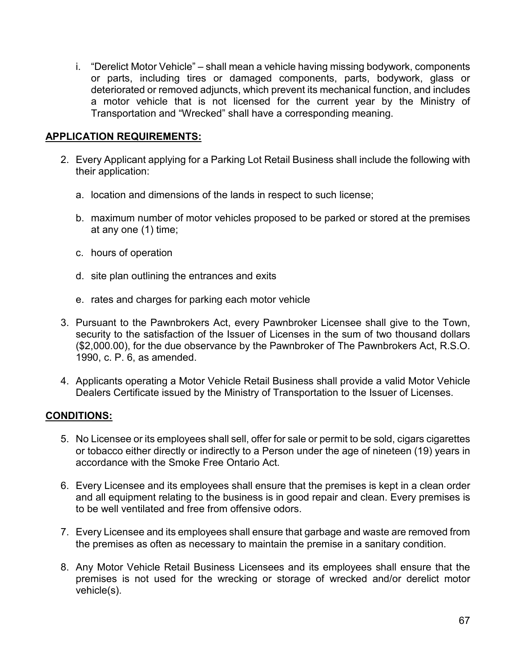i. "Derelict Motor Vehicle" – shall mean a vehicle having missing bodywork, components or parts, including tires or damaged components, parts, bodywork, glass or deteriorated or removed adjuncts, which prevent its mechanical function, and includes a motor vehicle that is not licensed for the current year by the Ministry of Transportation and "Wrecked" shall have a corresponding meaning.

### **APPLICATION REQUIREMENTS:**

- 2. Every Applicant applying for a Parking Lot Retail Business shall include the following with their application:
	- a. location and dimensions of the lands in respect to such license;
	- b. maximum number of motor vehicles proposed to be parked or stored at the premises at any one (1) time;
	- c. hours of operation
	- d. site plan outlining the entrances and exits
	- e. rates and charges for parking each motor vehicle
- 3. Pursuant to the Pawnbrokers Act, every Pawnbroker Licensee shall give to the Town, security to the satisfaction of the Issuer of Licenses in the sum of two thousand dollars (\$2,000.00), for the due observance by the Pawnbroker of The Pawnbrokers Act, R.S.O. 1990, c. P. 6, as amended.
- 4. Applicants operating a Motor Vehicle Retail Business shall provide a valid Motor Vehicle Dealers Certificate issued by the Ministry of Transportation to the Issuer of Licenses.

- 5. No Licensee or its employees shall sell, offer for sale or permit to be sold, cigars cigarettes or tobacco either directly or indirectly to a Person under the age of nineteen (19) years in accordance with the Smoke Free Ontario Act.
- 6. Every Licensee and its employees shall ensure that the premises is kept in a clean order and all equipment relating to the business is in good repair and clean. Every premises is to be well ventilated and free from offensive odors.
- 7. Every Licensee and its employees shall ensure that garbage and waste are removed from the premises as often as necessary to maintain the premise in a sanitary condition.
- 8. Any Motor Vehicle Retail Business Licensees and its employees shall ensure that the premises is not used for the wrecking or storage of wrecked and/or derelict motor vehicle(s).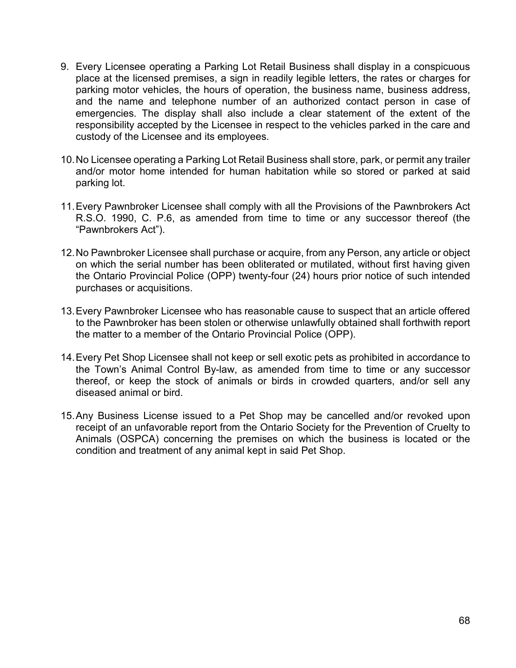- 9. Every Licensee operating a Parking Lot Retail Business shall display in a conspicuous place at the licensed premises, a sign in readily legible letters, the rates or charges for parking motor vehicles, the hours of operation, the business name, business address, and the name and telephone number of an authorized contact person in case of emergencies. The display shall also include a clear statement of the extent of the responsibility accepted by the Licensee in respect to the vehicles parked in the care and custody of the Licensee and its employees.
- 10.No Licensee operating a Parking Lot Retail Business shall store, park, or permit any trailer and/or motor home intended for human habitation while so stored or parked at said parking lot.
- 11.Every Pawnbroker Licensee shall comply with all the Provisions of the Pawnbrokers Act R.S.O. 1990, C. P.6, as amended from time to time or any successor thereof (the "Pawnbrokers Act").
- 12.No Pawnbroker Licensee shall purchase or acquire, from any Person, any article or object on which the serial number has been obliterated or mutilated, without first having given the Ontario Provincial Police (OPP) twenty-four (24) hours prior notice of such intended purchases or acquisitions.
- 13.Every Pawnbroker Licensee who has reasonable cause to suspect that an article offered to the Pawnbroker has been stolen or otherwise unlawfully obtained shall forthwith report the matter to a member of the Ontario Provincial Police (OPP).
- 14.Every Pet Shop Licensee shall not keep or sell exotic pets as prohibited in accordance to the Town's Animal Control By-law, as amended from time to time or any successor thereof, or keep the stock of animals or birds in crowded quarters, and/or sell any diseased animal or bird.
- 15.Any Business License issued to a Pet Shop may be cancelled and/or revoked upon receipt of an unfavorable report from the Ontario Society for the Prevention of Cruelty to Animals (OSPCA) concerning the premises on which the business is located or the condition and treatment of any animal kept in said Pet Shop.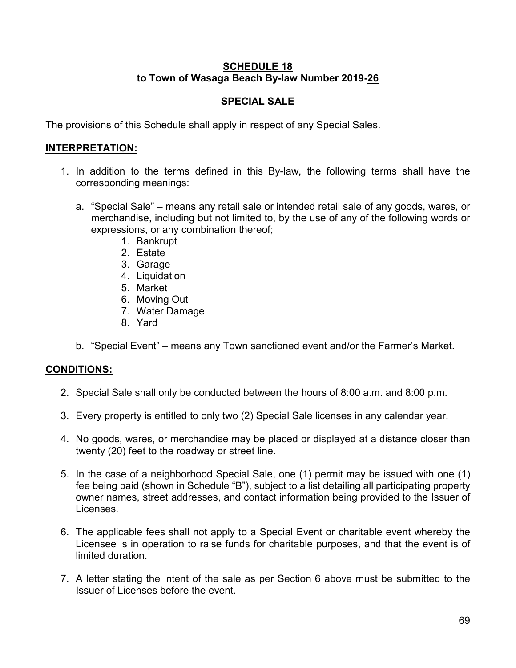### **SCHEDULE 18 to Town of Wasaga Beach By-law Number 2019-26**

# **SPECIAL SALE**

The provisions of this Schedule shall apply in respect of any Special Sales.

### **INTERPRETATION:**

- 1. In addition to the terms defined in this By-law, the following terms shall have the corresponding meanings:
	- a. "Special Sale" means any retail sale or intended retail sale of any goods, wares, or merchandise, including but not limited to, by the use of any of the following words or expressions, or any combination thereof;
		- 1. Bankrupt
		- 2. Estate
		- 3. Garage
		- 4. Liquidation
		- 5. Market
		- 6. Moving Out
		- 7. Water Damage
		- 8. Yard
	- b. "Special Event" means any Town sanctioned event and/or the Farmer's Market.

- 2. Special Sale shall only be conducted between the hours of 8:00 a.m. and 8:00 p.m.
- 3. Every property is entitled to only two (2) Special Sale licenses in any calendar year.
- 4. No goods, wares, or merchandise may be placed or displayed at a distance closer than twenty (20) feet to the roadway or street line.
- 5. In the case of a neighborhood Special Sale, one (1) permit may be issued with one (1) fee being paid (shown in Schedule "B"), subject to a list detailing all participating property owner names, street addresses, and contact information being provided to the Issuer of Licenses.
- 6. The applicable fees shall not apply to a Special Event or charitable event whereby the Licensee is in operation to raise funds for charitable purposes, and that the event is of limited duration.
- 7. A letter stating the intent of the sale as per Section 6 above must be submitted to the Issuer of Licenses before the event.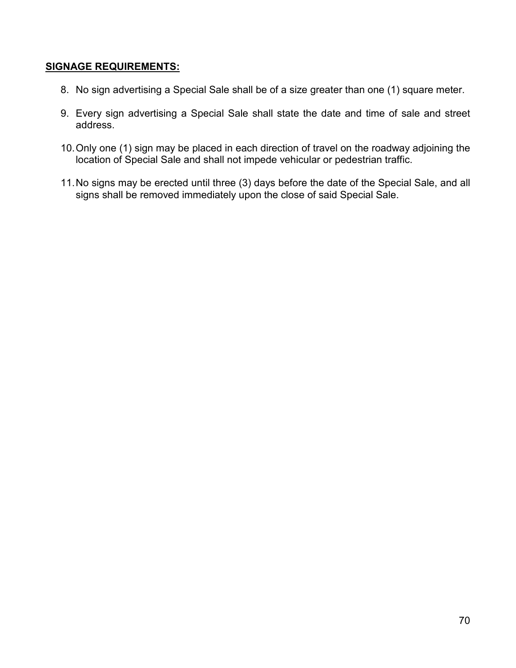### **SIGNAGE REQUIREMENTS:**

- 8. No sign advertising a Special Sale shall be of a size greater than one (1) square meter.
- 9. Every sign advertising a Special Sale shall state the date and time of sale and street address.
- 10.Only one (1) sign may be placed in each direction of travel on the roadway adjoining the location of Special Sale and shall not impede vehicular or pedestrian traffic.
- 11.No signs may be erected until three (3) days before the date of the Special Sale, and all signs shall be removed immediately upon the close of said Special Sale.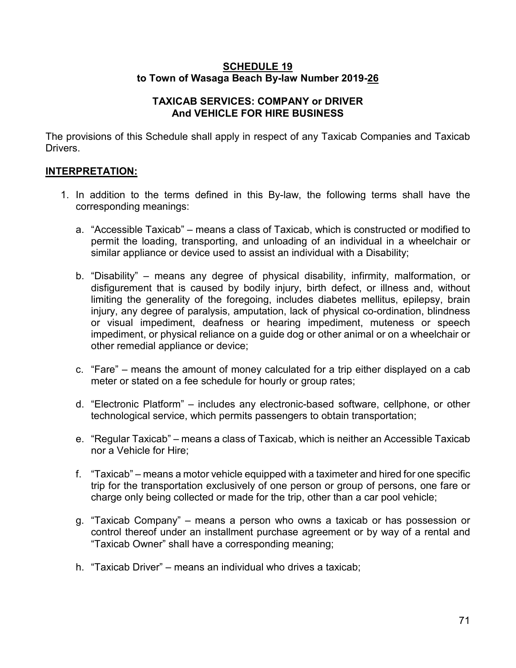#### **SCHEDULE 19 to Town of Wasaga Beach By-law Number 2019-26**

#### **TAXICAB SERVICES: COMPANY or DRIVER And VEHICLE FOR HIRE BUSINESS**

The provisions of this Schedule shall apply in respect of any Taxicab Companies and Taxicab Drivers.

# **INTERPRETATION:**

- 1. In addition to the terms defined in this By-law, the following terms shall have the corresponding meanings:
	- a. "Accessible Taxicab" means a class of Taxicab, which is constructed or modified to permit the loading, transporting, and unloading of an individual in a wheelchair or similar appliance or device used to assist an individual with a Disability;
	- b. "Disability" means any degree of physical disability, infirmity, malformation, or disfigurement that is caused by bodily injury, birth defect, or illness and, without limiting the generality of the foregoing, includes diabetes mellitus, epilepsy, brain injury, any degree of paralysis, amputation, lack of physical co-ordination, blindness or visual impediment, deafness or hearing impediment, muteness or speech impediment, or physical reliance on a guide dog or other animal or on a wheelchair or other remedial appliance or device;
	- c. "Fare" means the amount of money calculated for a trip either displayed on a cab meter or stated on a fee schedule for hourly or group rates;
	- d. "Electronic Platform" includes any electronic-based software, cellphone, or other technological service, which permits passengers to obtain transportation;
	- e. "Regular Taxicab" means a class of Taxicab, which is neither an Accessible Taxicab nor a Vehicle for Hire;
	- f. "Taxicab" means a motor vehicle equipped with a taximeter and hired for one specific trip for the transportation exclusively of one person or group of persons, one fare or charge only being collected or made for the trip, other than a car pool vehicle;
	- g. "Taxicab Company" means a person who owns a taxicab or has possession or control thereof under an installment purchase agreement or by way of a rental and "Taxicab Owner" shall have a corresponding meaning;
	- h. "Taxicab Driver" means an individual who drives a taxicab;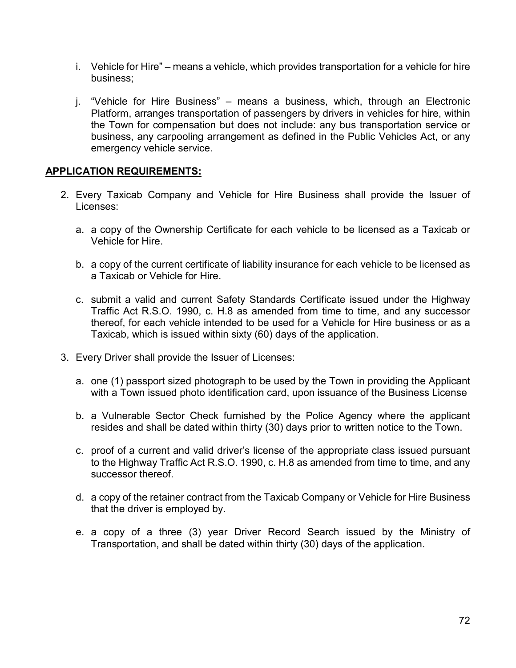- i. Vehicle for Hire" means a vehicle, which provides transportation for a vehicle for hire business;
- j. "Vehicle for Hire Business" means a business, which, through an Electronic Platform, arranges transportation of passengers by drivers in vehicles for hire, within the Town for compensation but does not include: any bus transportation service or business, any carpooling arrangement as defined in the Public Vehicles Act, or any emergency vehicle service.

#### **APPLICATION REQUIREMENTS:**

- 2. Every Taxicab Company and Vehicle for Hire Business shall provide the Issuer of Licenses:
	- a. a copy of the Ownership Certificate for each vehicle to be licensed as a Taxicab or Vehicle for Hire.
	- b. a copy of the current certificate of liability insurance for each vehicle to be licensed as a Taxicab or Vehicle for Hire.
	- c. submit a valid and current Safety Standards Certificate issued under the Highway Traffic Act R.S.O. 1990, c. H.8 as amended from time to time, and any successor thereof, for each vehicle intended to be used for a Vehicle for Hire business or as a Taxicab, which is issued within sixty (60) days of the application.
- 3. Every Driver shall provide the Issuer of Licenses:
	- a. one (1) passport sized photograph to be used by the Town in providing the Applicant with a Town issued photo identification card, upon issuance of the Business License
	- b. a Vulnerable Sector Check furnished by the Police Agency where the applicant resides and shall be dated within thirty (30) days prior to written notice to the Town.
	- c. proof of a current and valid driver's license of the appropriate class issued pursuant to the Highway Traffic Act R.S.O. 1990, c. H.8 as amended from time to time, and any successor thereof.
	- d. a copy of the retainer contract from the Taxicab Company or Vehicle for Hire Business that the driver is employed by.
	- e. a copy of a three (3) year Driver Record Search issued by the Ministry of Transportation, and shall be dated within thirty (30) days of the application.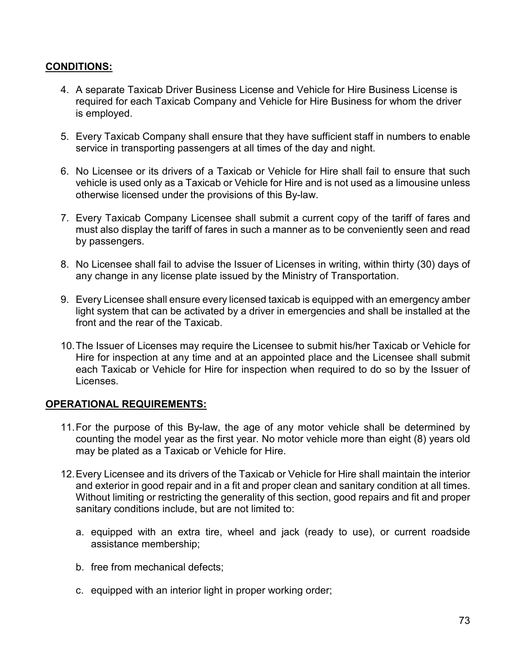### **CONDITIONS:**

- 4. A separate Taxicab Driver Business License and Vehicle for Hire Business License is required for each Taxicab Company and Vehicle for Hire Business for whom the driver is employed.
- 5. Every Taxicab Company shall ensure that they have sufficient staff in numbers to enable service in transporting passengers at all times of the day and night.
- 6. No Licensee or its drivers of a Taxicab or Vehicle for Hire shall fail to ensure that such vehicle is used only as a Taxicab or Vehicle for Hire and is not used as a limousine unless otherwise licensed under the provisions of this By-law.
- 7. Every Taxicab Company Licensee shall submit a current copy of the tariff of fares and must also display the tariff of fares in such a manner as to be conveniently seen and read by passengers.
- 8. No Licensee shall fail to advise the Issuer of Licenses in writing, within thirty (30) days of any change in any license plate issued by the Ministry of Transportation.
- 9. Every Licensee shall ensure every licensed taxicab is equipped with an emergency amber light system that can be activated by a driver in emergencies and shall be installed at the front and the rear of the Taxicab.
- 10.The Issuer of Licenses may require the Licensee to submit his/her Taxicab or Vehicle for Hire for inspection at any time and at an appointed place and the Licensee shall submit each Taxicab or Vehicle for Hire for inspection when required to do so by the Issuer of Licenses.

#### **OPERATIONAL REQUIREMENTS:**

- 11.For the purpose of this By-law, the age of any motor vehicle shall be determined by counting the model year as the first year. No motor vehicle more than eight (8) years old may be plated as a Taxicab or Vehicle for Hire.
- 12.Every Licensee and its drivers of the Taxicab or Vehicle for Hire shall maintain the interior and exterior in good repair and in a fit and proper clean and sanitary condition at all times. Without limiting or restricting the generality of this section, good repairs and fit and proper sanitary conditions include, but are not limited to:
	- a. equipped with an extra tire, wheel and jack (ready to use), or current roadside assistance membership;
	- b. free from mechanical defects;
	- c. equipped with an interior light in proper working order;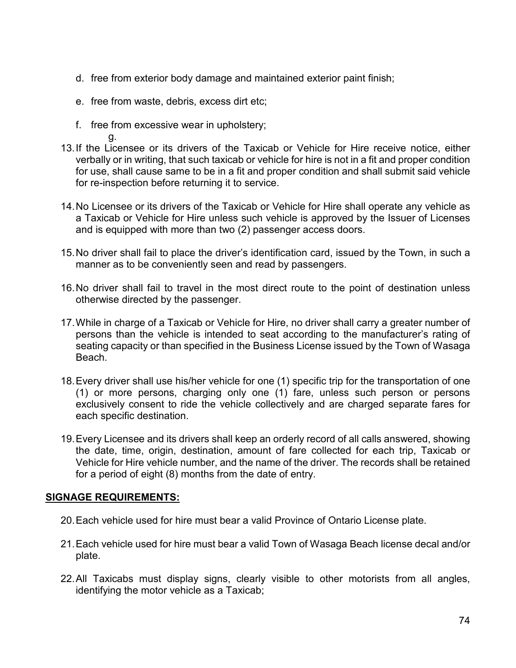- d. free from exterior body damage and maintained exterior paint finish;
- e. free from waste, debris, excess dirt etc;
- f. free from excessive wear in upholstery;

g.

- 13.If the Licensee or its drivers of the Taxicab or Vehicle for Hire receive notice, either verbally or in writing, that such taxicab or vehicle for hire is not in a fit and proper condition for use, shall cause same to be in a fit and proper condition and shall submit said vehicle for re-inspection before returning it to service.
- 14.No Licensee or its drivers of the Taxicab or Vehicle for Hire shall operate any vehicle as a Taxicab or Vehicle for Hire unless such vehicle is approved by the Issuer of Licenses and is equipped with more than two (2) passenger access doors.
- 15.No driver shall fail to place the driver's identification card, issued by the Town, in such a manner as to be conveniently seen and read by passengers.
- 16.No driver shall fail to travel in the most direct route to the point of destination unless otherwise directed by the passenger.
- 17.While in charge of a Taxicab or Vehicle for Hire, no driver shall carry a greater number of persons than the vehicle is intended to seat according to the manufacturer's rating of seating capacity or than specified in the Business License issued by the Town of Wasaga Beach.
- 18.Every driver shall use his/her vehicle for one (1) specific trip for the transportation of one (1) or more persons, charging only one (1) fare, unless such person or persons exclusively consent to ride the vehicle collectively and are charged separate fares for each specific destination.
- 19.Every Licensee and its drivers shall keep an orderly record of all calls answered, showing the date, time, origin, destination, amount of fare collected for each trip, Taxicab or Vehicle for Hire vehicle number, and the name of the driver. The records shall be retained for a period of eight (8) months from the date of entry.

## **SIGNAGE REQUIREMENTS:**

- 20.Each vehicle used for hire must bear a valid Province of Ontario License plate.
- 21.Each vehicle used for hire must bear a valid Town of Wasaga Beach license decal and/or plate.
- 22.All Taxicabs must display signs, clearly visible to other motorists from all angles, identifying the motor vehicle as a Taxicab;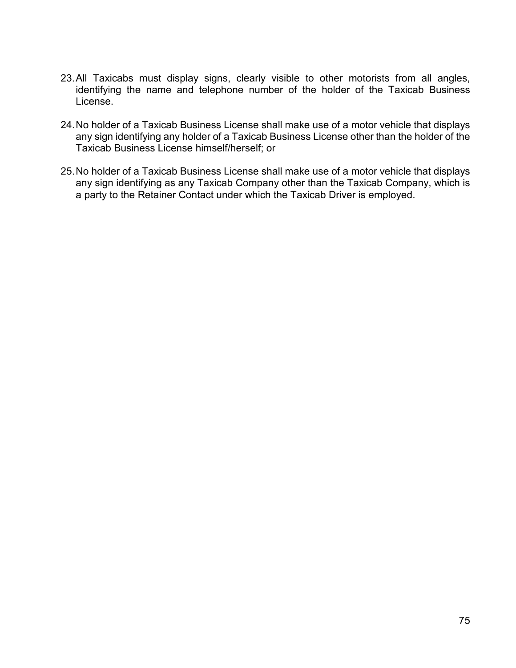- 23.All Taxicabs must display signs, clearly visible to other motorists from all angles, identifying the name and telephone number of the holder of the Taxicab Business License.
- 24.No holder of a Taxicab Business License shall make use of a motor vehicle that displays any sign identifying any holder of a Taxicab Business License other than the holder of the Taxicab Business License himself/herself; or
- 25.No holder of a Taxicab Business License shall make use of a motor vehicle that displays any sign identifying as any Taxicab Company other than the Taxicab Company, which is a party to the Retainer Contact under which the Taxicab Driver is employed.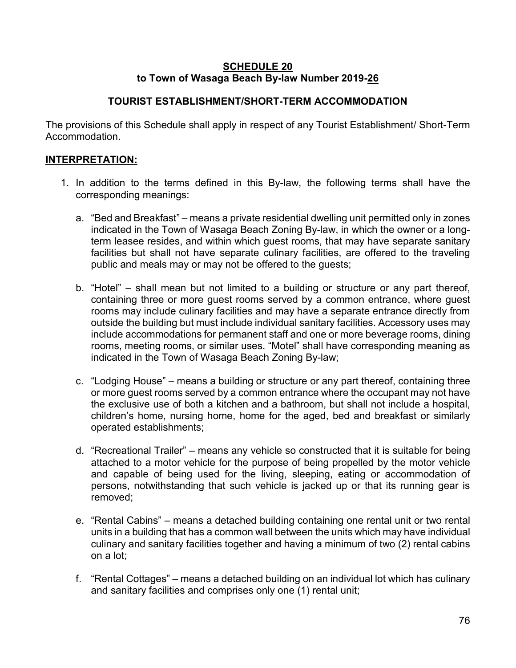#### **SCHEDULE 20 to Town of Wasaga Beach By-law Number 2019-26**

## **TOURIST ESTABLISHMENT/SHORT-TERM ACCOMMODATION**

The provisions of this Schedule shall apply in respect of any Tourist Establishment/ Short-Term Accommodation.

## **INTERPRETATION:**

- 1. In addition to the terms defined in this By-law, the following terms shall have the corresponding meanings:
	- a. "Bed and Breakfast" means a private residential dwelling unit permitted only in zones indicated in the Town of Wasaga Beach Zoning By-law, in which the owner or a longterm leasee resides, and within which guest rooms, that may have separate sanitary facilities but shall not have separate culinary facilities, are offered to the traveling public and meals may or may not be offered to the guests;
	- b. "Hotel" shall mean but not limited to a building or structure or any part thereof, containing three or more guest rooms served by a common entrance, where guest rooms may include culinary facilities and may have a separate entrance directly from outside the building but must include individual sanitary facilities. Accessory uses may include accommodations for permanent staff and one or more beverage rooms, dining rooms, meeting rooms, or similar uses. "Motel" shall have corresponding meaning as indicated in the Town of Wasaga Beach Zoning By-law;
	- c. "Lodging House" means a building or structure or any part thereof, containing three or more guest rooms served by a common entrance where the occupant may not have the exclusive use of both a kitchen and a bathroom, but shall not include a hospital, children's home, nursing home, home for the aged, bed and breakfast or similarly operated establishments;
	- d. "Recreational Trailer" means any vehicle so constructed that it is suitable for being attached to a motor vehicle for the purpose of being propelled by the motor vehicle and capable of being used for the living, sleeping, eating or accommodation of persons, notwithstanding that such vehicle is jacked up or that its running gear is removed;
	- e. "Rental Cabins" means a detached building containing one rental unit or two rental units in a building that has a common wall between the units which may have individual culinary and sanitary facilities together and having a minimum of two (2) rental cabins on a lot;
	- f. "Rental Cottages" means a detached building on an individual lot which has culinary and sanitary facilities and comprises only one (1) rental unit;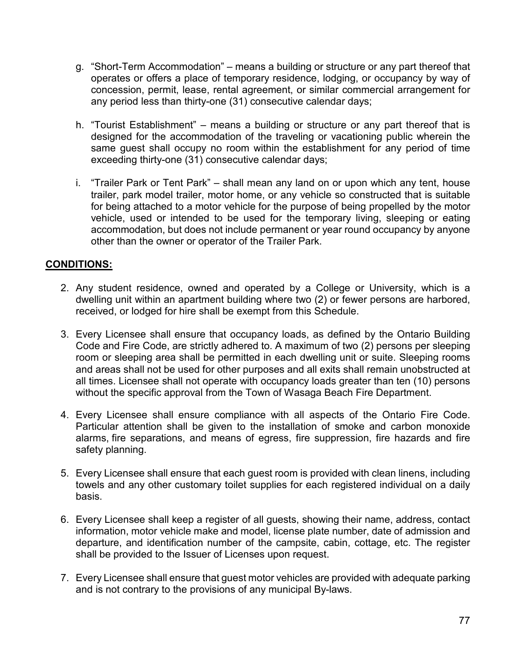- g. "Short-Term Accommodation" means a building or structure or any part thereof that operates or offers a place of temporary residence, lodging, or occupancy by way of concession, permit, lease, rental agreement, or similar commercial arrangement for any period less than thirty-one (31) consecutive calendar days;
- h. "Tourist Establishment" means a building or structure or any part thereof that is designed for the accommodation of the traveling or vacationing public wherein the same guest shall occupy no room within the establishment for any period of time exceeding thirty-one (31) consecutive calendar days;
- i. "Trailer Park or Tent Park" shall mean any land on or upon which any tent, house trailer, park model trailer, motor home, or any vehicle so constructed that is suitable for being attached to a motor vehicle for the purpose of being propelled by the motor vehicle, used or intended to be used for the temporary living, sleeping or eating accommodation, but does not include permanent or year round occupancy by anyone other than the owner or operator of the Trailer Park.

## **CONDITIONS:**

- 2. Any student residence, owned and operated by a College or University, which is a dwelling unit within an apartment building where two (2) or fewer persons are harbored, received, or lodged for hire shall be exempt from this Schedule.
- 3. Every Licensee shall ensure that occupancy loads, as defined by the Ontario Building Code and Fire Code, are strictly adhered to. A maximum of two (2) persons per sleeping room or sleeping area shall be permitted in each dwelling unit or suite. Sleeping rooms and areas shall not be used for other purposes and all exits shall remain unobstructed at all times. Licensee shall not operate with occupancy loads greater than ten (10) persons without the specific approval from the Town of Wasaga Beach Fire Department.
- 4. Every Licensee shall ensure compliance with all aspects of the Ontario Fire Code. Particular attention shall be given to the installation of smoke and carbon monoxide alarms, fire separations, and means of egress, fire suppression, fire hazards and fire safety planning.
- 5. Every Licensee shall ensure that each guest room is provided with clean linens, including towels and any other customary toilet supplies for each registered individual on a daily basis.
- 6. Every Licensee shall keep a register of all guests, showing their name, address, contact information, motor vehicle make and model, license plate number, date of admission and departure, and identification number of the campsite, cabin, cottage, etc. The register shall be provided to the Issuer of Licenses upon request.
- 7. Every Licensee shall ensure that guest motor vehicles are provided with adequate parking and is not contrary to the provisions of any municipal By-laws.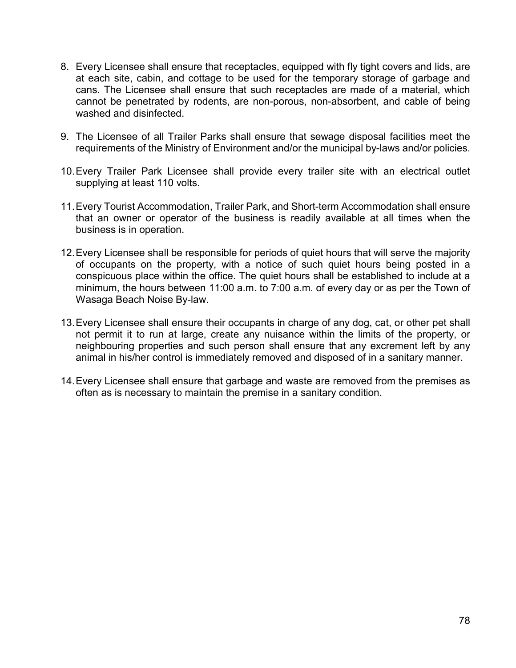- 8. Every Licensee shall ensure that receptacles, equipped with fly tight covers and lids, are at each site, cabin, and cottage to be used for the temporary storage of garbage and cans. The Licensee shall ensure that such receptacles are made of a material, which cannot be penetrated by rodents, are non-porous, non-absorbent, and cable of being washed and disinfected
- 9. The Licensee of all Trailer Parks shall ensure that sewage disposal facilities meet the requirements of the Ministry of Environment and/or the municipal by-laws and/or policies.
- 10.Every Trailer Park Licensee shall provide every trailer site with an electrical outlet supplying at least 110 volts.
- 11.Every Tourist Accommodation, Trailer Park, and Short-term Accommodation shall ensure that an owner or operator of the business is readily available at all times when the business is in operation.
- 12.Every Licensee shall be responsible for periods of quiet hours that will serve the majority of occupants on the property, with a notice of such quiet hours being posted in a conspicuous place within the office. The quiet hours shall be established to include at a minimum, the hours between 11:00 a.m. to 7:00 a.m. of every day or as per the Town of Wasaga Beach Noise By-law.
- 13.Every Licensee shall ensure their occupants in charge of any dog, cat, or other pet shall not permit it to run at large, create any nuisance within the limits of the property, or neighbouring properties and such person shall ensure that any excrement left by any animal in his/her control is immediately removed and disposed of in a sanitary manner.
- 14.Every Licensee shall ensure that garbage and waste are removed from the premises as often as is necessary to maintain the premise in a sanitary condition.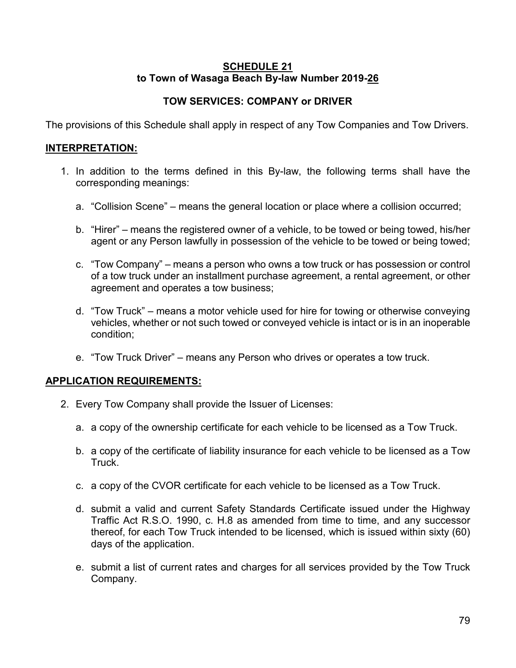#### **SCHEDULE 21 to Town of Wasaga Beach By-law Number 2019-26**

# **TOW SERVICES: COMPANY or DRIVER**

The provisions of this Schedule shall apply in respect of any Tow Companies and Tow Drivers.

## **INTERPRETATION:**

- 1. In addition to the terms defined in this By-law, the following terms shall have the corresponding meanings:
	- a. "Collision Scene" means the general location or place where a collision occurred;
	- b. "Hirer" means the registered owner of a vehicle, to be towed or being towed, his/her agent or any Person lawfully in possession of the vehicle to be towed or being towed;
	- c. "Tow Company" means a person who owns a tow truck or has possession or control of a tow truck under an installment purchase agreement, a rental agreement, or other agreement and operates a tow business;
	- d. "Tow Truck" means a motor vehicle used for hire for towing or otherwise conveying vehicles, whether or not such towed or conveyed vehicle is intact or is in an inoperable condition;
	- e. "Tow Truck Driver" means any Person who drives or operates a tow truck.

## **APPLICATION REQUIREMENTS:**

- 2. Every Tow Company shall provide the Issuer of Licenses:
	- a. a copy of the ownership certificate for each vehicle to be licensed as a Tow Truck.
	- b. a copy of the certificate of liability insurance for each vehicle to be licensed as a Tow **Truck**
	- c. a copy of the CVOR certificate for each vehicle to be licensed as a Tow Truck.
	- d. submit a valid and current Safety Standards Certificate issued under the Highway Traffic Act R.S.O. 1990, c. H.8 as amended from time to time, and any successor thereof, for each Tow Truck intended to be licensed, which is issued within sixty (60) days of the application.
	- e. submit a list of current rates and charges for all services provided by the Tow Truck Company.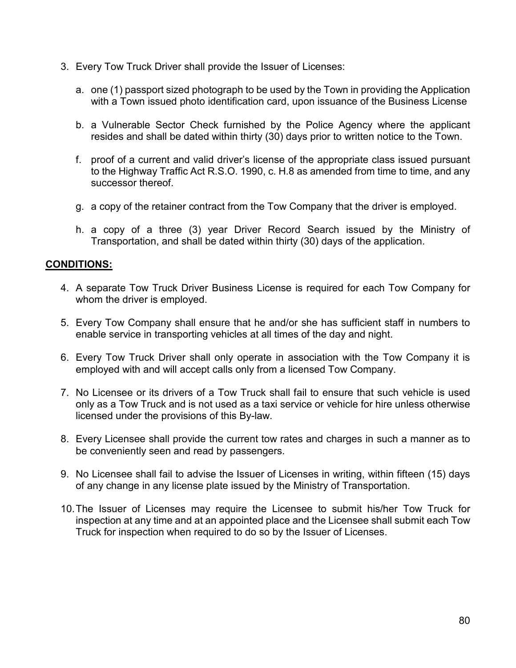- 3. Every Tow Truck Driver shall provide the Issuer of Licenses:
	- a. one (1) passport sized photograph to be used by the Town in providing the Application with a Town issued photo identification card, upon issuance of the Business License
	- b. a Vulnerable Sector Check furnished by the Police Agency where the applicant resides and shall be dated within thirty (30) days prior to written notice to the Town.
	- f. proof of a current and valid driver's license of the appropriate class issued pursuant to the Highway Traffic Act R.S.O. 1990, c. H.8 as amended from time to time, and any successor thereof.
	- g. a copy of the retainer contract from the Tow Company that the driver is employed.
	- h. a copy of a three (3) year Driver Record Search issued by the Ministry of Transportation, and shall be dated within thirty (30) days of the application.

### **CONDITIONS:**

- 4. A separate Tow Truck Driver Business License is required for each Tow Company for whom the driver is employed.
- 5. Every Tow Company shall ensure that he and/or she has sufficient staff in numbers to enable service in transporting vehicles at all times of the day and night.
- 6. Every Tow Truck Driver shall only operate in association with the Tow Company it is employed with and will accept calls only from a licensed Tow Company.
- 7. No Licensee or its drivers of a Tow Truck shall fail to ensure that such vehicle is used only as a Tow Truck and is not used as a taxi service or vehicle for hire unless otherwise licensed under the provisions of this By-law.
- 8. Every Licensee shall provide the current tow rates and charges in such a manner as to be conveniently seen and read by passengers.
- 9. No Licensee shall fail to advise the Issuer of Licenses in writing, within fifteen (15) days of any change in any license plate issued by the Ministry of Transportation.
- 10.The Issuer of Licenses may require the Licensee to submit his/her Tow Truck for inspection at any time and at an appointed place and the Licensee shall submit each Tow Truck for inspection when required to do so by the Issuer of Licenses.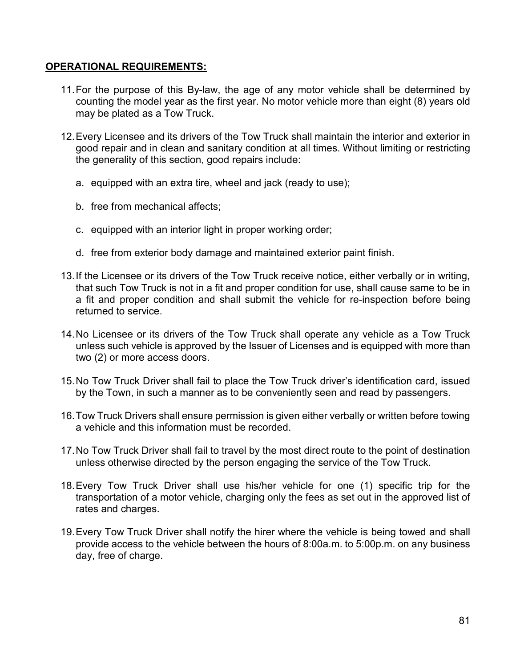#### **OPERATIONAL REQUIREMENTS:**

- 11.For the purpose of this By-law, the age of any motor vehicle shall be determined by counting the model year as the first year. No motor vehicle more than eight (8) years old may be plated as a Tow Truck.
- 12.Every Licensee and its drivers of the Tow Truck shall maintain the interior and exterior in good repair and in clean and sanitary condition at all times. Without limiting or restricting the generality of this section, good repairs include:
	- a. equipped with an extra tire, wheel and jack (ready to use);
	- b. free from mechanical affects;
	- c. equipped with an interior light in proper working order;
	- d. free from exterior body damage and maintained exterior paint finish.
- 13.If the Licensee or its drivers of the Tow Truck receive notice, either verbally or in writing, that such Tow Truck is not in a fit and proper condition for use, shall cause same to be in a fit and proper condition and shall submit the vehicle for re-inspection before being returned to service.
- 14.No Licensee or its drivers of the Tow Truck shall operate any vehicle as a Tow Truck unless such vehicle is approved by the Issuer of Licenses and is equipped with more than two (2) or more access doors.
- 15.No Tow Truck Driver shall fail to place the Tow Truck driver's identification card, issued by the Town, in such a manner as to be conveniently seen and read by passengers.
- 16.Tow Truck Drivers shall ensure permission is given either verbally or written before towing a vehicle and this information must be recorded.
- 17.No Tow Truck Driver shall fail to travel by the most direct route to the point of destination unless otherwise directed by the person engaging the service of the Tow Truck.
- 18.Every Tow Truck Driver shall use his/her vehicle for one (1) specific trip for the transportation of a motor vehicle, charging only the fees as set out in the approved list of rates and charges.
- 19.Every Tow Truck Driver shall notify the hirer where the vehicle is being towed and shall provide access to the vehicle between the hours of 8:00a.m. to 5:00p.m. on any business day, free of charge.